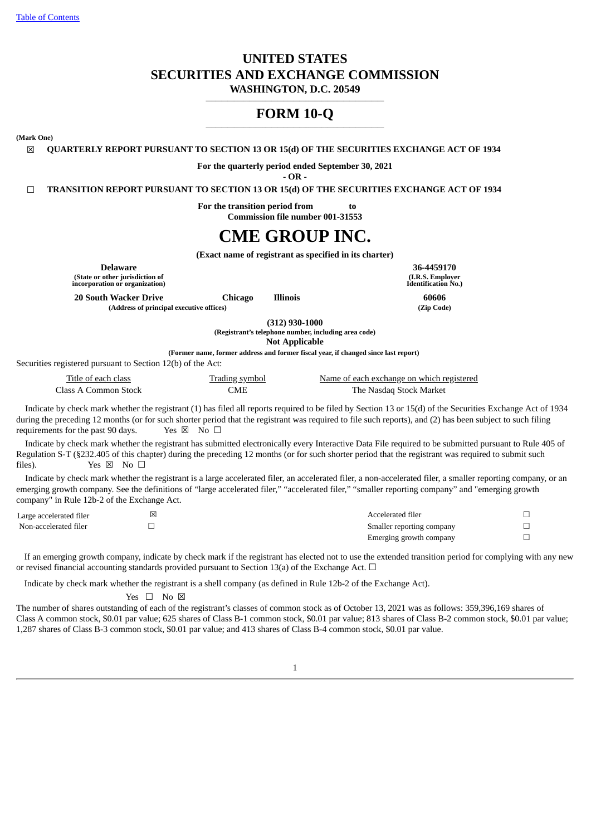# **UNITED STATES SECURITIES AND EXCHANGE COMMISSION**

**WASHINGTON, D.C. 20549** \_\_\_\_\_\_\_\_\_\_\_\_\_\_\_\_\_\_\_\_\_\_\_\_\_\_\_\_\_\_\_\_\_\_\_\_\_\_\_\_\_\_\_\_\_\_\_\_\_\_\_\_\_\_\_\_\_

#### **FORM 10-Q** \_\_\_\_\_\_\_\_\_\_\_\_\_\_\_\_\_\_\_\_\_\_\_\_\_\_\_\_\_\_\_\_\_\_\_\_\_\_\_\_\_\_\_\_\_\_\_\_\_\_\_\_\_\_\_\_\_

**(Mark One)**

☒ **QUARTERLY REPORT PURSUANT TO SECTION 13 OR 15(d) OF THE SECURITIES EXCHANGE ACT OF 1934**

**For the quarterly period ended September 30, 2021**

**- OR -**

☐ **TRANSITION REPORT PURSUANT TO SECTION 13 OR 15(d) OF THE SECURITIES EXCHANGE ACT OF 1934**

**For the transition period from to**

**Commission file number 001-31553**

# **CME GROUP INC.**

**(Exact name of registrant as specified in its charter)**

| <b>Delaware</b>                                                   |         |                                                      | 36-4459170                              |
|-------------------------------------------------------------------|---------|------------------------------------------------------|-----------------------------------------|
| (State or other jurisdiction of<br>incorporation or organization) |         |                                                      | (I.R.S. Employer<br>Identification No.) |
| <b>20 South Wacker Drive</b>                                      | Chicago | <b>Illinois</b>                                      | 60606                                   |
| (Address of principal executive offices)                          |         |                                                      | (Zip Code)                              |
|                                                                   |         | $(312)$ 930-1000                                     |                                         |
|                                                                   |         | (Registrant's telephone number, including area code) |                                         |
|                                                                   |         | <b>Not Applicable</b>                                |                                         |

**(Former name, former address and former fiscal year, if changed since last report)**

Securities registered pursuant to Section 12(b) of the Act:

| Title of each class  | <b>Trading symbol</b> | Name of each exchange on which registered |
|----------------------|-----------------------|-------------------------------------------|
| Class A Common Stock | CME                   | The Nasdag Stock Market                   |

Indicate by check mark whether the registrant (1) has filed all reports required to be filed by Section 13 or 15(d) of the Securities Exchange Act of 1934 during the preceding 12 months (or for such shorter period that the registrant was required to file such reports), and (2) has been subject to such filing requirements for the past 90 days. Yes  $\boxtimes$  No  $\Box$ 

Indicate by check mark whether the registrant has submitted electronically every Interactive Data File required to be submitted pursuant to Rule 405 of Regulation S-T (§232.405 of this chapter) during the preceding 12 months (or for such shorter period that the registrant was required to submit such files).  $Yes \times No \square$ 

Indicate by check mark whether the registrant is a large accelerated filer, an accelerated filer, a non-accelerated filer, a smaller reporting company, or an emerging growth company. See the definitions of "large accelerated filer," "accelerated filer," "smaller reporting company" and "emerging growth company" in Rule 12b-2 of the Exchange Act.

| Large accelerated filer | $\overline{\mathsf{x}}$ | Accelerated filer         |  |
|-------------------------|-------------------------|---------------------------|--|
| Non-accelerated filer   |                         | Smaller reporting company |  |
|                         |                         | Emerging growth company   |  |

 If an emerging growth company, indicate by check mark if the registrant has elected not to use the extended transition period for complying with any new or revised financial accounting standards provided pursuant to Section 13(a) of the Exchange Act.  $\Box$ 

Indicate by check mark whether the registrant is a shell company (as defined in Rule 12b-2 of the Exchange Act).

Yes □ No ⊠

<span id="page-0-0"></span>The number of shares outstanding of each of the registrant's classes of common stock as of October 13, 2021 was as follows: 359,396,169 shares of Class A common stock, \$0.01 par value; 625 shares of Class B-1 common stock, \$0.01 par value; 813 shares of Class B-2 common stock, \$0.01 par value; 1,287 shares of Class B-3 common stock, \$0.01 par value; and 413 shares of Class B-4 common stock, \$0.01 par value.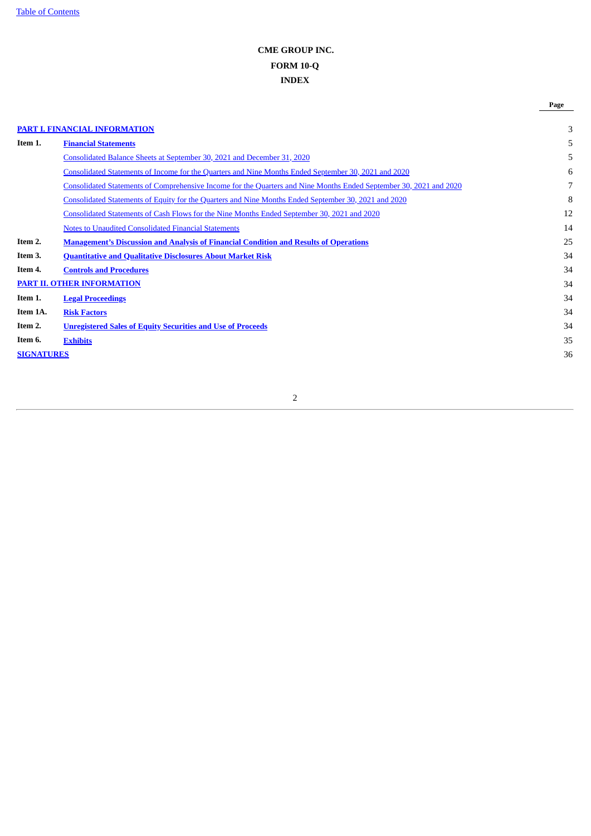# **CME GROUP INC. FORM 10-Q INDEX**

<span id="page-1-0"></span>

|                   |                                                                                                                    | Page |
|-------------------|--------------------------------------------------------------------------------------------------------------------|------|
|                   |                                                                                                                    |      |
|                   | <b>PART I. FINANCIAL INFORMATION</b>                                                                               | 3    |
| Item 1.           | <b>Financial Statements</b>                                                                                        | 5    |
|                   | Consolidated Balance Sheets at September 30, 2021 and December 31, 2020                                            | 5    |
|                   | Consolidated Statements of Income for the Quarters and Nine Months Ended September 30, 2021 and 2020               | 6    |
|                   | Consolidated Statements of Comprehensive Income for the Quarters and Nine Months Ended September 30, 2021 and 2020 | 7    |
|                   | Consolidated Statements of Equity for the Quarters and Nine Months Ended September 30, 2021 and 2020               | 8    |
|                   | Consolidated Statements of Cash Flows for the Nine Months Ended September 30, 2021 and 2020                        | 12   |
|                   | <b>Notes to Unaudited Consolidated Financial Statements</b>                                                        | 14   |
| Item 2.           | <b>Management's Discussion and Analysis of Financial Condition and Results of Operations</b>                       | 25   |
| Item 3.           | <b>Quantitative and Qualitative Disclosures About Market Risk</b>                                                  | 34   |
| Item 4.           | <b>Controls and Procedures</b>                                                                                     | 34   |
|                   | <b>PART II. OTHER INFORMATION</b>                                                                                  | 34   |
| Item 1.           | <b>Legal Proceedings</b>                                                                                           | 34   |
| Item 1A.          | <b>Risk Factors</b>                                                                                                | 34   |
| Item 2.           | <b>Unregistered Sales of Equity Securities and Use of Proceeds</b>                                                 | 34   |
| Item 6.           | <b>Exhibits</b>                                                                                                    | 35   |
| <b>SIGNATURES</b> |                                                                                                                    | 36   |
|                   |                                                                                                                    |      |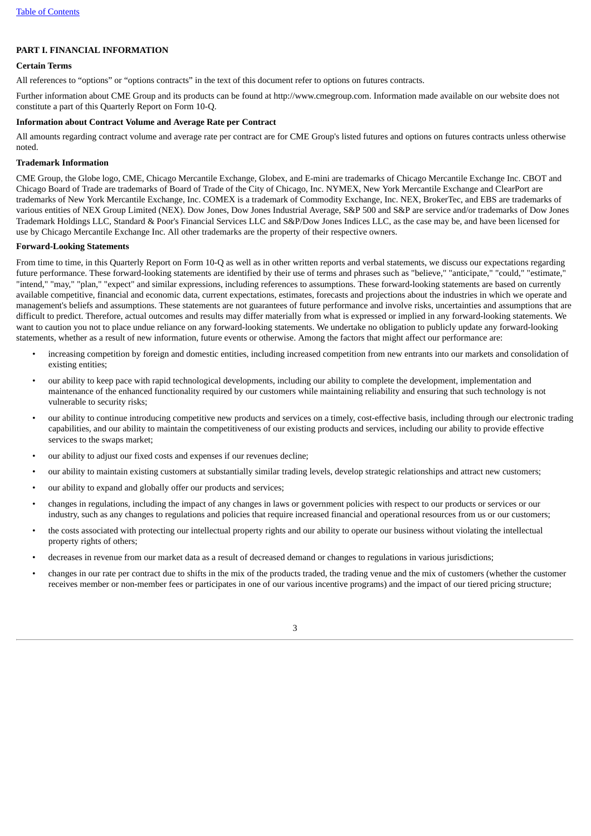#### **PART I. FINANCIAL INFORMATION**

#### **Certain Terms**

All references to "options" or "options contracts" in the text of this document refer to options on futures contracts.

Further information about CME Group and its products can be found at http://www.cmegroup.com. Information made available on our website does not constitute a part of this Quarterly Report on Form 10-Q.

#### **Information about Contract Volume and Average Rate per Contract**

All amounts regarding contract volume and average rate per contract are for CME Group's listed futures and options on futures contracts unless otherwise noted.

#### **Trademark Information**

CME Group, the Globe logo, CME, Chicago Mercantile Exchange, Globex, and E-mini are trademarks of Chicago Mercantile Exchange Inc. CBOT and Chicago Board of Trade are trademarks of Board of Trade of the City of Chicago, Inc. NYMEX, New York Mercantile Exchange and ClearPort are trademarks of New York Mercantile Exchange, Inc. COMEX is a trademark of Commodity Exchange, Inc. NEX, BrokerTec, and EBS are trademarks of various entities of NEX Group Limited (NEX). Dow Jones, Dow Jones Industrial Average, S&P 500 and S&P are service and/or trademarks of Dow Jones Trademark Holdings LLC, Standard & Poor's Financial Services LLC and S&P/Dow Jones Indices LLC, as the case may be, and have been licensed for use by Chicago Mercantile Exchange Inc. All other trademarks are the property of their respective owners.

#### **Forward-Looking Statements**

From time to time, in this Quarterly Report on Form 10-Q as well as in other written reports and verbal statements, we discuss our expectations regarding future performance. These forward-looking statements are identified by their use of terms and phrases such as "believe," "anticipate," "could," "estimate," "intend," "may," "plan," "expect" and similar expressions, including references to assumptions. These forward-looking statements are based on currently available competitive, financial and economic data, current expectations, estimates, forecasts and projections about the industries in which we operate and management's beliefs and assumptions. These statements are not guarantees of future performance and involve risks, uncertainties and assumptions that are difficult to predict. Therefore, actual outcomes and results may differ materially from what is expressed or implied in any forward-looking statements. We want to caution you not to place undue reliance on any forward-looking statements. We undertake no obligation to publicly update any forward-looking statements, whether as a result of new information, future events or otherwise. Among the factors that might affect our performance are:

- increasing competition by foreign and domestic entities, including increased competition from new entrants into our markets and consolidation of existing entities;
- our ability to keep pace with rapid technological developments, including our ability to complete the development, implementation and maintenance of the enhanced functionality required by our customers while maintaining reliability and ensuring that such technology is not vulnerable to security risks;
- our ability to continue introducing competitive new products and services on a timely, cost-effective basis, including through our electronic trading capabilities, and our ability to maintain the competitiveness of our existing products and services, including our ability to provide effective services to the swaps market;
- our ability to adjust our fixed costs and expenses if our revenues decline;
- our ability to maintain existing customers at substantially similar trading levels, develop strategic relationships and attract new customers;
- our ability to expand and globally offer our products and services;
- changes in regulations, including the impact of any changes in laws or government policies with respect to our products or services or our industry, such as any changes to regulations and policies that require increased financial and operational resources from us or our customers;
- the costs associated with protecting our intellectual property rights and our ability to operate our business without violating the intellectual property rights of others;
- decreases in revenue from our market data as a result of decreased demand or changes to regulations in various jurisdictions;
- changes in our rate per contract due to shifts in the mix of the products traded, the trading venue and the mix of customers (whether the customer receives member or non-member fees or participates in one of our various incentive programs) and the impact of our tiered pricing structure;

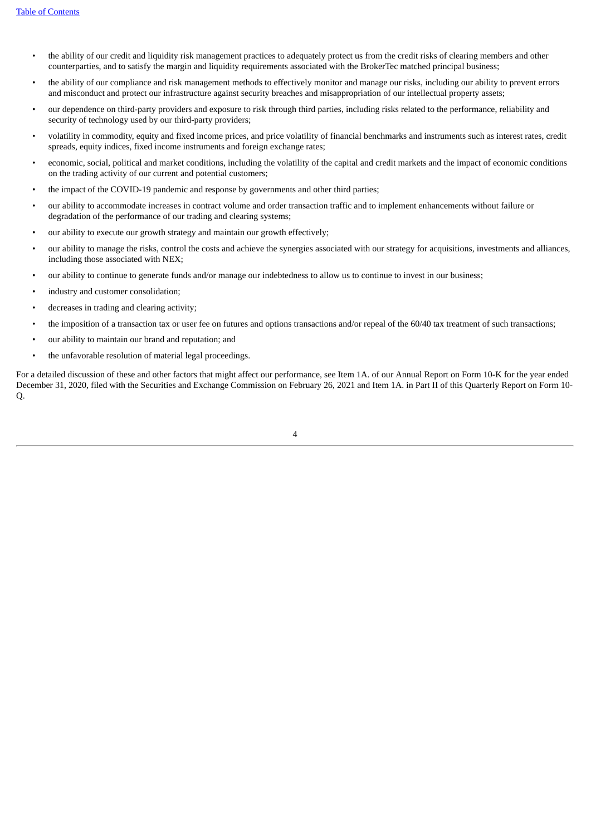- the ability of our credit and liquidity risk management practices to adequately protect us from the credit risks of clearing members and other counterparties, and to satisfy the margin and liquidity requirements associated with the BrokerTec matched principal business;
- the ability of our compliance and risk management methods to effectively monitor and manage our risks, including our ability to prevent errors and misconduct and protect our infrastructure against security breaches and misappropriation of our intellectual property assets;
- our dependence on third-party providers and exposure to risk through third parties, including risks related to the performance, reliability and security of technology used by our third-party providers;
- volatility in commodity, equity and fixed income prices, and price volatility of financial benchmarks and instruments such as interest rates, credit spreads, equity indices, fixed income instruments and foreign exchange rates;
- economic, social, political and market conditions, including the volatility of the capital and credit markets and the impact of economic conditions on the trading activity of our current and potential customers;
- the impact of the COVID-19 pandemic and response by governments and other third parties;
- our ability to accommodate increases in contract volume and order transaction traffic and to implement enhancements without failure or degradation of the performance of our trading and clearing systems;
- our ability to execute our growth strategy and maintain our growth effectively;
- our ability to manage the risks, control the costs and achieve the synergies associated with our strategy for acquisitions, investments and alliances, including those associated with NEX;
- our ability to continue to generate funds and/or manage our indebtedness to allow us to continue to invest in our business;
- industry and customer consolidation;
- decreases in trading and clearing activity;
- the imposition of a transaction tax or user fee on futures and options transactions and/or repeal of the 60/40 tax treatment of such transactions;
- our ability to maintain our brand and reputation; and
- the unfavorable resolution of material legal proceedings.

<span id="page-3-0"></span>For a detailed discussion of these and other factors that might affect our performance, see Item 1A. of our Annual Report on Form 10-K for the year ended December 31, 2020, filed with the Securities and Exchange Commission on February 26, 2021 and Item 1A. in Part II of this Quarterly Report on Form 10- Q.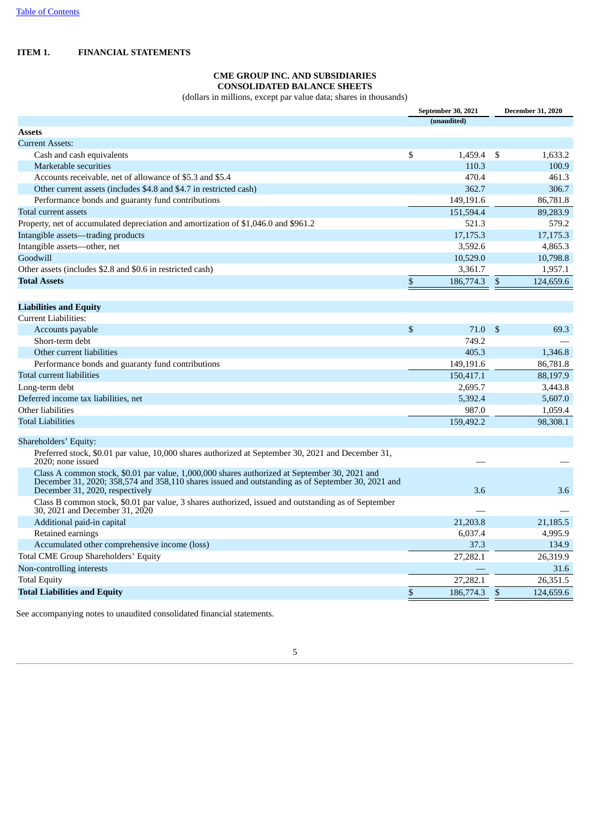<span id="page-4-0"></span>**ITEM 1. FINANCIAL STATEMENTS**

#### **CME GROUP INC. AND SUBSIDIARIES CONSOLIDATED BALANCE SHEETS**

(dollars in millions, except par value data; shares in thousands)

|                                                                                                                                       |              | September 30, 2021 |                | <b>December 31, 2020</b> |
|---------------------------------------------------------------------------------------------------------------------------------------|--------------|--------------------|----------------|--------------------------|
|                                                                                                                                       |              | (unaudited)        |                |                          |
| <b>Assets</b>                                                                                                                         |              |                    |                |                          |
| <b>Current Assets:</b>                                                                                                                |              |                    |                |                          |
| Cash and cash equivalents                                                                                                             | \$           | 1,459.4            | -\$            | 1,633.2                  |
| Marketable securities                                                                                                                 |              | 110.3              |                | 100.9                    |
| Accounts receivable, net of allowance of \$5.3 and \$5.4                                                                              |              | 470.4              |                | 461.3                    |
| Other current assets (includes \$4.8 and \$4.7 in restricted cash)                                                                    |              | 362.7              |                | 306.7                    |
| Performance bonds and guaranty fund contributions                                                                                     |              | 149,191.6          |                | 86,781.8                 |
| Total current assets                                                                                                                  |              | 151,594.4          |                | 89,283.9                 |
| Property, net of accumulated depreciation and amortization of \$1,046.0 and \$961.2                                                   |              | 521.3              |                | 579.2                    |
| Intangible assets-trading products                                                                                                    |              | 17,175.3           |                | 17,175.3                 |
| Intangible assets-other, net                                                                                                          |              | 3.592.6            |                | 4.865.3                  |
| Goodwill                                                                                                                              |              | 10,529.0           |                | 10,798.8                 |
| Other assets (includes \$2.8 and \$0.6 in restricted cash)                                                                            |              | 3,361.7            |                | 1,957.1                  |
| <b>Total Assets</b>                                                                                                                   | \$           | 186,774.3          | $\mathfrak{S}$ | 124,659.6                |
|                                                                                                                                       |              |                    |                |                          |
| <b>Liabilities and Equity</b>                                                                                                         |              |                    |                |                          |
| <b>Current Liabilities:</b>                                                                                                           |              |                    |                |                          |
| Accounts payable                                                                                                                      | $\mathbb{S}$ | 71.0               | \$             | 69.3                     |
| Short-term debt                                                                                                                       |              | 749.2              |                |                          |
| Other current liabilities                                                                                                             |              | 405.3              |                | 1,346.8                  |
| Performance bonds and guaranty fund contributions                                                                                     |              | 149,191.6          |                | 86,781.8                 |
| Total current liabilities                                                                                                             |              | 150,417.1          |                | 88,197.9                 |
| Long-term debt                                                                                                                        |              | 2,695.7            |                | 3,443.8                  |
| Deferred income tax liabilities, net                                                                                                  |              | 5.392.4            |                | 5.607.0                  |
| Other liabilities                                                                                                                     |              | 987.0              |                | 1,059.4                  |
| <b>Total Liabilities</b>                                                                                                              |              | 159,492.2          |                | 98,308.1                 |
| Shareholders' Equity:                                                                                                                 |              |                    |                |                          |
| Preferred stock, \$0.01 par value, 10,000 shares authorized at September 30, 2021 and December 31,                                    |              |                    |                |                          |
| 2020; none issued                                                                                                                     |              |                    |                |                          |
| Class A common stock, \$0.01 par value, 1,000,000 shares authorized at September 30, 2021 and                                         |              |                    |                |                          |
| December 31, 2020; 358,574 and 358,110 shares issued and outstanding as of September 30, 2021 and                                     |              |                    |                |                          |
| December 31, 2020, respectively                                                                                                       |              | 3.6                |                | 3.6                      |
| Class B common stock, \$0.01 par value, 3 shares authorized, issued and outstanding as of September<br>30, 2021 and December 31, 2020 |              |                    |                |                          |
| Additional paid-in capital                                                                                                            |              | 21,203.8           |                | 21,185.5                 |
| Retained earnings                                                                                                                     |              | 6,037.4            |                | 4,995.9                  |
| Accumulated other comprehensive income (loss)                                                                                         |              | 37.3               |                | 134.9                    |
| Total CME Group Shareholders' Equity                                                                                                  |              | 27,282.1           |                | 26,319.9                 |
| Non-controlling interests                                                                                                             |              |                    |                | 31.6                     |
| <b>Total Equity</b>                                                                                                                   |              | 27,282.1           |                | 26.351.5                 |
| <b>Total Liabilities and Equity</b>                                                                                                   | $\$$         | 186,774.3          | $\mathfrak{s}$ | 124,659.6                |

<span id="page-4-1"></span>See accompanying notes to unaudited consolidated financial statements.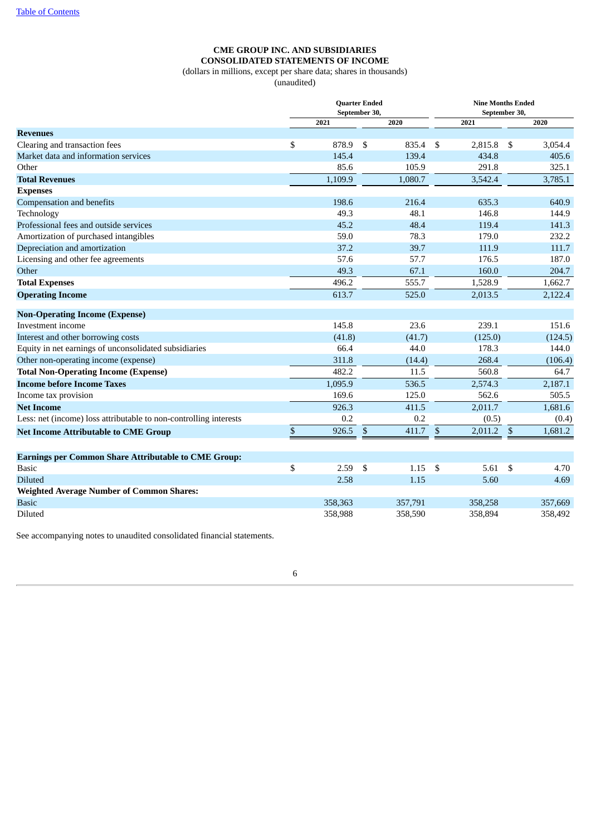#### **CME GROUP INC. AND SUBSIDIARIES CONSOLIDATED STATEMENTS OF INCOME** (dollars in millions, except per share data; shares in thousands)

(unaudited)

|                                                                   | <b>Quarter Ended</b> | September 30,             |         |                | <b>Nine Months Ended</b><br>September 30, |     |         |
|-------------------------------------------------------------------|----------------------|---------------------------|---------|----------------|-------------------------------------------|-----|---------|
|                                                                   | 2021                 |                           | 2020    |                | 2021                                      |     | 2020    |
| <b>Revenues</b>                                                   |                      |                           |         |                |                                           |     |         |
| Clearing and transaction fees                                     | \$<br>878.9          | \$                        | 835.4   | \$             | 2,815.8                                   | -\$ | 3,054.4 |
| Market data and information services                              | 145.4                |                           | 139.4   |                | 434.8                                     |     | 405.6   |
| Other                                                             | 85.6                 |                           | 105.9   |                | 291.8                                     |     | 325.1   |
| <b>Total Revenues</b>                                             | 1,109.9              |                           | 1,080.7 |                | 3,542.4                                   |     | 3,785.1 |
| <b>Expenses</b>                                                   |                      |                           |         |                |                                           |     |         |
| Compensation and benefits                                         | 198.6                |                           | 216.4   |                | 635.3                                     |     | 640.9   |
| Technology                                                        | 49.3                 |                           | 48.1    |                | 146.8                                     |     | 144.9   |
| Professional fees and outside services                            | 45.2                 |                           | 48.4    |                | 119.4                                     |     | 141.3   |
| Amortization of purchased intangibles                             | 59.0                 |                           | 78.3    |                | 179.0                                     |     | 232.2   |
| Depreciation and amortization                                     | 37.2                 |                           | 39.7    |                | 111.9                                     |     | 111.7   |
| Licensing and other fee agreements                                | 57.6                 |                           | 57.7    |                | 176.5                                     |     | 187.0   |
| Other                                                             | 49.3                 |                           | 67.1    |                | 160.0                                     |     | 204.7   |
| <b>Total Expenses</b>                                             | 496.2                |                           | 555.7   |                | 1,528.9                                   |     | 1,662.7 |
| <b>Operating Income</b>                                           | 613.7                |                           | 525.0   |                | 2,013.5                                   |     | 2,122.4 |
| <b>Non-Operating Income (Expense)</b>                             |                      |                           |         |                |                                           |     |         |
| Investment income                                                 | 145.8                |                           | 23.6    |                | 239.1                                     |     | 151.6   |
| Interest and other borrowing costs                                | (41.8)               |                           | (41.7)  |                | (125.0)                                   |     | (124.5) |
| Equity in net earnings of unconsolidated subsidiaries             | 66.4                 |                           | 44.0    |                | 178.3                                     |     | 144.0   |
| Other non-operating income (expense)                              | 311.8                |                           | (14.4)  |                | 268.4                                     |     | (106.4) |
| <b>Total Non-Operating Income (Expense)</b>                       | 482.2                |                           | 11.5    |                | 560.8                                     |     | 64.7    |
| <b>Income before Income Taxes</b>                                 | 1,095.9              |                           | 536.5   |                | 2,574.3                                   |     | 2,187.1 |
| Income tax provision                                              | 169.6                |                           | 125.0   |                | 562.6                                     |     | 505.5   |
| <b>Net Income</b>                                                 | 926.3                |                           | 411.5   |                | 2,011.7                                   |     | 1,681.6 |
| Less: net (income) loss attributable to non-controlling interests | 0.2                  |                           | 0.2     |                | (0.5)                                     |     | (0.4)   |
| <b>Net Income Attributable to CME Group</b>                       | \$<br>926.5          | $\boldsymbol{\mathsf{S}}$ | 411.7   | $\mathfrak{F}$ | 2,011.2                                   | \$  | 1,681.2 |
|                                                                   |                      |                           |         |                |                                           |     |         |
| <b>Earnings per Common Share Attributable to CME Group:</b>       |                      |                           |         |                |                                           |     |         |
| <b>Basic</b>                                                      | \$<br>2.59           | \$                        | 1.15    | \$             | 5.61                                      | \$  | 4.70    |
| <b>Diluted</b>                                                    | 2.58                 |                           | 1.15    |                | 5.60                                      |     | 4.69    |
| <b>Weighted Average Number of Common Shares:</b>                  |                      |                           |         |                |                                           |     |         |
| <b>Basic</b>                                                      | 358,363              |                           | 357,791 |                | 358,258                                   |     | 357,669 |
| Diluted                                                           | 358,988              |                           | 358,590 |                | 358,894                                   |     | 358,492 |

<span id="page-5-0"></span>See accompanying notes to unaudited consolidated financial statements.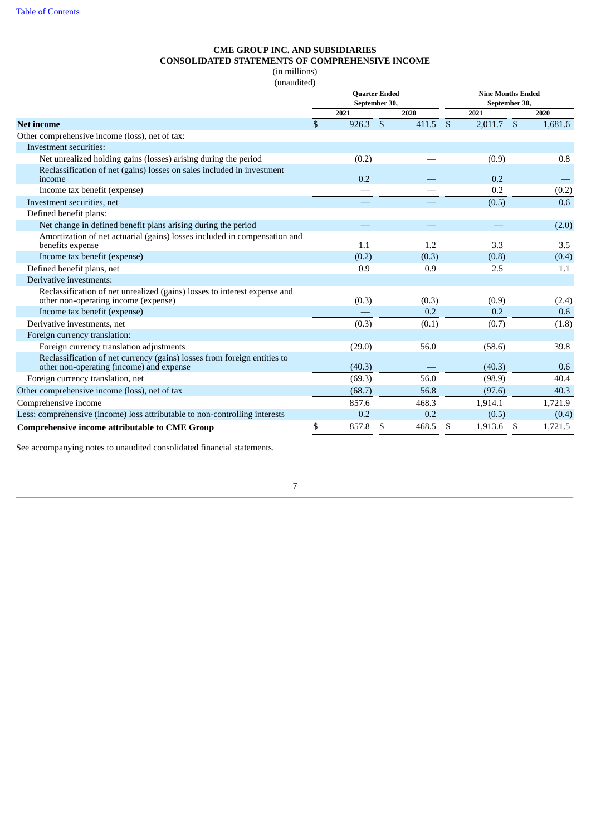# **CME GROUP INC. AND SUBSIDIARIES CONSOLIDATED STATEMENTS OF COMPREHENSIVE INCOME**

(in millions) (unaudited)

**Quarter Ended Nine Months Ended September 30, September 30, 2021 2020 2021 2020 Net income** \$ 926.3 \$ 411.5 \$ 2,011.7 \$ 1,681.6 Other comprehensive income (loss), net of tax: Investment securities: Net unrealized holding gains (losses) arising during the period (0.2) (0.2) (0.9) (0.8) (0.8) Reclassification of net (gains) losses on sales included in investment income  $0.2$  —  $0.2$  —  $0.2$  — Income tax benefit (expense)  $\qquad -$  0.2 (0.2) Investment securities, net  $\qquad \qquad \qquad \qquad$  0.5) 0.6 Defined benefit plans: Net change in defined benefit plans arising during the period — — — — — — — (2.0) Amortization of net actuarial (gains) losses included in compensation and benefits expense 1.1 1.2 3.3 3.5 Income tax benefit (expense) (0.2) (0.3) (0.8) (0.4) Defined benefit plans, net 1.1 Derivative investments: Reclassification of net unrealized (gains) losses to interest expense and other non-operating income (expense) (0.3) (0.3) (0.9) (2.4) Income tax benefit (expense) and the contract of the contract of the contract of the contract of the contract of the contract of the contract of the contract of the contract of the contract of the contract of the contract Derivative investments, net  $(0.3)$   $(0.1)$   $(0.7)$   $(1.8)$ Foreign currency translation: Foreign currency translation adjustments (29.0) 56.0 (58.6) 39.8 Reclassification of net currency (gains) losses from foreign entities to other non-operating (income) and expense (40.3) (40.3) (40.3) (40.3) (50.6) Foreign currency translation, net  $(69.3)$   $56.0$   $(98.9)$   $40.4$ Other comprehensive income (loss), net of tax (68.7) 56.8 (97.6) 40.3 Comprehensive income and the state of the state of the state of the state of the state of the state of the state of the state of the state of the state of the state of the state of the state of the state of the state of th Less: comprehensive (income) loss attributable to non-controlling interests 0.2 0.2 (0.5) (0.4) **Comprehensive income attributable to CME Group <br>**  $\text{S}$  **857.8 \$ 468.5 \$ 1,913.6 \$ 1,721.5** 

<span id="page-6-0"></span>See accompanying notes to unaudited consolidated financial statements.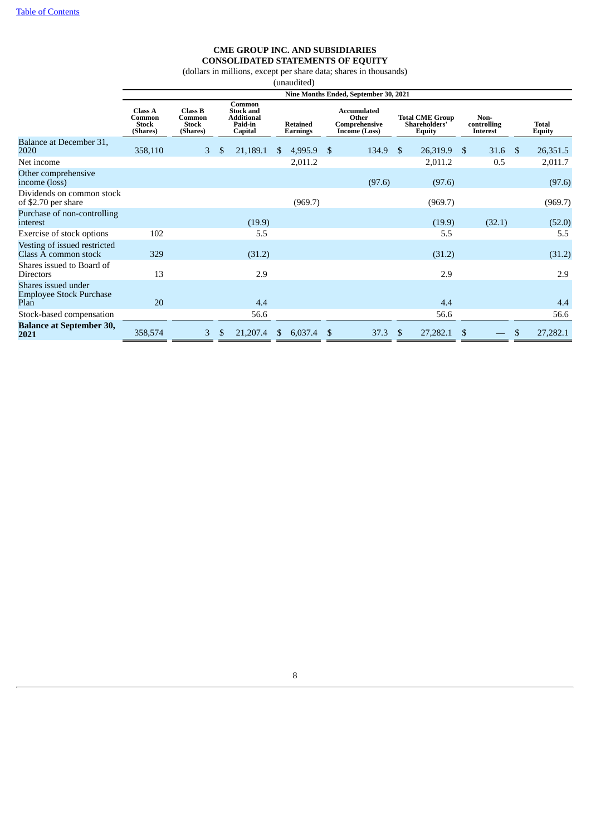# **CME GROUP INC. AND SUBSIDIARIES CONSOLIDATED STATEMENTS OF EQUITY**

(dollars in millions, except per share data; shares in thousands)

|                                                               |                                                      |                                                      |               |                                                                       |              |                                    | Nine Months Ended, September 30, 2021                                |              |                                                          |               |                                        |               |                               |
|---------------------------------------------------------------|------------------------------------------------------|------------------------------------------------------|---------------|-----------------------------------------------------------------------|--------------|------------------------------------|----------------------------------------------------------------------|--------------|----------------------------------------------------------|---------------|----------------------------------------|---------------|-------------------------------|
|                                                               | <b>Class A</b><br>Common<br><b>Stock</b><br>(Shares) | <b>Class B</b><br>Common<br><b>Stock</b><br>(Shares) |               | Common<br><b>Stock and</b><br><b>Additional</b><br>Paid-in<br>Capital |              | <b>Retained</b><br><b>Earnings</b> | <b>Accumulated</b><br>Other<br>Comprehensive<br><b>Income (Loss)</b> |              | <b>Total CME Group</b><br>Shareholders'<br><b>Equity</b> |               | Non-<br>controlling<br><b>Interest</b> |               | <b>Total</b><br><b>Equity</b> |
| Balance at December 31,<br>2020                               | 358,110                                              | 3                                                    | <sup>\$</sup> | 21,189.1                                                              | $\mathbb{S}$ | 4,995.9                            | \$<br>134.9                                                          | $\mathbb{S}$ | 26,319.9                                                 | <sup>\$</sup> | 31.6                                   | <sup>\$</sup> | 26,351.5                      |
| Net income                                                    |                                                      |                                                      |               |                                                                       |              | 2,011.2                            |                                                                      |              | 2,011.2                                                  |               | 0.5                                    |               | 2,011.7                       |
| Other comprehensive<br>income (loss)                          |                                                      |                                                      |               |                                                                       |              |                                    | (97.6)                                                               |              | (97.6)                                                   |               |                                        |               | (97.6)                        |
| Dividends on common stock<br>of \$2.70 per share              |                                                      |                                                      |               |                                                                       |              | (969.7)                            |                                                                      |              | (969.7)                                                  |               |                                        |               | (969.7)                       |
| Purchase of non-controlling<br>interest                       |                                                      |                                                      |               | (19.9)                                                                |              |                                    |                                                                      |              | (19.9)                                                   |               | (32.1)                                 |               | (52.0)                        |
| Exercise of stock options                                     | 102                                                  |                                                      |               | 5.5                                                                   |              |                                    |                                                                      |              | 5.5                                                      |               |                                        |               | 5.5                           |
| Vesting of issued restricted<br>Class A common stock          | 329                                                  |                                                      |               | (31.2)                                                                |              |                                    |                                                                      |              | (31.2)                                                   |               |                                        |               | (31.2)                        |
| Shares issued to Board of<br>Directors                        | 13                                                   |                                                      |               | 2.9                                                                   |              |                                    |                                                                      |              | 2.9                                                      |               |                                        |               | 2.9                           |
| Shares issued under<br><b>Employee Stock Purchase</b><br>Plan | 20                                                   |                                                      |               | 4.4                                                                   |              |                                    |                                                                      |              | 4.4                                                      |               |                                        |               | 4.4                           |
| Stock-based compensation                                      |                                                      |                                                      |               | 56.6                                                                  |              |                                    |                                                                      |              | 56.6                                                     |               |                                        |               | 56.6                          |
| <b>Balance at September 30,</b><br>2021                       | 358,574                                              | 3                                                    | \$            | 21,207.4                                                              | \$           | 6,037.4                            | \$<br>37.3                                                           | \$           | 27,282.1                                                 | \$            |                                        |               | 27,282.1                      |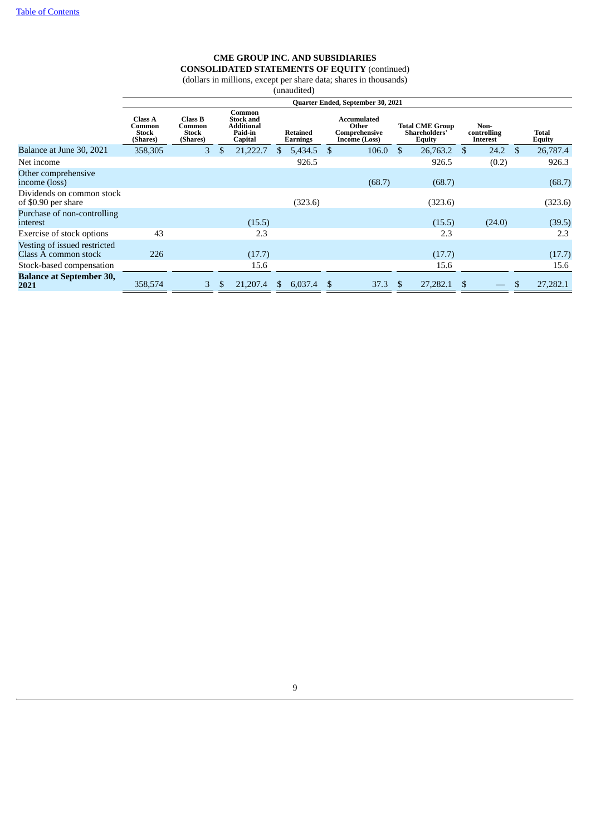# **CME GROUP INC. AND SUBSIDIARIES**

**CONSOLIDATED STATEMENTS OF EQUITY** (continued)

(dollars in millions, except per share data; shares in thousands)

|                                                      | Quarter Ended, September 30, 2021                    |                                        |    |                                                                       |     |                      |     |                                                                      |               |                                                          |     |                                 |     |                        |
|------------------------------------------------------|------------------------------------------------------|----------------------------------------|----|-----------------------------------------------------------------------|-----|----------------------|-----|----------------------------------------------------------------------|---------------|----------------------------------------------------------|-----|---------------------------------|-----|------------------------|
|                                                      | <b>Class A</b><br>Common<br><b>Stock</b><br>(Shares) | Class B<br>Common<br>Stock<br>(Shares) |    | Common<br><b>Stock and</b><br><b>Additional</b><br>Paid-in<br>Capital |     | Retained<br>Earnings |     | <b>Accumulated</b><br>Other<br>Comprehensive<br><b>Income (Loss)</b> |               | <b>Total CME Group</b><br><b>Shareholders'</b><br>Equity |     | Non-<br>controlling<br>Interest |     | <b>Total</b><br>Equity |
| Balance at June 30, 2021                             | 358,305                                              | 3                                      | \$ | 21,222.7                                                              | \$. | 5,434.5              | \$. | 106.0                                                                | <sup>\$</sup> | 26,763.2                                                 | \$. | 24.2                            | -\$ | 26,787.4               |
| Net income                                           |                                                      |                                        |    |                                                                       |     | 926.5                |     |                                                                      |               | 926.5                                                    |     | (0.2)                           |     | 926.3                  |
| Other comprehensive<br>income (loss)                 |                                                      |                                        |    |                                                                       |     |                      |     | (68.7)                                                               |               | (68.7)                                                   |     |                                 |     | (68.7)                 |
| Dividends on common stock<br>of \$0.90 per share     |                                                      |                                        |    |                                                                       |     | (323.6)              |     |                                                                      |               | (323.6)                                                  |     |                                 |     | (323.6)                |
| Purchase of non-controlling<br>interest              |                                                      |                                        |    | (15.5)                                                                |     |                      |     |                                                                      |               | (15.5)                                                   |     | (24.0)                          |     | (39.5)                 |
| Exercise of stock options                            | 43                                                   |                                        |    | 2.3                                                                   |     |                      |     |                                                                      |               | 2.3                                                      |     |                                 |     | 2.3                    |
| Vesting of issued restricted<br>Class A common stock | 226                                                  |                                        |    | (17.7)                                                                |     |                      |     |                                                                      |               | (17.7)                                                   |     |                                 |     | (17.7)                 |
| Stock-based compensation                             |                                                      |                                        |    | 15.6                                                                  |     |                      |     |                                                                      |               | 15.6                                                     |     |                                 |     | 15.6                   |
| <b>Balance at September 30,</b><br>2021              | 358,574                                              | 3                                      | -S | 21,207.4                                                              | \$  | $6,037.4$ \$         |     | 37.3                                                                 | - \$          | 27,282.1                                                 | -S  |                                 |     | 27,282.1               |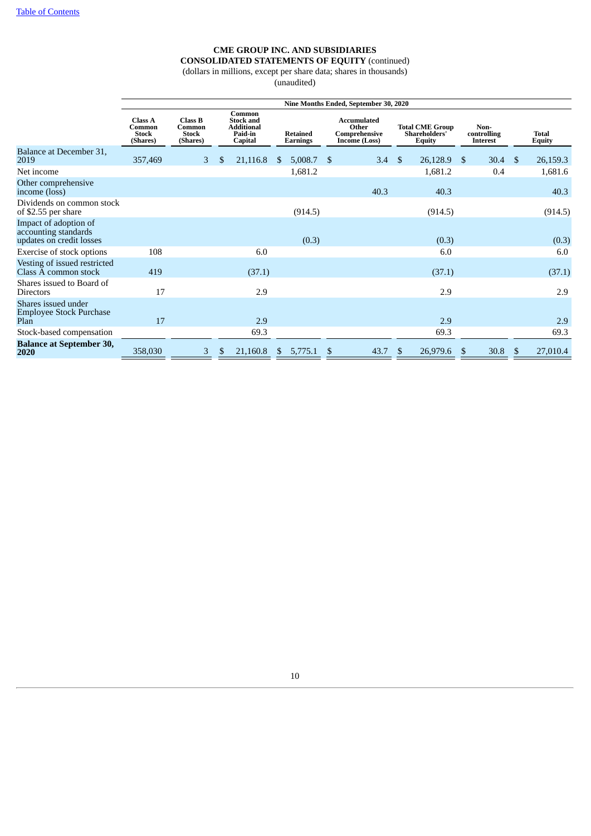# **CME GROUP INC. AND SUBSIDIARIES**

**CONSOLIDATED STATEMENTS OF EQUITY** (continued)

(dollars in millions, except per share data; shares in thousands)

|                                                                           |                                                      |                                                      |               |                                                                |     |                                    | Nine Months Ended, September 30, 2020                                |     |                                                          |      |                                        |    |                               |
|---------------------------------------------------------------------------|------------------------------------------------------|------------------------------------------------------|---------------|----------------------------------------------------------------|-----|------------------------------------|----------------------------------------------------------------------|-----|----------------------------------------------------------|------|----------------------------------------|----|-------------------------------|
|                                                                           | <b>Class A</b><br>Common<br><b>Stock</b><br>(Shares) | <b>Class B</b><br>Common<br><b>Stock</b><br>(Shares) |               | Common<br><b>Stock and</b><br>Additional<br>Paid-in<br>Capital |     | <b>Retained</b><br><b>Earnings</b> | <b>Accumulated</b><br>Other<br>Comprehensive<br><b>Income (Loss)</b> |     | <b>Total CME Group</b><br>Shareholders'<br><b>Equity</b> |      | Non-<br>controlling<br><b>Interest</b> |    | <b>Total</b><br><b>Equity</b> |
| Balance at December 31,<br>2019                                           | 357,469                                              | 3                                                    | S             | 21,116.8                                                       | \$  | $5,008.7$ \$                       | 3.4                                                                  | -\$ | 26,128.9                                                 | - \$ | 30.4                                   | -S | 26,159.3                      |
| Net income                                                                |                                                      |                                                      |               |                                                                |     | 1,681.2                            |                                                                      |     | 1,681.2                                                  |      | 0.4                                    |    | 1,681.6                       |
| Other comprehensive<br>income (loss)                                      |                                                      |                                                      |               |                                                                |     |                                    | 40.3                                                                 |     | 40.3                                                     |      |                                        |    | 40.3                          |
| Dividends on common stock<br>of \$2.55 per share                          |                                                      |                                                      |               |                                                                |     | (914.5)                            |                                                                      |     | (914.5)                                                  |      |                                        |    | (914.5)                       |
| Impact of adoption of<br>accounting standards<br>updates on credit losses |                                                      |                                                      |               |                                                                |     | (0.3)                              |                                                                      |     | (0.3)                                                    |      |                                        |    | (0.3)                         |
| Exercise of stock options                                                 | 108                                                  |                                                      |               | 6.0                                                            |     |                                    |                                                                      |     | 6.0                                                      |      |                                        |    | 6.0                           |
| Vesting of issued restricted<br>Class A common stock                      | 419                                                  |                                                      |               | (37.1)                                                         |     |                                    |                                                                      |     | (37.1)                                                   |      |                                        |    | (37.1)                        |
| Shares issued to Board of<br>Directors                                    | 17                                                   |                                                      |               | 2.9                                                            |     |                                    |                                                                      |     | 2.9                                                      |      |                                        |    | 2.9                           |
| Shares issued under<br><b>Employee Stock Purchase</b><br>Plan             | 17                                                   |                                                      |               | 2.9                                                            |     |                                    |                                                                      |     | 2.9                                                      |      |                                        |    | 2.9                           |
| Stock-based compensation                                                  |                                                      |                                                      |               | 69.3                                                           |     |                                    |                                                                      |     | 69.3                                                     |      |                                        |    | 69.3                          |
| <b>Balance at September 30,</b><br>2020                                   | 358,030                                              | 3                                                    | <sup>\$</sup> | 21,160.8                                                       | \$. | 5,775.1                            | \$<br>43.7                                                           | S   | 26,979.6                                                 | \$   | 30.8                                   | -S | 27,010.4                      |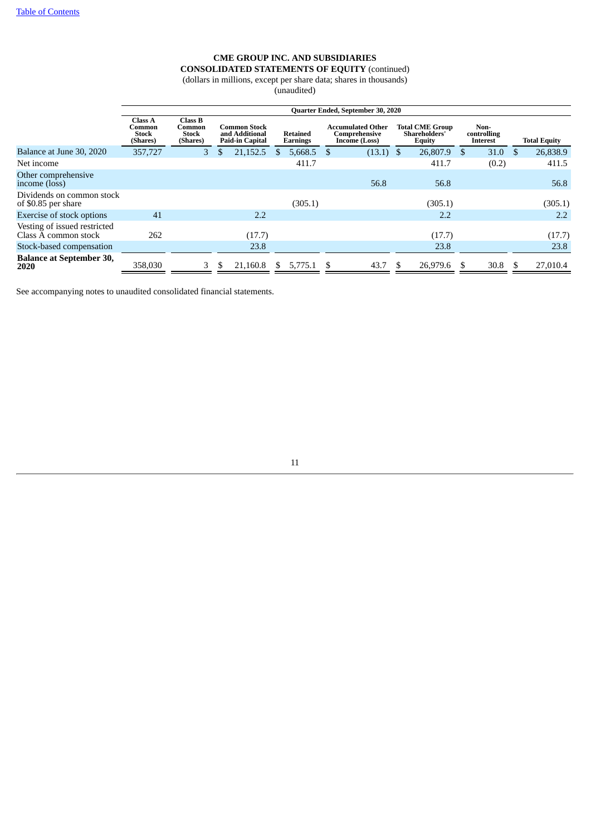# **CME GROUP INC. AND SUBSIDIARIES**

**CONSOLIDATED STATEMENTS OF EQUITY** (continued) (dollars in millions, except per share data; shares in thousands)

(unaudited)

|                                                      |                                                      |                                        |    |                                                   |   |                             |   | Quarter Ended, September 30, 2020                          |      |                                                          |     |                                 |    |                     |
|------------------------------------------------------|------------------------------------------------------|----------------------------------------|----|---------------------------------------------------|---|-----------------------------|---|------------------------------------------------------------|------|----------------------------------------------------------|-----|---------------------------------|----|---------------------|
|                                                      | <b>Class A</b><br>Common<br><b>Stock</b><br>(Shares) | Class B<br>Common<br>Stock<br>(Shares) |    | Common Stock<br>and Additional<br>Paid-in Capital |   | Retained<br><b>Earnings</b> |   | Accumulated Other<br>Comprehensive<br><b>Income (Loss)</b> |      | <b>Total CME Group</b><br>Shareholders'<br><b>Equity</b> |     | Non-<br>controlling<br>Interest |    | <b>Total Equity</b> |
| Balance at June 30, 2020                             | 357,727                                              | 3                                      | \$ | 21,152.5                                          | S | 5,668.5                     |   | (13.1)                                                     | - \$ | 26,807.9                                                 | \$. | 31.0                            | S  | 26,838.9            |
| Net income                                           |                                                      |                                        |    |                                                   |   | 411.7                       |   |                                                            |      | 411.7                                                    |     | (0.2)                           |    | 411.5               |
| Other comprehensive<br>income (loss)                 |                                                      |                                        |    |                                                   |   |                             |   | 56.8                                                       |      | 56.8                                                     |     |                                 |    | 56.8                |
| Dividends on common stock<br>of \$0.85 per share     |                                                      |                                        |    |                                                   |   | (305.1)                     |   |                                                            |      | (305.1)                                                  |     |                                 |    | (305.1)             |
| <b>Exercise of stock options</b>                     | 41                                                   |                                        |    | 2.2                                               |   |                             |   |                                                            |      | 2.2                                                      |     |                                 |    | 2.2                 |
| Vesting of issued restricted<br>Class A common stock | 262                                                  |                                        |    | (17.7)                                            |   |                             |   |                                                            |      | (17.7)                                                   |     |                                 |    | (17.7)              |
| Stock-based compensation                             |                                                      |                                        |    | 23.8                                              |   |                             |   |                                                            |      | 23.8                                                     |     |                                 |    | 23.8                |
| <b>Balance at September 30,</b><br>2020              | 358,030                                              | 3                                      | S  | 21,160.8                                          | S | 5,775.1                     | S | 43.7                                                       | -S   | 26,979.6                                                 | S   | 30.8                            | Ъ, | 27,010.4            |

<span id="page-10-0"></span>See accompanying notes to unaudited consolidated financial statements.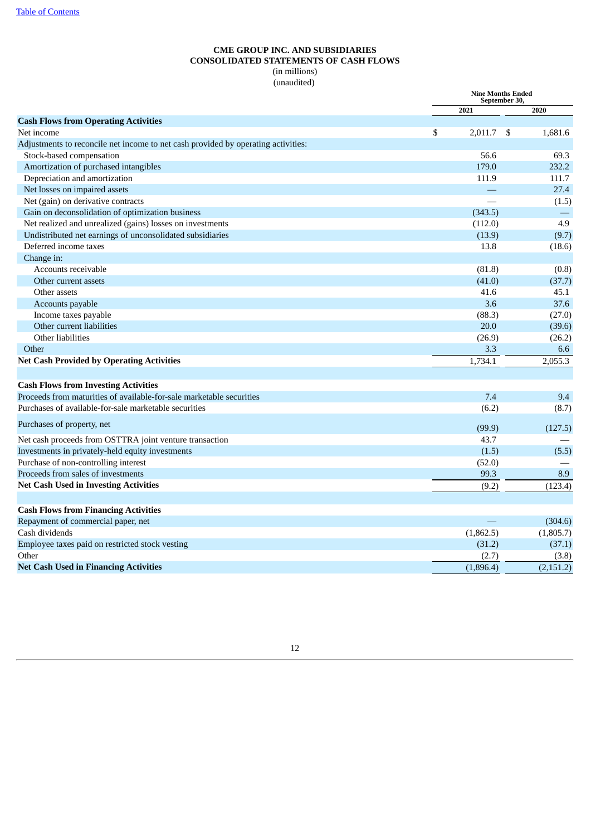# **CME GROUP INC. AND SUBSIDIARIES CONSOLIDATED STATEMENTS OF CASH FLOWS** (in millions)

|                                                                                   |               | <b>Nine Months Ended</b><br>September 30, |
|-----------------------------------------------------------------------------------|---------------|-------------------------------------------|
|                                                                                   | 2021          | 2020                                      |
| <b>Cash Flows from Operating Activities</b>                                       |               |                                           |
| Net income                                                                        | \$<br>2.011.7 | 1.681.6<br>- \$                           |
| Adjustments to reconcile net income to net cash provided by operating activities: |               |                                           |
| Stock-based compensation                                                          | 56.6          | 69.3                                      |
| Amortization of purchased intangibles                                             | 179.0         | 232.2                                     |
| Depreciation and amortization                                                     | 111.9         | 111.7                                     |
| Net losses on impaired assets                                                     |               | 27.4                                      |
| Net (gain) on derivative contracts                                                |               | (1.5)                                     |
| Gain on deconsolidation of optimization business                                  | (343.5)       |                                           |
| Net realized and unrealized (gains) losses on investments                         | (112.0)       | 4.9                                       |
| Undistributed net earnings of unconsolidated subsidiaries                         | (13.9)        | (9.7)                                     |
| Deferred income taxes                                                             | 13.8          | (18.6)                                    |
| Change in:                                                                        |               |                                           |
| Accounts receivable                                                               | (81.8)        | (0.8)                                     |
| Other current assets                                                              | (41.0)        | (37.7)                                    |
| Other assets                                                                      | 41.6          | 45.1                                      |
| Accounts payable                                                                  | 3.6           | 37.6                                      |
| Income taxes payable                                                              | (88.3)        | (27.0)                                    |
| Other current liabilities                                                         | 20.0          | (39.6)                                    |
| Other liabilities                                                                 | (26.9)        | (26.2)                                    |
| Other                                                                             | 3.3           | 6.6                                       |
| <b>Net Cash Provided by Operating Activities</b>                                  | 1,734.1       | 2,055.3                                   |
|                                                                                   |               |                                           |
| <b>Cash Flows from Investing Activities</b>                                       |               |                                           |
| Proceeds from maturities of available-for-sale marketable securities              | 7.4           | 9.4                                       |
| Purchases of available-for-sale marketable securities                             | (6.2)         | (8.7)                                     |
| Purchases of property, net                                                        | (99.9)        | (127.5)                                   |
| Net cash proceeds from OSTTRA joint venture transaction                           | 43.7          |                                           |
| Investments in privately-held equity investments                                  | (1.5)         | (5.5)                                     |
| Purchase of non-controlling interest                                              | (52.0)        |                                           |
| Proceeds from sales of investments                                                | 99.3          | 8.9                                       |
| <b>Net Cash Used in Investing Activities</b>                                      | (9.2)         | (123.4)                                   |
|                                                                                   |               |                                           |
| <b>Cash Flows from Financing Activities</b>                                       |               |                                           |
| Repayment of commercial paper, net                                                |               | (304.6)                                   |
| Cash dividends                                                                    | (1,862.5)     | (1,805.7)                                 |
| Employee taxes paid on restricted stock vesting                                   | (31.2)        | (37.1)                                    |
| Other                                                                             | (2.7)         | (3.8)                                     |
| <b>Net Cash Used in Financing Activities</b>                                      | (1,896.4)     | (2, 151.2)                                |

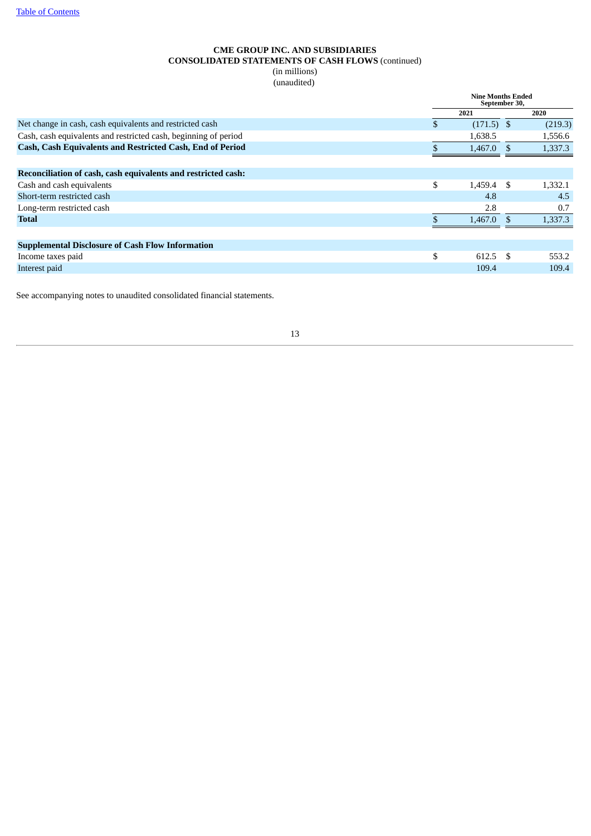#### **CME GROUP INC. AND SUBSIDIARIES CONSOLIDATED STATEMENTS OF CASH FLOWS** (continued) (in millions)

(unaudited)

|                                                                 |     | <b>Nine Months Ended</b><br>September 30, |         |
|-----------------------------------------------------------------|-----|-------------------------------------------|---------|
|                                                                 |     | 2021                                      | 2020    |
| Net change in cash, cash equivalents and restricted cash        | \$. | $(171.5)$ \$                              | (219.3) |
| Cash, cash equivalents and restricted cash, beginning of period |     | 1,638.5                                   | 1,556.6 |
| Cash, Cash Equivalents and Restricted Cash, End of Period       |     | 1,467.0                                   | 1,337.3 |
|                                                                 |     |                                           |         |
| Reconciliation of cash, cash equivalents and restricted cash:   |     |                                           |         |
| Cash and cash equivalents                                       | \$  | $1,459.4$ \$                              | 1,332.1 |
| Short-term restricted cash                                      |     | 4.8                                       | 4.5     |
| Long-term restricted cash                                       |     | 2.8                                       | 0.7     |
| <b>Total</b>                                                    |     | 1,467.0                                   | 1,337.3 |
|                                                                 |     |                                           |         |
| <b>Supplemental Disclosure of Cash Flow Information</b>         |     |                                           |         |
| Income taxes paid                                               | \$  | 612.5 \$                                  | 553.2   |
| Interest paid                                                   |     | 109.4                                     | 109.4   |
|                                                                 |     |                                           |         |

<span id="page-12-0"></span>See accompanying notes to unaudited consolidated financial statements.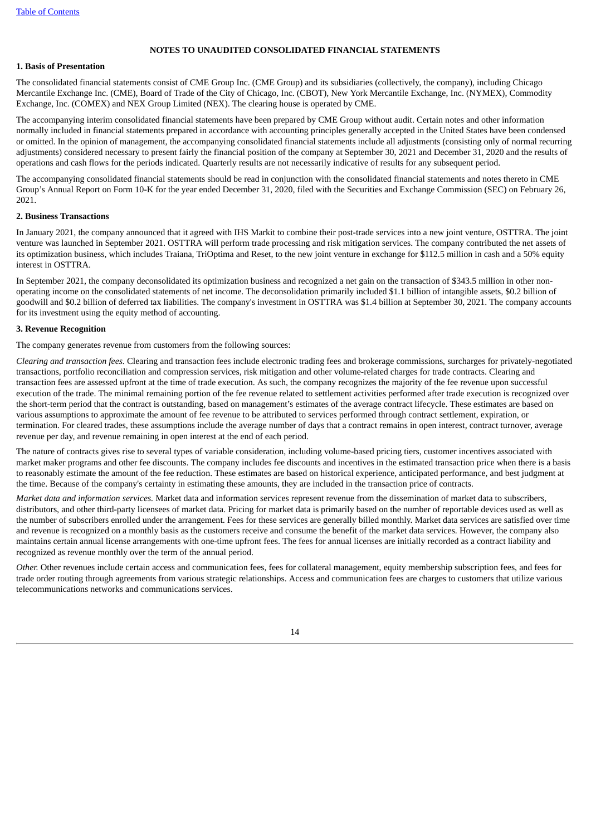#### **NOTES TO UNAUDITED CONSOLIDATED FINANCIAL STATEMENTS**

#### **1. Basis of Presentation**

The consolidated financial statements consist of CME Group Inc. (CME Group) and its subsidiaries (collectively, the company), including Chicago Mercantile Exchange Inc. (CME), Board of Trade of the City of Chicago, Inc. (CBOT), New York Mercantile Exchange, Inc. (NYMEX), Commodity Exchange, Inc. (COMEX) and NEX Group Limited (NEX). The clearing house is operated by CME.

The accompanying interim consolidated financial statements have been prepared by CME Group without audit. Certain notes and other information normally included in financial statements prepared in accordance with accounting principles generally accepted in the United States have been condensed or omitted. In the opinion of management, the accompanying consolidated financial statements include all adjustments (consisting only of normal recurring adjustments) considered necessary to present fairly the financial position of the company at September 30, 2021 and December 31, 2020 and the results of operations and cash flows for the periods indicated. Quarterly results are not necessarily indicative of results for any subsequent period.

The accompanying consolidated financial statements should be read in conjunction with the consolidated financial statements and notes thereto in CME Group's Annual Report on Form 10-K for the year ended December 31, 2020, filed with the Securities and Exchange Commission (SEC) on February 26, 2021.

#### **2. Business Transactions**

In January 2021, the company announced that it agreed with IHS Markit to combine their post-trade services into a new joint venture, OSTTRA. The joint venture was launched in September 2021. OSTTRA will perform trade processing and risk mitigation services. The company contributed the net assets of its optimization business, which includes Traiana, TriOptima and Reset, to the new joint venture in exchange for \$112.5 million in cash and a 50% equity interest in OSTTRA.

In September 2021, the company deconsolidated its optimization business and recognized a net gain on the transaction of \$343.5 million in other nonoperating income on the consolidated statements of net income. The deconsolidation primarily included \$1.1 billion of intangible assets, \$0.2 billion of goodwill and \$0.2 billion of deferred tax liabilities. The company's investment in OSTTRA was \$1.4 billion at September 30, 2021. The company accounts for its investment using the equity method of accounting.

#### **3. Revenue Recognition**

The company generates revenue from customers from the following sources:

*Clearing and transaction fees.* Clearing and transaction fees include electronic trading fees and brokerage commissions, surcharges for privately-negotiated transactions, portfolio reconciliation and compression services, risk mitigation and other volume-related charges for trade contracts. Clearing and transaction fees are assessed upfront at the time of trade execution. As such, the company recognizes the majority of the fee revenue upon successful execution of the trade. The minimal remaining portion of the fee revenue related to settlement activities performed after trade execution is recognized over the short-term period that the contract is outstanding, based on management's estimates of the average contract lifecycle. These estimates are based on various assumptions to approximate the amount of fee revenue to be attributed to services performed through contract settlement, expiration, or termination. For cleared trades, these assumptions include the average number of days that a contract remains in open interest, contract turnover, average revenue per day, and revenue remaining in open interest at the end of each period.

The nature of contracts gives rise to several types of variable consideration, including volume-based pricing tiers, customer incentives associated with market maker programs and other fee discounts. The company includes fee discounts and incentives in the estimated transaction price when there is a basis to reasonably estimate the amount of the fee reduction. These estimates are based on historical experience, anticipated performance, and best judgment at the time. Because of the company's certainty in estimating these amounts, they are included in the transaction price of contracts.

*Market data and information services.* Market data and information services represent revenue from the dissemination of market data to subscribers, distributors, and other third-party licensees of market data. Pricing for market data is primarily based on the number of reportable devices used as well as the number of subscribers enrolled under the arrangement. Fees for these services are generally billed monthly. Market data services are satisfied over time and revenue is recognized on a monthly basis as the customers receive and consume the benefit of the market data services. However, the company also maintains certain annual license arrangements with one-time upfront fees. The fees for annual licenses are initially recorded as a contract liability and recognized as revenue monthly over the term of the annual period.

*Other.* Other revenues include certain access and communication fees, fees for collateral management, equity membership subscription fees, and fees for trade order routing through agreements from various strategic relationships. Access and communication fees are charges to customers that utilize various telecommunications networks and communications services.

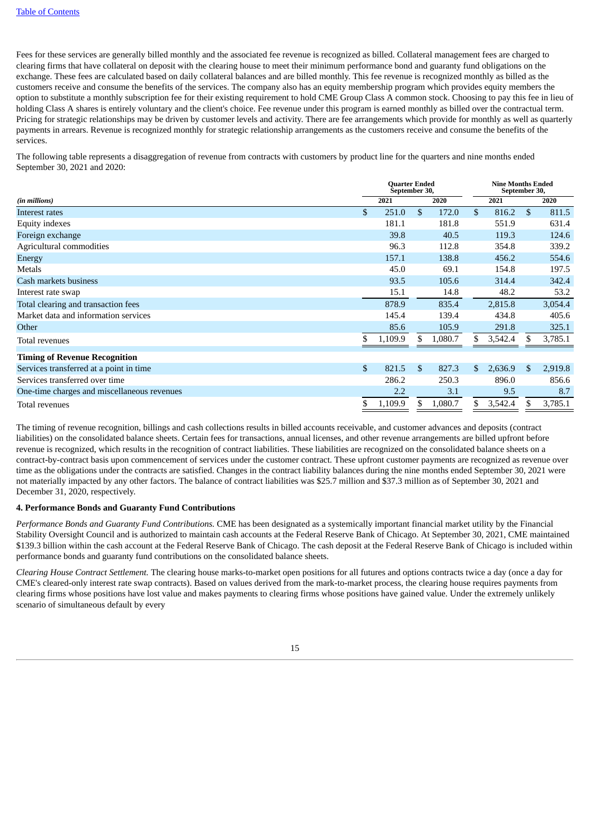Fees for these services are generally billed monthly and the associated fee revenue is recognized as billed. Collateral management fees are charged to clearing firms that have collateral on deposit with the clearing house to meet their minimum performance bond and guaranty fund obligations on the exchange. These fees are calculated based on daily collateral balances and are billed monthly. This fee revenue is recognized monthly as billed as the customers receive and consume the benefits of the services. The company also has an equity membership program which provides equity members the option to substitute a monthly subscription fee for their existing requirement to hold CME Group Class A common stock. Choosing to pay this fee in lieu of holding Class A shares is entirely voluntary and the client's choice. Fee revenue under this program is earned monthly as billed over the contractual term. Pricing for strategic relationships may be driven by customer levels and activity. There are fee arrangements which provide for monthly as well as quarterly payments in arrears. Revenue is recognized monthly for strategic relationship arrangements as the customers receive and consume the benefits of the services.

The following table represents a disaggregation of revenue from contracts with customers by product line for the quarters and nine months ended September 30, 2021 and 2020:

|                                             | <b>Ouarter Ended</b><br>September 30, |         |     |         |              | <b>Nine Months Ended</b><br>September 30, |              |         |  |  |
|---------------------------------------------|---------------------------------------|---------|-----|---------|--------------|-------------------------------------------|--------------|---------|--|--|
| (in millions)                               |                                       | 2021    |     | 2020    |              | 2021                                      |              | 2020    |  |  |
| Interest rates                              | $\mathbb{S}$                          | 251.0   | \$  | 172.0   | $\mathbb{S}$ | 816.2                                     | $\mathbb{S}$ | 811.5   |  |  |
| <b>Equity indexes</b>                       |                                       | 181.1   |     | 181.8   |              | 551.9                                     |              | 631.4   |  |  |
| Foreign exchange                            |                                       | 39.8    |     | 40.5    |              | 119.3                                     |              | 124.6   |  |  |
| Agricultural commodities                    |                                       | 96.3    |     | 112.8   |              | 354.8                                     |              | 339.2   |  |  |
| <b>Energy</b>                               |                                       | 157.1   |     | 138.8   |              | 456.2                                     |              | 554.6   |  |  |
| <b>Metals</b>                               |                                       | 45.0    |     | 69.1    |              | 154.8                                     |              | 197.5   |  |  |
| Cash markets business                       |                                       | 93.5    |     | 105.6   |              | 314.4                                     |              | 342.4   |  |  |
| Interest rate swap                          |                                       | 15.1    |     | 14.8    |              | 48.2                                      |              | 53.2    |  |  |
| Total clearing and transaction fees         |                                       | 878.9   |     | 835.4   |              | 2,815.8                                   |              | 3,054.4 |  |  |
| Market data and information services        |                                       | 145.4   |     | 139.4   |              | 434.8                                     |              | 405.6   |  |  |
| Other                                       |                                       | 85.6    |     | 105.9   |              | 291.8                                     |              | 325.1   |  |  |
| Total revenues                              |                                       | 1,109.9 | \$. | 1,080.7 | \$           | 3,542.4                                   | \$.          | 3,785.1 |  |  |
| <b>Timing of Revenue Recognition</b>        |                                       |         |     |         |              |                                           |              |         |  |  |
| Services transferred at a point in time     | $\mathbb{S}$                          | 821.5   | \$  | 827.3   | \$           | 2,636.9                                   | \$.          | 2,919.8 |  |  |
| Services transferred over time              |                                       | 286.2   |     | 250.3   |              | 896.0                                     |              | 856.6   |  |  |
| One-time charges and miscellaneous revenues |                                       | 2.2     |     | 3.1     |              | 9.5                                       |              | 8.7     |  |  |
| Total revenues                              | \$                                    | 1,109.9 | \$. | 1,080.7 | \$           | 3,542.4                                   |              | 3,785.1 |  |  |

The timing of revenue recognition, billings and cash collections results in billed accounts receivable, and customer advances and deposits (contract liabilities) on the consolidated balance sheets. Certain fees for transactions, annual licenses, and other revenue arrangements are billed upfront before revenue is recognized, which results in the recognition of contract liabilities. These liabilities are recognized on the consolidated balance sheets on a contract-by-contract basis upon commencement of services under the customer contract. These upfront customer payments are recognized as revenue over time as the obligations under the contracts are satisfied. Changes in the contract liability balances during the nine months ended September 30, 2021 were not materially impacted by any other factors. The balance of contract liabilities was \$25.7 million and \$37.3 million as of September 30, 2021 and December 31, 2020, respectively.

#### **4. Performance Bonds and Guaranty Fund Contributions**

*Performance Bonds and Guaranty Fund Contributions.* CME has been designated as a systemically important financial market utility by the Financial Stability Oversight Council and is authorized to maintain cash accounts at the Federal Reserve Bank of Chicago. At September 30, 2021, CME maintained \$139.3 billion within the cash account at the Federal Reserve Bank of Chicago. The cash deposit at the Federal Reserve Bank of Chicago is included within performance bonds and guaranty fund contributions on the consolidated balance sheets.

*Clearing House Contract Settlement.* The clearing house marks-to-market open positions for all futures and options contracts twice a day (once a day for CME's cleared-only interest rate swap contracts). Based on values derived from the mark-to-market process, the clearing house requires payments from clearing firms whose positions have lost value and makes payments to clearing firms whose positions have gained value. Under the extremely unlikely scenario of simultaneous default by every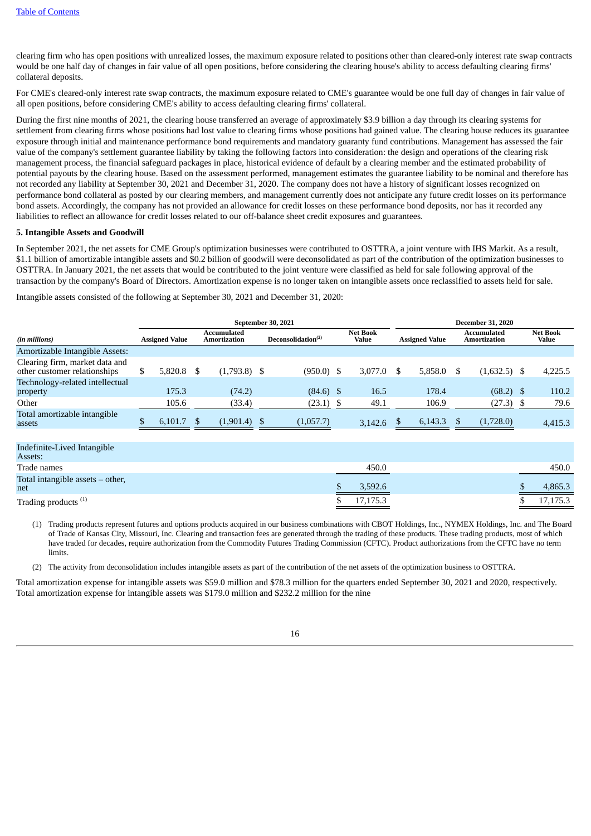clearing firm who has open positions with unrealized losses, the maximum exposure related to positions other than cleared-only interest rate swap contracts would be one half day of changes in fair value of all open positions, before considering the clearing house's ability to access defaulting clearing firms' collateral deposits.

For CME's cleared-only interest rate swap contracts, the maximum exposure related to CME's guarantee would be one full day of changes in fair value of all open positions, before considering CME's ability to access defaulting clearing firms' collateral.

During the first nine months of 2021, the clearing house transferred an average of approximately \$3.9 billion a day through its clearing systems for settlement from clearing firms whose positions had lost value to clearing firms whose positions had gained value. The clearing house reduces its guarantee exposure through initial and maintenance performance bond requirements and mandatory guaranty fund contributions. Management has assessed the fair value of the company's settlement guarantee liability by taking the following factors into consideration: the design and operations of the clearing risk management process, the financial safeguard packages in place, historical evidence of default by a clearing member and the estimated probability of potential payouts by the clearing house. Based on the assessment performed, management estimates the guarantee liability to be nominal and therefore has not recorded any liability at September 30, 2021 and December 31, 2020. The company does not have a history of significant losses recognized on performance bond collateral as posted by our clearing members, and management currently does not anticipate any future credit losses on its performance bond assets. Accordingly, the company has not provided an allowance for credit losses on these performance bond deposits, nor has it recorded any liabilities to reflect an allowance for credit losses related to our off-balance sheet credit exposures and guarantees.

#### **5. Intangible Assets and Goodwill**

In September 2021, the net assets for CME Group's optimization businesses were contributed to OSTTRA, a joint venture with IHS Markit. As a result, \$1.1 billion of amortizable intangible assets and \$0.2 billion of goodwill were deconsolidated as part of the contribution of the optimization businesses to OSTTRA. In January 2021, the net assets that would be contributed to the joint venture were classified as held for sale following approval of the transaction by the company's Board of Directors. Amortization expense is no longer taken on intangible assets once reclassified to assets held for sale.

Intangible assets consisted of the following at September 30, 2021 and December 31, 2020:

|                                                                | <b>September 30, 2021</b> |                       |      |                                    |                                                      |              |    | <b>December 31, 2020</b> |                                    |         |               |                          |    |         |
|----------------------------------------------------------------|---------------------------|-----------------------|------|------------------------------------|------------------------------------------------------|--------------|----|--------------------------|------------------------------------|---------|---------------|--------------------------|----|---------|
| (in millions)                                                  |                           | <b>Assigned Value</b> |      | Accumulated<br><b>Amortization</b> | <b>Net Book</b><br>Deconsolidation $^{(2)}$<br>Value |              |    | <b>Assigned Value</b>    | Accumulated<br><b>Amortization</b> |         |               | <b>Net Book</b><br>Value |    |         |
| Amortizable Intangible Assets:                                 |                           |                       |      |                                    |                                                      |              |    |                          |                                    |         |               |                          |    |         |
| Clearing firm, market data and<br>other customer relationships | \$                        | 5,820.8               | -S   | $(1,793.8)$ \$                     |                                                      | $(950.0)$ \$ |    | 3,077.0                  | \$.                                | 5,858.0 | S             | $(1,632.5)$ \$           |    | 4,225.5 |
| Technology-related intellectual<br>property                    |                           | 175.3                 |      | (74.2)                             |                                                      | $(84.6)$ \$  |    | 16.5                     |                                    | 178.4   |               | $(68.2)$ \$              |    | 110.2   |
| Other                                                          |                           | 105.6                 |      | (33.4)                             |                                                      | $(23.1)$ \$  |    | 49.1                     |                                    | 106.9   |               | $(27.3)$ \$              |    | 79.6    |
| Total amortizable intangible<br>assets                         |                           | 6,101.7               | - \$ | $(1,901.4)$ \$                     |                                                      | (1,057.7)    |    | 3,142.6                  |                                    | 6,143.3 | <sup>\$</sup> | (1,728.0)                |    | 4,415.3 |
|                                                                |                           |                       |      |                                    |                                                      |              |    |                          |                                    |         |               |                          |    |         |
| Indefinite-Lived Intangible<br>Assets:                         |                           |                       |      |                                    |                                                      |              |    |                          |                                    |         |               |                          |    |         |
| Trade names                                                    |                           |                       |      |                                    |                                                      |              |    | 450.0                    |                                    |         |               |                          |    | 450.0   |
| Total intangible assets $-$ other,<br>net                      |                           |                       |      |                                    |                                                      |              | \$ | 3.592.6                  |                                    |         |               |                          | \$ | 4,865.3 |

Trading products <sup>(1)</sup> \$ 17,175.3

(1) Trading products represent futures and options products acquired in our business combinations with CBOT Holdings, Inc., NYMEX Holdings, Inc. and The Board of Trade of Kansas City, Missouri, Inc. Clearing and transaction fees are generated through the trading of these products. These trading products, most of which have traded for decades, require authorization from the Commodity Futures Trading Commission (CFTC). Product authorizations from the CFTC have no term limits.

(2) The activity from deconsolidation includes intangible assets as part of the contribution of the net assets of the optimization business to OSTTRA.

Total amortization expense for intangible assets was \$59.0 million and \$78.3 million for the quarters ended September 30, 2021 and 2020, respectively. Total amortization expense for intangible assets was \$179.0 million and \$232.2 million for the nine

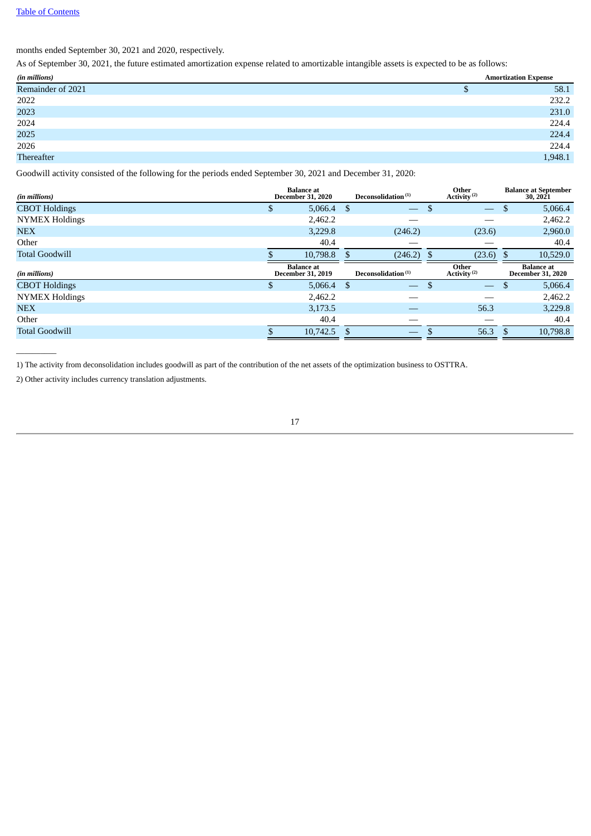$\overline{\phantom{a}}$ 

months ended September 30, 2021 and 2020, respectively.

As of September 30, 2021, the future estimated amortization expense related to amortizable intangible assets is expected to be as follows:

| (in millions)     |   | <b>Amortization Expense</b> |
|-------------------|---|-----------------------------|
| Remainder of 2021 | Φ | 58.1                        |
| 2022              |   | 232.2                       |
| 2023              |   | 231.0                       |
| 2024              |   | 224.4                       |
| 2025              |   | 224.4                       |
| 2026              |   | 224.4                       |
| Thereafter        |   | 1,948.1                     |

Goodwill activity consisted of the following for the periods ended September 30, 2021 and December 31, 2020:

| (in millions)         | <b>Balance</b> at<br>Deconsolidation <sup>(1)</sup><br><b>December 31, 2020</b> |                                               | Other<br>Activity <sup>(2)</sup> |                                | <b>Balance at September</b><br>30, 2021 |               |                                               |
|-----------------------|---------------------------------------------------------------------------------|-----------------------------------------------|----------------------------------|--------------------------------|-----------------------------------------|---------------|-----------------------------------------------|
| <b>CBOT Holdings</b>  | \$                                                                              | 5,066.4                                       | - \$                             | $\overline{\phantom{0}}$       | \$                                      | <sup>\$</sup> | 5,066.4                                       |
| <b>NYMEX Holdings</b> |                                                                                 | 2,462.2                                       |                                  |                                |                                         |               | 2,462.2                                       |
| <b>NEX</b>            |                                                                                 | 3,229.8                                       |                                  | (246.2)                        | (23.6)                                  |               | 2,960.0                                       |
| Other                 |                                                                                 | 40.4                                          |                                  |                                |                                         |               | 40.4                                          |
| <b>Total Goodwill</b> |                                                                                 | 10,798.8                                      |                                  | $(246.2)$ \$                   | $(23.6)$ \$                             |               | 10,529.0                                      |
| (in millions)         |                                                                                 | <b>Balance</b> at<br><b>December 31, 2019</b> |                                  | Deconsolidation <sup>(1)</sup> | Other<br>Activity <sup>(2)</sup>        |               | <b>Balance</b> at<br><b>December 31, 2020</b> |
| <b>CBOT Holdings</b>  |                                                                                 | 5,066.4                                       | - \$                             |                                | $\overline{\phantom{0}}$                |               | 5,066.4                                       |
| <b>NYMEX Holdings</b> |                                                                                 | 2,462.2                                       |                                  |                                |                                         |               | 2,462.2                                       |
| <b>NEX</b>            |                                                                                 | 3,173.5                                       |                                  |                                | 56.3                                    |               | 3,229.8                                       |
| Other                 |                                                                                 | 40.4                                          |                                  |                                |                                         |               | 40.4                                          |
| <b>Total Goodwill</b> |                                                                                 | 10,742.5                                      |                                  |                                | 56.3                                    |               | 10,798.8                                      |

1) The activity from deconsolidation includes goodwill as part of the contribution of the net assets of the optimization business to OSTTRA.

2) Other activity includes currency translation adjustments.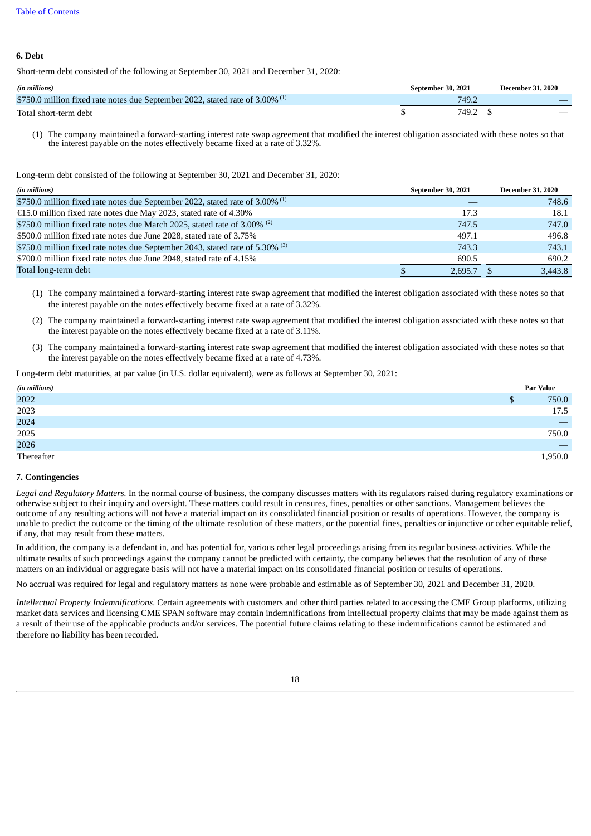#### **6. Debt**

Short-term debt consisted of the following at September 30, 2021 and December 31, 2020:

| (in millions)                                                                      | September 30, 2021 |       | <b>December 31, 2020</b> |
|------------------------------------------------------------------------------------|--------------------|-------|--------------------------|
| \$750.0 million fixed rate notes due September 2022, stated rate of 3.00% $^{(1)}$ |                    | 749.2 |                          |
| Total short-term debt                                                              |                    | 749.2 |                          |

(1) The company maintained a forward-starting interest rate swap agreement that modified the interest obligation associated with these notes so that the interest payable on the notes effectively became fixed at a rate of 3.32%.

Long-term debt consisted of the following at September 30, 2021 and December 31, 2020:

| (in millions)                                                                               | September 30, 2021 | <b>December 31, 2020</b> |
|---------------------------------------------------------------------------------------------|--------------------|--------------------------|
| \$750.0 million fixed rate notes due September 2022, stated rate of $3.00\%$ <sup>(1)</sup> |                    | 748.6                    |
| €15.0 million fixed rate notes due May 2023, stated rate of 4.30%                           | 17.3               | 18.1                     |
| \$750.0 million fixed rate notes due March 2025, stated rate of $3.00\%$ <sup>(2)</sup>     | 747.5              | 747.0                    |
| \$500.0 million fixed rate notes due June 2028, stated rate of 3.75%                        | 497.1              | 496.8                    |
| \$750.0 million fixed rate notes due September 2043, stated rate of $5.30\%$ <sup>(3)</sup> | 743.3              | 743.1                    |
| \$700.0 million fixed rate notes due June 2048, stated rate of 4.15%                        | 690.5              | 690.2                    |
| Total long-term debt                                                                        | 2,695.7            | 3,443.8                  |
|                                                                                             |                    |                          |

(1) The company maintained a forward-starting interest rate swap agreement that modified the interest obligation associated with these notes so that the interest payable on the notes effectively became fixed at a rate of 3.32%.

- (2) The company maintained a forward-starting interest rate swap agreement that modified the interest obligation associated with these notes so that the interest payable on the notes effectively became fixed at a rate of 3.11%.
- (3) The company maintained a forward-starting interest rate swap agreement that modified the interest obligation associated with these notes so that the interest payable on the notes effectively became fixed at a rate of 4.73%.

Long-term debt maturities, at par value (in U.S. dollar equivalent), were as follows at September 30, 2021:

| (in millions) |   | <b>Par Value</b> |
|---------------|---|------------------|
| 2022          | Φ | 750.0            |
| 2023          |   | 17.5             |
| 2024          |   | $-$              |
| 2025          |   | 750.0            |
| 2026          |   |                  |
| Thereafter    |   | 1,950.0          |

#### **7. Contingencies**

*Legal and Regulatory Matters.* In the normal course of business, the company discusses matters with its regulators raised during regulatory examinations or otherwise subject to their inquiry and oversight. These matters could result in censures, fines, penalties or other sanctions. Management believes the outcome of any resulting actions will not have a material impact on its consolidated financial position or results of operations. However, the company is unable to predict the outcome or the timing of the ultimate resolution of these matters, or the potential fines, penalties or injunctive or other equitable relief, if any, that may result from these matters.

In addition, the company is a defendant in, and has potential for, various other legal proceedings arising from its regular business activities. While the ultimate results of such proceedings against the company cannot be predicted with certainty, the company believes that the resolution of any of these matters on an individual or aggregate basis will not have a material impact on its consolidated financial position or results of operations.

No accrual was required for legal and regulatory matters as none were probable and estimable as of September 30, 2021 and December 31, 2020.

*Intellectual Property Indemnifications*. Certain agreements with customers and other third parties related to accessing the CME Group platforms, utilizing market data services and licensing CME SPAN software may contain indemnifications from intellectual property claims that may be made against them as a result of their use of the applicable products and/or services. The potential future claims relating to these indemnifications cannot be estimated and therefore no liability has been recorded.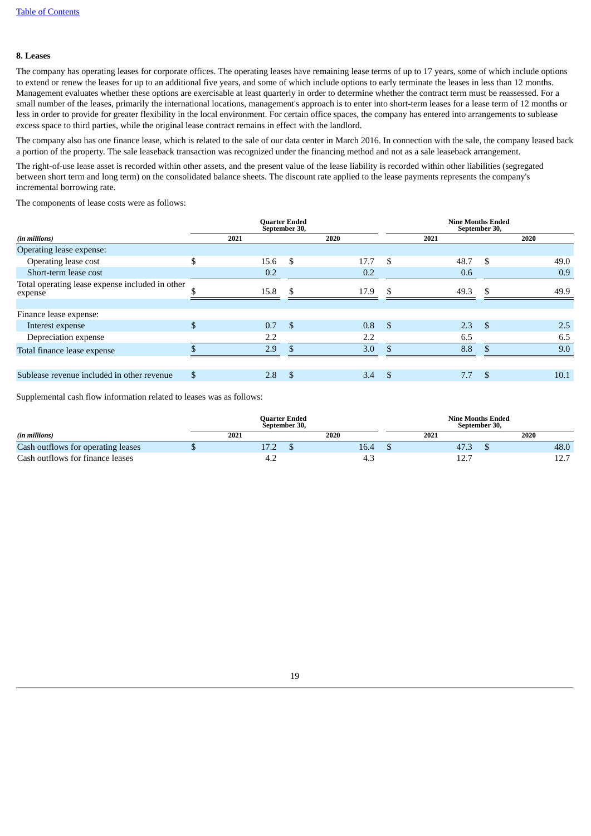#### **8. Leases**

The company has operating leases for corporate offices. The operating leases have remaining lease terms of up to 17 years, some of which include options to extend or renew the leases for up to an additional five years, and some of which include options to early terminate the leases in less than 12 months. Management evaluates whether these options are exercisable at least quarterly in order to determine whether the contract term must be reassessed. For a small number of the leases, primarily the international locations, management's approach is to enter into short-term leases for a lease term of 12 months or less in order to provide for greater flexibility in the local environment. For certain office spaces, the company has entered into arrangements to sublease excess space to third parties, while the original lease contract remains in effect with the landlord.

The company also has one finance lease, which is related to the sale of our data center in March 2016. In connection with the sale, the company leased back a portion of the property. The sale leaseback transaction was recognized under the financing method and not as a sale leaseback arrangement.

The right-of-use lease asset is recorded within other assets, and the present value of the lease liability is recorded within other liabilities (segregated between short term and long term) on the consolidated balance sheets. The discount rate applied to the lease payments represents the company's incremental borrowing rate.

The components of lease costs were as follows:

|                                                            |    |      | <b>Quarter Ended</b><br>September 30, |      |     | <b>Nine Months Ended</b> | September 30, |      |
|------------------------------------------------------------|----|------|---------------------------------------|------|-----|--------------------------|---------------|------|
| (in millions)                                              |    | 2021 |                                       | 2020 |     | 2021                     |               | 2020 |
| Operating lease expense:                                   |    |      |                                       |      |     |                          |               |      |
| Operating lease cost                                       | ٦. | 15.6 | \$                                    | 17.7 | \$. | 48.7                     | \$            | 49.0 |
| Short-term lease cost                                      |    | 0.2  |                                       | 0.2  |     | 0.6                      |               | 0.9  |
| Total operating lease expense included in other<br>expense |    | 15.8 | \$                                    | 17.9 | \$  | 49.3                     | \$.           | 49.9 |
|                                                            |    |      |                                       |      |     |                          |               |      |
| Finance lease expense:                                     |    |      |                                       |      |     |                          |               |      |
| Interest expense                                           | \$ | 0.7  | $\mathfrak{L}$                        | 0.8  | -\$ | 2.3                      | -\$           | 2.5  |
| Depreciation expense                                       |    | 2.2  |                                       | 2.2  |     | 6.5                      |               | 6.5  |
| Total finance lease expense                                |    | 2.9  |                                       | 3.0  |     | 8.8                      |               | 9.0  |
|                                                            |    |      |                                       |      |     |                          |               |      |
| Sublease revenue included in other revenue                 | \$ | 2.8  | \$                                    | 3.4  | \$  | 7.7                      | S.            | 10.1 |

Supplemental cash flow information related to leases was as follows:

|                                    | Ouarter Ended<br>September 30, |              |  | <b>Nine Months Ended</b><br>September 30, |  |                |  |      |              |
|------------------------------------|--------------------------------|--------------|--|-------------------------------------------|--|----------------|--|------|--------------|
| (in millions)                      |                                | 2021         |  | 2020                                      |  | 2021           |  | 2020 |              |
| Cash outflows for operating leases |                                | 17 O<br>17.L |  | 16.4                                      |  | 47.3           |  |      | 48.0         |
| Cash outflows for finance leases   |                                | 4.2          |  | 4. .                                      |  | 1 D. 7<br>14., |  |      | ר רו<br>14.1 |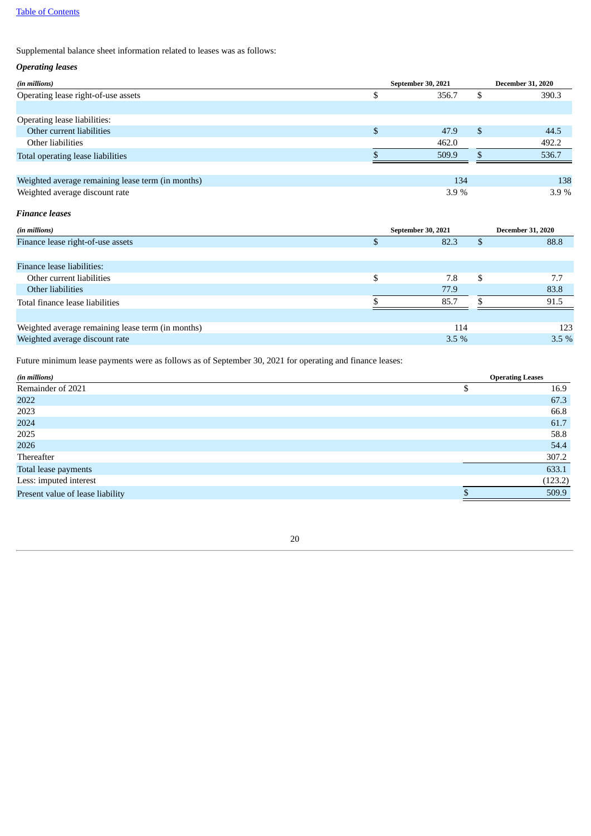# Supplemental balance sheet information related to leases was as follows:

# *Operating leases*

| (in millions)                                     | <b>September 30, 2021</b> | <b>December 31, 2020</b> |       |  |
|---------------------------------------------------|---------------------------|--------------------------|-------|--|
| Operating lease right-of-use assets               | 356.7                     |                          | 390.3 |  |
|                                                   |                           |                          |       |  |
| Operating lease liabilities:                      |                           |                          |       |  |
| Other current liabilities                         | \$<br>47.9                | <sup>\$</sup>            | 44.5  |  |
| Other liabilities                                 | 462.0                     |                          | 492.2 |  |
| Total operating lease liabilities                 | 509.9                     |                          | 536.7 |  |
|                                                   |                           |                          |       |  |
| Weighted average remaining lease term (in months) | 134                       |                          | 138   |  |
| Weighted average discount rate                    | 3.9%                      |                          | 3.9%  |  |

# *Finance leases*

| (in millions)                                     | September 30, 2021 | <b>December 31, 2020</b> |      |  |
|---------------------------------------------------|--------------------|--------------------------|------|--|
| Finance lease right-of-use assets                 | 82.3               |                          | 88.8 |  |
|                                                   |                    |                          |      |  |
| Finance lease liabilities:                        |                    |                          |      |  |
| Other current liabilities                         | \$<br>7.8          | \$                       | 7.7  |  |
| Other liabilities                                 | 77.9               |                          | 83.8 |  |
| Total finance lease liabilities                   | 85.7               |                          | 91.5 |  |
|                                                   |                    |                          |      |  |
| Weighted average remaining lease term (in months) | 114                |                          | 123  |  |
| Weighted average discount rate                    | $3.5\%$            |                          | 3.5% |  |

Future minimum lease payments were as follows as of September 30, 2021 for operating and finance leases:

| (in millions)                    | <b>Operating Leases</b> |
|----------------------------------|-------------------------|
| Remainder of 2021                | 16.9                    |
| 2022                             | 67.3                    |
| 2023                             | 66.8                    |
| 2024                             | 61.7                    |
| 2025                             | 58.8                    |
| 2026                             | 54.4                    |
| Thereafter                       | 307.2                   |
| Total lease payments             | 633.1                   |
| Less: imputed interest           | (123.2)                 |
| Present value of lease liability | 509.9                   |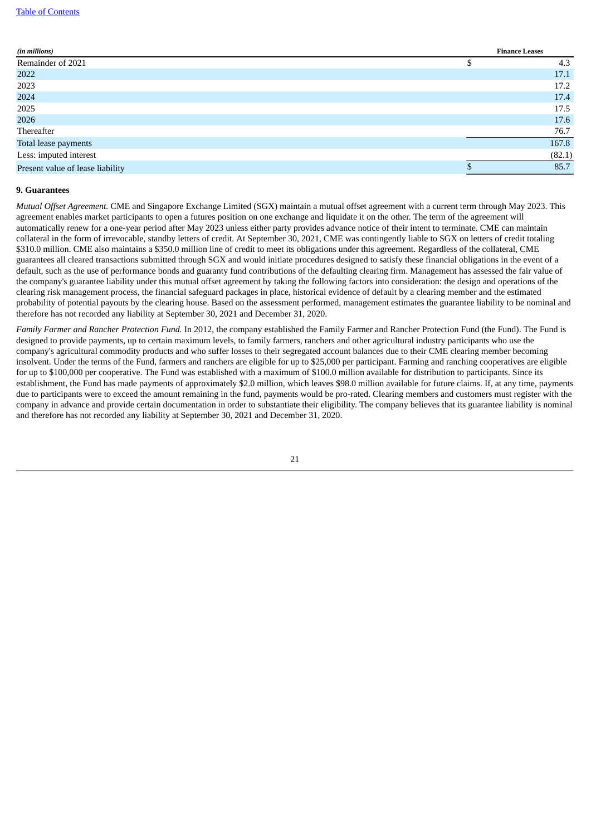| (in millions)                    | <b>Finance Leases</b> |
|----------------------------------|-----------------------|
| Remainder of 2021                | 4.3                   |
| 2022                             | 17.1                  |
| 2023                             | 17.2                  |
| 2024                             | 17.4                  |
| 2025                             | 17.5                  |
| 2026                             | 17.6                  |
| Thereafter                       | 76.7                  |
| Total lease payments             | 167.8                 |
| Less: imputed interest           | (82.1)                |
| Present value of lease liability | 85.7                  |
|                                  |                       |

#### **9. Guarantees**

*Mutual Offset Agreement.* CME and Singapore Exchange Limited (SGX) maintain a mutual offset agreement with a current term through May 2023. This agreement enables market participants to open a futures position on one exchange and liquidate it on the other. The term of the agreement will automatically renew for a one-year period after May 2023 unless either party provides advance notice of their intent to terminate. CME can maintain collateral in the form of irrevocable, standby letters of credit. At September 30, 2021, CME was contingently liable to SGX on letters of credit totaling \$310.0 million. CME also maintains a \$350.0 million line of credit to meet its obligations under this agreement. Regardless of the collateral, CME guarantees all cleared transactions submitted through SGX and would initiate procedures designed to satisfy these financial obligations in the event of a default, such as the use of performance bonds and guaranty fund contributions of the defaulting clearing firm. Management has assessed the fair value of the company's guarantee liability under this mutual offset agreement by taking the following factors into consideration: the design and operations of the clearing risk management process, the financial safeguard packages in place, historical evidence of default by a clearing member and the estimated probability of potential payouts by the clearing house. Based on the assessment performed, management estimates the guarantee liability to be nominal and therefore has not recorded any liability at September 30, 2021 and December 31, 2020.

*Family Farmer and Rancher Protection Fund.* In 2012, the company established the Family Farmer and Rancher Protection Fund (the Fund). The Fund is designed to provide payments, up to certain maximum levels, to family farmers, ranchers and other agricultural industry participants who use the company's agricultural commodity products and who suffer losses to their segregated account balances due to their CME clearing member becoming insolvent. Under the terms of the Fund, farmers and ranchers are eligible for up to \$25,000 per participant. Farming and ranching cooperatives are eligible for up to \$100,000 per cooperative. The Fund was established with a maximum of \$100.0 million available for distribution to participants. Since its establishment, the Fund has made payments of approximately \$2.0 million, which leaves \$98.0 million available for future claims. If, at any time, payments due to participants were to exceed the amount remaining in the fund, payments would be pro-rated. Clearing members and customers must register with the company in advance and provide certain documentation in order to substantiate their eligibility. The company believes that its guarantee liability is nominal and therefore has not recorded any liability at September 30, 2021 and December 31, 2020.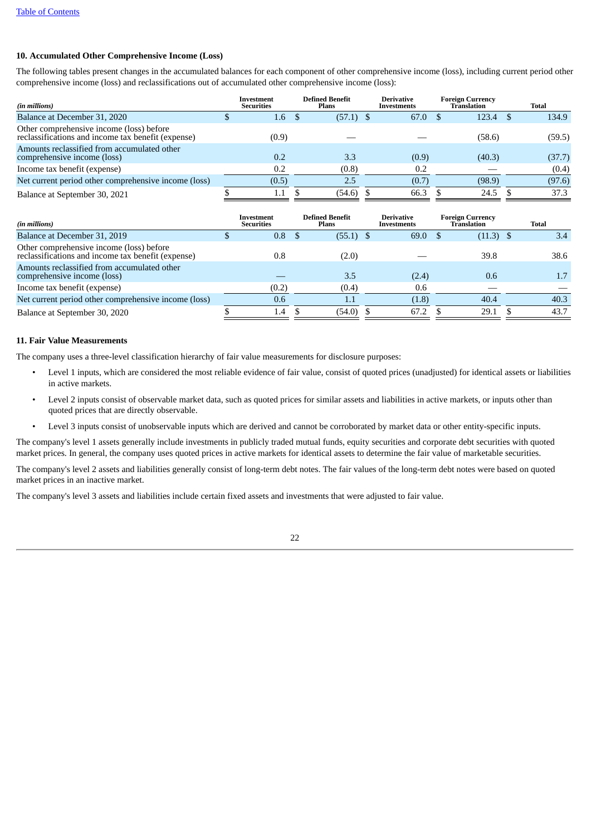#### **10. Accumulated Other Comprehensive Income (Loss)**

The following tables present changes in the accumulated balances for each component of other comprehensive income (loss), including current period other comprehensive income (loss) and reclassifications out of accumulated other comprehensive income (loss):

| (in millions)                                                                                  | Investment<br><b>Securities</b> | <b>Defined Benefit</b><br>Plans |             |  | <b>Derivative</b><br>Investments | <b>Foreign Currency</b><br>Translation |  | Total  |
|------------------------------------------------------------------------------------------------|---------------------------------|---------------------------------|-------------|--|----------------------------------|----------------------------------------|--|--------|
| Balance at December 31, 2020                                                                   | 1.6                             |                                 | $(57.1)$ \$ |  | 67.0                             | 123.4                                  |  | 134.9  |
| Other comprehensive income (loss) before<br>reclassifications and income tax benefit (expense) | (0.9)                           |                                 |             |  |                                  | (58.6)                                 |  | (59.5) |
| Amounts reclassified from accumulated other<br>comprehensive income (loss)                     | 0.2                             |                                 | 3.3         |  | (0.9)                            | (40.3)                                 |  | (37.7) |
| Income tax benefit (expense)                                                                   | 0.2                             |                                 | (0.8)       |  | 0.2                              |                                        |  | (0.4)  |
| Net current period other comprehensive income (loss)                                           | (0.5)                           |                                 | 2.5         |  | (0.7)                            | (98.9)                                 |  | (97.6) |
| Balance at September 30, 2021                                                                  | 1.1                             |                                 | (54.6)      |  | 66.3                             | 24.5                                   |  | 37.3   |

| (in millions)                                                                                  | Investment<br><b>Securities</b> | <b>Defined Benefit</b><br>Plans | <b>Derivative</b><br>Investments | <b>Foreign Currency</b><br><b>Translation</b> | Total |
|------------------------------------------------------------------------------------------------|---------------------------------|---------------------------------|----------------------------------|-----------------------------------------------|-------|
| Balance at December 31, 2019                                                                   | 0.8                             | $(55.1)$ \$                     | 69.0                             | $(11.3)$ \$                                   | 3.4   |
| Other comprehensive income (loss) before<br>reclassifications and income tax benefit (expense) | 0.8                             | (2.0)                           |                                  | 39.8                                          | 38.6  |
| Amounts reclassified from accumulated other<br>comprehensive income (loss)                     |                                 | 3.5                             | (2.4)                            | 0.6                                           | 1.7   |
| Income tax benefit (expense)                                                                   | (0.2)                           | (0.4)                           | 0.6                              |                                               |       |
| Net current period other comprehensive income (loss)                                           | 0.6                             | $1.1\,$                         | (1.8)                            | 40.4                                          | 40.3  |
| Balance at September 30, 2020                                                                  | 1.4                             | (54.0)                          | 67.2                             | 29.1                                          | 43.7  |

#### **11. Fair Value Measurements**

The company uses a three-level classification hierarchy of fair value measurements for disclosure purposes:

- Level 1 inputs, which are considered the most reliable evidence of fair value, consist of quoted prices (unadjusted) for identical assets or liabilities in active markets.
- Level 2 inputs consist of observable market data, such as quoted prices for similar assets and liabilities in active markets, or inputs other than quoted prices that are directly observable.
- Level 3 inputs consist of unobservable inputs which are derived and cannot be corroborated by market data or other entity-specific inputs.

The company's level 1 assets generally include investments in publicly traded mutual funds, equity securities and corporate debt securities with quoted market prices. In general, the company uses quoted prices in active markets for identical assets to determine the fair value of marketable securities.

The company's level 2 assets and liabilities generally consist of long-term debt notes. The fair values of the long-term debt notes were based on quoted market prices in an inactive market.

The company's level 3 assets and liabilities include certain fixed assets and investments that were adjusted to fair value.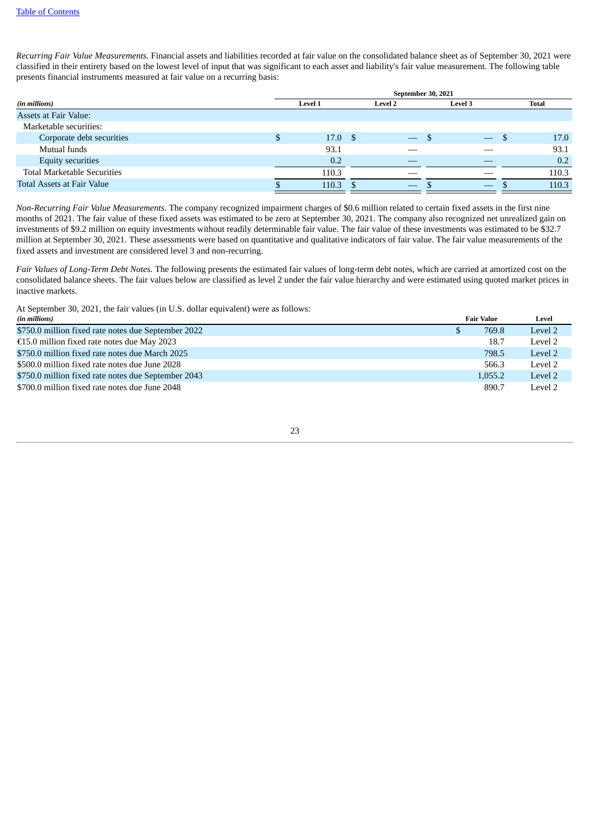*Recurring Fair Value Measurements.* Financial assets and liabilities recorded at fair value on the consolidated balance sheet as of September 30, 2021 were classified in their entirety based on the lowest level of input that was significant to each asset and liability's fair value measurement. The following table presents financial instruments measured at fair value on a recurring basis:

|                                    | <b>September 30, 2021</b> |       |                |                          |  |                          |  |              |  |  |  |  |  |
|------------------------------------|---------------------------|-------|----------------|--------------------------|--|--------------------------|--|--------------|--|--|--|--|--|
| (in millions)                      | Level 1                   |       | <b>Level 2</b> |                          |  | <b>Level 3</b>           |  | <b>Total</b> |  |  |  |  |  |
| Assets at Fair Value:              |                           |       |                |                          |  |                          |  |              |  |  |  |  |  |
| Marketable securities:             |                           |       |                |                          |  |                          |  |              |  |  |  |  |  |
| Corporate debt securities          |                           | 17.0  | - \$           |                          |  |                          |  | 17.0         |  |  |  |  |  |
| Mutual funds                       |                           | 93.1  |                |                          |  |                          |  | 93.1         |  |  |  |  |  |
| <b>Equity securities</b>           |                           | 0.2   |                |                          |  |                          |  | 0.2          |  |  |  |  |  |
| <b>Total Marketable Securities</b> |                           | 110.3 |                |                          |  |                          |  | 110.3        |  |  |  |  |  |
| <b>Total Assets at Fair Value</b>  |                           | 110.3 |                | $\overline{\phantom{m}}$ |  | $\overline{\phantom{m}}$ |  | 110.3        |  |  |  |  |  |

*Non-Recurring Fair Value Measurements.* The company recognized impairment charges of \$0.6 million related to certain fixed assets in the first nine months of 2021. The fair value of these fixed assets was estimated to be zero at September 30, 2021. The company also recognized net unrealized gain on investments of \$9.2 million on equity investments without readily determinable fair value. The fair value of these investments was estimated to be \$32.7 million at September 30, 2021. These assessments were based on quantitative and qualitative indicators of fair value. The fair value measurements of the fixed assets and investment are considered level 3 and non-recurring.

*Fair Values of Long-Term Debt Notes.* The following presents the estimated fair values of long-term debt notes, which are carried at amortized cost on the consolidated balance sheets. The fair values below are classified as level 2 under the fair value hierarchy and were estimated using quoted market prices in inactive markets.

At September 30, 2021, the fair values (in U.S. dollar equivalent) were as follows:

| (in millions)                                       |  | <b>Fair Value</b> | Level   |
|-----------------------------------------------------|--|-------------------|---------|
| \$750.0 million fixed rate notes due September 2022 |  | 769.8             | Level 2 |
| €15.0 million fixed rate notes due May 2023         |  | 18.7              | Level 2 |
| \$750.0 million fixed rate notes due March 2025     |  | 798.5             | Level 2 |
| \$500.0 million fixed rate notes due June 2028      |  | 566.3             | Level 2 |
| \$750.0 million fixed rate notes due September 2043 |  | 1,055.2           | Level 2 |
| \$700.0 million fixed rate notes due June 2048      |  | 890.7             | Level 2 |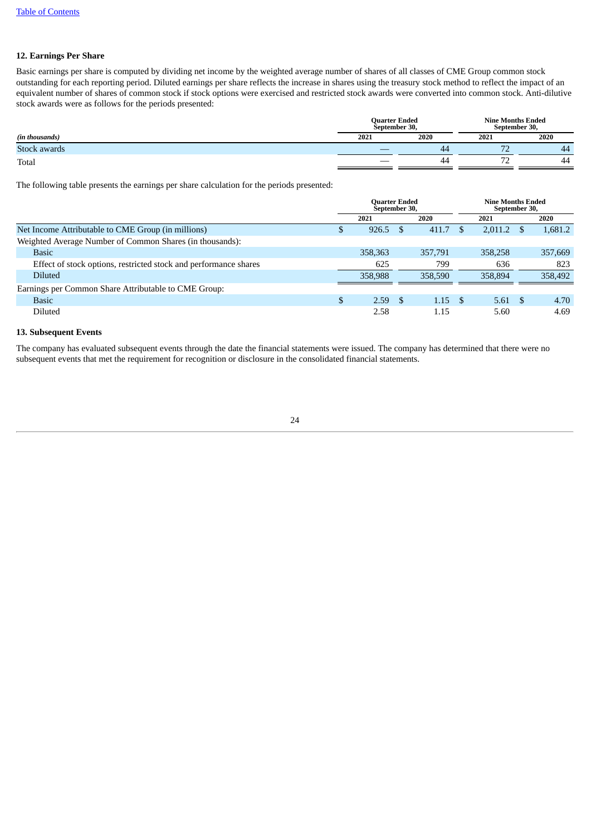#### **12. Earnings Per Share**

Basic earnings per share is computed by dividing net income by the weighted average number of shares of all classes of CME Group common stock outstanding for each reporting period. Diluted earnings per share reflects the increase in shares using the treasury stock method to reflect the impact of an equivalent number of shares of common stock if stock options were exercised and restricted stock awards were converted into common stock. Anti-dilutive stock awards were as follows for the periods presented:

|                |      | <b>Quarter Ended</b><br>September 30, | <b>Nine Months Ended</b> | September 30, |
|----------------|------|---------------------------------------|--------------------------|---------------|
| (in thousands) | 2021 | 2020                                  | 2021                     | 2020          |
| Stock awards   |      | 44                                    |                          | 44            |
| Total          |      | 44                                    | $\overline{\phantom{a}}$ | 44            |
|                |      |                                       |                          |               |

The following table presents the earnings per share calculation for the periods presented:

|                                                                  | <b>Ouarter Ended</b><br>September 30. |         |     |                 |  |                | Nine Months Ended<br>September 30, |         |
|------------------------------------------------------------------|---------------------------------------|---------|-----|-----------------|--|----------------|------------------------------------|---------|
|                                                                  |                                       | 2021    |     | 2020            |  | 2021           |                                    | 2020    |
| Net Income Attributable to CME Group (in millions)               | S                                     | 926.5   |     | 411.7           |  | 2.011.2        |                                    | 1.681.2 |
| Weighted Average Number of Common Shares (in thousands):         |                                       |         |     |                 |  |                |                                    |         |
| <b>Basic</b>                                                     |                                       | 358,363 |     | 357,791         |  | 358,258        |                                    | 357,669 |
| Effect of stock options, restricted stock and performance shares |                                       | 625     |     | 799             |  | 636            |                                    | 823     |
| <b>Diluted</b>                                                   |                                       | 358,988 |     | 358,590         |  | 358,894        |                                    | 358,492 |
| Earnings per Common Share Attributable to CME Group:             |                                       |         |     |                 |  |                |                                    |         |
| <b>Basic</b>                                                     | \$.                                   | 2.59    | S S | $1.15 \quad$ \$ |  | $5.61 \quad $$ |                                    | 4.70    |
| Diluted                                                          |                                       | 2.58    |     | 1.15            |  | 5.60           |                                    | 4.69    |

#### **13. Subsequent Events**

<span id="page-23-0"></span>The company has evaluated subsequent events through the date the financial statements were issued. The company has determined that there were no subsequent events that met the requirement for recognition or disclosure in the consolidated financial statements.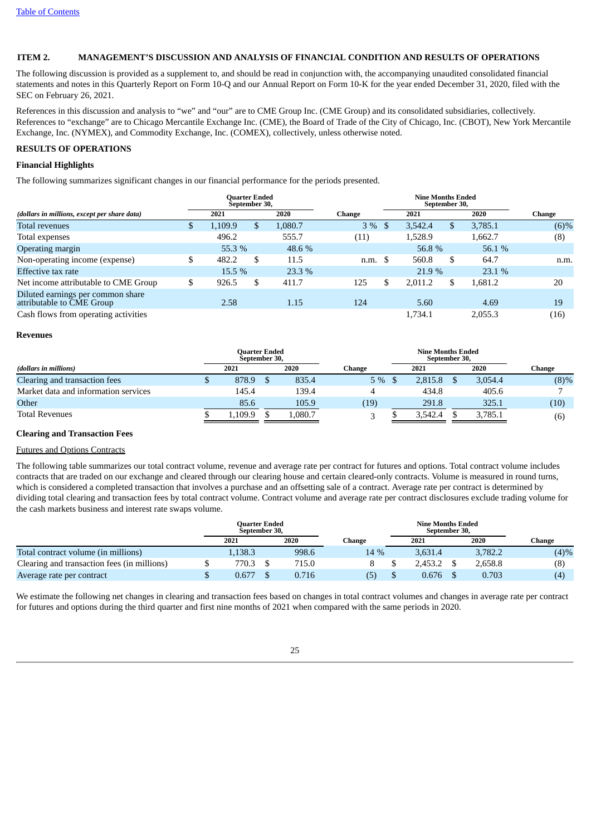#### **ITEM 2. MANAGEMENT'S DISCUSSION AND ANALYSIS OF FINANCIAL CONDITION AND RESULTS OF OPERATIONS**

The following discussion is provided as a supplement to, and should be read in conjunction with, the accompanying unaudited consolidated financial statements and notes in this Quarterly Report on Form 10-Q and our Annual Report on Form 10-K for the year ended December 31, 2020, filed with the SEC on February 26, 2021.

References in this discussion and analysis to "we" and "our" are to CME Group Inc. (CME Group) and its consolidated subsidiaries, collectively. References to "exchange" are to Chicago Mercantile Exchange Inc. (CME), the Board of Trade of the City of Chicago, Inc. (CBOT), New York Mercantile Exchange, Inc. (NYMEX), and Commodity Exchange, Inc. (COMEX), collectively, unless otherwise noted.

#### **RESULTS OF OPERATIONS**

#### **Financial Highlights**

The following summarizes significant changes in our financial performance for the periods presented.

|                                                                |         | Ouarter Ended<br>September 30, |         |          | <b>Nine Months Ended</b><br>September 30, |         |    |         |         |  |
|----------------------------------------------------------------|---------|--------------------------------|---------|----------|-------------------------------------------|---------|----|---------|---------|--|
| (dollars in millions, except per share data)                   | 2021    |                                | 2020    | Change   |                                           | 2021    |    | 2020    | Change  |  |
| Total revenues                                                 | 1,109.9 | \$                             | 1,080.7 | $3\%$ \$ |                                           | 3,542.4 | \$ | 3,785.1 | $(6)$ % |  |
| Total expenses                                                 | 496.2   |                                | 555.7   | (11)     |                                           | 1,528.9 |    | 1,662.7 | (8)     |  |
| Operating margin                                               | 55.3 %  |                                | 48.6 %  |          |                                           | 56.8 %  |    | 56.1 %  |         |  |
| Non-operating income (expense)                                 | 482.2   | S                              | 11.5    | n.m. \$  |                                           | 560.8   | S  | 64.7    | n.m.    |  |
| Effective tax rate                                             | 15.5 %  |                                | 23.3%   |          |                                           | 21.9 %  |    | 23.1 %  |         |  |
| Net income attributable to CME Group                           | 926.5   | \$                             | 411.7   | 125      | \$                                        | 2,011.2 | \$ | 1,681.2 | 20      |  |
| Diluted earnings per common share<br>attributable to CME Group | 2.58    |                                | 1.15    | 124      |                                           | 5.60    |    | 4.69    | 19      |  |
| Cash flows from operating activities                           |         |                                |         |          |                                           | 1.734.1 |    | 2,055.3 | (16)    |  |

#### **Revenues**

|                                      | <b>Ouarter Ended</b><br>September 30, |         |        | <b>Nine Months Ended</b><br>September 30, |         |         |
|--------------------------------------|---------------------------------------|---------|--------|-------------------------------------------|---------|---------|
| (dollars in millions)                | 2021                                  | 2020    | Change | 2021                                      | 2020    | Change  |
| Clearing and transaction fees        | 878.9                                 | 835.4   | $5\%$  | 2,815.8                                   | 3,054.4 | $(8)\%$ |
| Market data and information services | 145.4                                 | 139.4   |        | 434.8                                     | 405.6   |         |
| Other                                | 85.6                                  | 105.9   | (19)   | 291.8                                     | 325.1   | (10)    |
| <b>Total Revenues</b>                | 1,109.9                               | .,080.7 |        | 3.542.4                                   | 3,785.1 | (6)     |

#### **Clearing and Transaction Fees**

#### Futures and Options Contracts

The following table summarizes our total contract volume, revenue and average rate per contract for futures and options. Total contract volume includes contracts that are traded on our exchange and cleared through our clearing house and certain cleared-only contracts. Volume is measured in round turns, which is considered a completed transaction that involves a purchase and an offsetting sale of a contract. Average rate per contract is determined by dividing total clearing and transaction fees by total contract volume. Contract volume and average rate per contract disclosures exclude trading volume for the cash markets business and interest rate swaps volume.

|                                             | Ouarter Ended<br>September 30. |       |        |   | <b>Nine Months Ended</b><br>September 30, |         |        |
|---------------------------------------------|--------------------------------|-------|--------|---|-------------------------------------------|---------|--------|
|                                             | 2021                           | 2020  | ∑hange |   | 2021                                      | 2020    | Change |
| Total contract volume (in millions)         | 1,138.3                        | 998.6 | 14 %   |   | 3.631.4                                   | 3,782.2 | (4)%   |
| Clearing and transaction fees (in millions) | 770.3                          | 715.0 |        |   | 2.453.2                                   | 2,658.8 | (8)    |
| Average rate per contract                   | 0.677                          | 0.716 | (5)    | Φ | 0.676                                     | 0.703   | (4)    |

We estimate the following net changes in clearing and transaction fees based on changes in total contract volumes and changes in average rate per contract for futures and options during the third quarter and first nine months of 2021 when compared with the same periods in 2020.

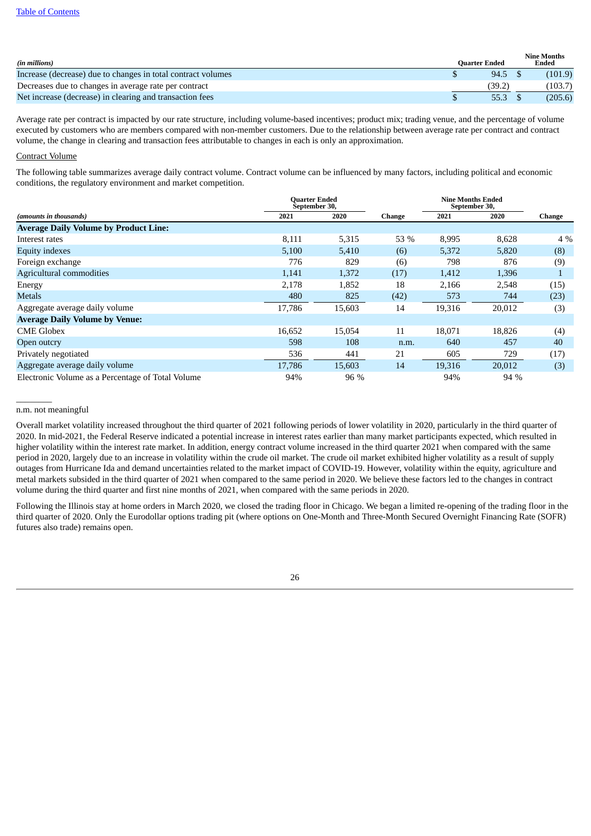| (in millions)                                                | <b>Ouarter Ended</b> | <b>Nine Months</b><br>Ended |
|--------------------------------------------------------------|----------------------|-----------------------------|
| Increase (decrease) due to changes in total contract volumes | 94.5                 | (101.9)                     |
| Decreases due to changes in average rate per contract        | (39.2)               | (103.7)                     |
| Net increase (decrease) in clearing and transaction fees     | 55.3                 | (205.6)                     |

Average rate per contract is impacted by our rate structure, including volume-based incentives; product mix; trading venue, and the percentage of volume executed by customers who are members compared with non-member customers. Due to the relationship between average rate per contract and contract volume, the change in clearing and transaction fees attributable to changes in each is only an approximation.

#### Contract Volume

The following table summarizes average daily contract volume. Contract volume can be influenced by many factors, including political and economic conditions, the regulatory environment and market competition.

|                                                   | <b>Ouarter Ended</b><br>September 30, |        |        | <b>Nine Months Ended</b> | September 30, |        |  |  |
|---------------------------------------------------|---------------------------------------|--------|--------|--------------------------|---------------|--------|--|--|
| <i>(amounts in thousands)</i>                     | 2021                                  | 2020   | Change | 2021                     | 2020          | Change |  |  |
| <b>Average Daily Volume by Product Line:</b>      |                                       |        |        |                          |               |        |  |  |
| Interest rates                                    | 8,111                                 | 5,315  | 53 %   | 8,995                    | 8,628         | 4 %    |  |  |
| <b>Equity indexes</b>                             | 5,100                                 | 5,410  | (6)    | 5,372                    | 5,820         | (8)    |  |  |
| Foreign exchange                                  | 776                                   | 829    | (6)    | 798                      | 876           | (9)    |  |  |
| Agricultural commodities                          | 1,141                                 | 1,372  | (17)   | 1,412                    | 1,396         |        |  |  |
| Energy                                            | 2,178                                 | 1,852  | 18     | 2,166                    | 2,548         | (15)   |  |  |
| <b>Metals</b>                                     | 480                                   | 825    | (42)   | 573                      | 744           | (23)   |  |  |
| Aggregate average daily volume                    | 17,786                                | 15,603 | 14     | 19,316                   | 20,012        | (3)    |  |  |
| <b>Average Daily Volume by Venue:</b>             |                                       |        |        |                          |               |        |  |  |
| <b>CME Globex</b>                                 | 16,652                                | 15,054 | 11     | 18,071                   | 18,826        | (4)    |  |  |
| Open outcry                                       | 598                                   | 108    | n.m.   | 640                      | 457           | 40     |  |  |
| Privately negotiated                              | 536                                   | 441    | 21     | 605                      | 729           | (17)   |  |  |
| Aggregate average daily volume                    | 17,786                                | 15,603 | 14     | 19,316                   | 20,012        | (3)    |  |  |
| Electronic Volume as a Percentage of Total Volume | 94%                                   | 96 %   |        | 94%                      | 94 %          |        |  |  |

#### n.m. not meaningful

\_\_\_\_\_\_\_\_

Overall market volatility increased throughout the third quarter of 2021 following periods of lower volatility in 2020, particularly in the third quarter of 2020. In mid-2021, the Federal Reserve indicated a potential increase in interest rates earlier than many market participants expected, which resulted in higher volatility within the interest rate market. In addition, energy contract volume increased in the third quarter 2021 when compared with the same period in 2020, largely due to an increase in volatility within the crude oil market. The crude oil market exhibited higher volatility as a result of supply outages from Hurricane Ida and demand uncertainties related to the market impact of COVID-19. However, volatility within the equity, agriculture and metal markets subsided in the third quarter of 2021 when compared to the same period in 2020. We believe these factors led to the changes in contract volume during the third quarter and first nine months of 2021, when compared with the same periods in 2020.

Following the Illinois stay at home orders in March 2020, we closed the trading floor in Chicago. We began a limited re-opening of the trading floor in the third quarter of 2020. Only the Eurodollar options trading pit (where options on One-Month and Three-Month Secured Overnight Financing Rate (SOFR) futures also trade) remains open.

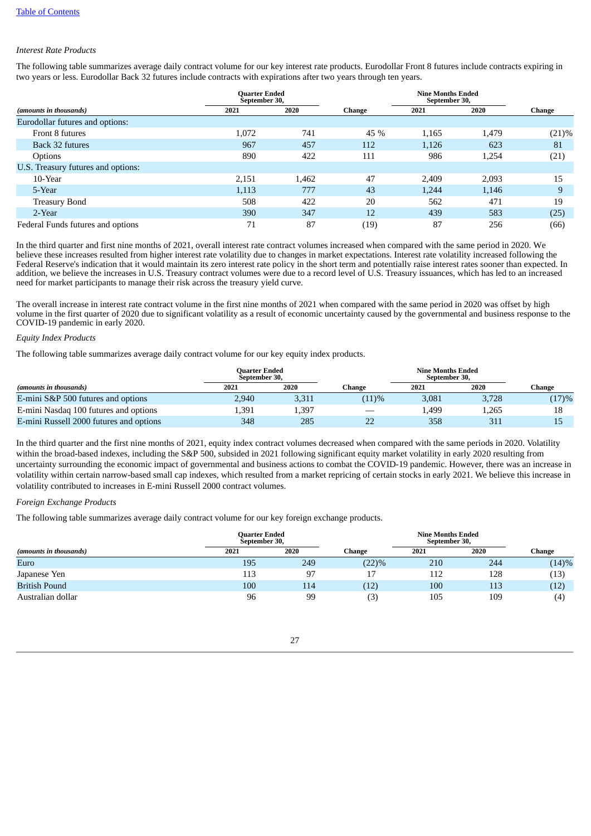#### *Interest Rate Products*

The following table summarizes average daily contract volume for our key interest rate products. Eurodollar Front 8 futures include contracts expiring in two years or less. Eurodollar Back 32 futures include contracts with expirations after two years through ten years.

|                                    | <b>Ouarter Ended</b><br>September 30, |       |               |       |       |               |
|------------------------------------|---------------------------------------|-------|---------------|-------|-------|---------------|
| (amounts in thousands)             | 2021                                  | 2020  | <b>Change</b> | 2021  | 2020  | <b>Change</b> |
| Eurodollar futures and options:    |                                       |       |               |       |       |               |
| Front 8 futures                    | 1,072                                 | 741   | 45 %          | 1,165 | 1,479 | (21)%         |
| Back 32 futures                    | 967                                   | 457   | 112           | 1,126 | 623   | 81            |
| Options                            | 890                                   | 422   | 111           | 986   | 1,254 | (21)          |
| U.S. Treasury futures and options: |                                       |       |               |       |       |               |
| 10-Year                            | 2,151                                 | 1,462 | 47            | 2.409 | 2,093 | 15            |
| 5-Year                             | 1,113                                 | 777   | 43            | 1,244 | 1,146 | 9             |
| Treasury Bond                      | 508                                   | 422   | 20            | 562   | 471   | 19            |
| 2-Year                             | 390                                   | 347   | 12            | 439   | 583   | (25)          |
| Federal Funds futures and options  | 71                                    | 87    | (19)          | 87    | 256   | (66)          |

In the third quarter and first nine months of 2021, overall interest rate contract volumes increased when compared with the same period in 2020. We believe these increases resulted from higher interest rate volatility due to changes in market expectations. Interest rate volatility increased following the Federal Reserve's indication that it would maintain its zero interest rate policy in the short term and potentially raise interest rates sooner than expected. In addition, we believe the increases in U.S. Treasury contract volumes were due to a record level of U.S. Treasury issuances, which has led to an increased need for market participants to manage their risk across the treasury yield curve.

The overall increase in interest rate contract volume in the first nine months of 2021 when compared with the same period in 2020 was offset by high volume in the first quarter of 2020 due to significant volatility as a result of economic uncertainty caused by the governmental and business response to the COVID-19 pandemic in early 2020.

#### *Equity Index Products*

The following table summarizes average daily contract volume for our key equity index products.

|                                         | Ouarter Ended<br>September 30. |       |        | <b>Nine Months Ended</b><br>September 30, |       |        |
|-----------------------------------------|--------------------------------|-------|--------|-------------------------------------------|-------|--------|
| (amounts in thousands)                  | 2021                           | 2020  | ∴hange | 2021                                      | 2020  | Change |
| E-mini S&P 500 futures and options      | 2.940                          | 3,311 | (11)%  | 3,081                                     | 3.728 | (17)%  |
| E-mini Nasdaq 100 futures and options   | 1,391                          | 1,397 |        | .499                                      | .265  | 18     |
| E-mini Russell 2000 futures and options | 348                            | 285   |        | 358                                       | 311   | 15     |

In the third quarter and the first nine months of 2021, equity index contract volumes decreased when compared with the same periods in 2020. Volatility within the broad-based indexes, including the S&P 500, subsided in 2021 following significant equity market volatility in early 2020 resulting from uncertainty surrounding the economic impact of governmental and business actions to combat the COVID-19 pandemic. However, there was an increase in volatility within certain narrow-based small cap indexes, which resulted from a market repricing of certain stocks in early 2021. We believe this increase in volatility contributed to increases in E-mini Russell 2000 contract volumes.

#### *Foreign Exchange Products*

The following table summarizes average daily contract volume for our key foreign exchange products.

|                        | Ouarter Ended<br>September 30, |      |               |      |      |        |
|------------------------|--------------------------------|------|---------------|------|------|--------|
| (amounts in thousands) | 2021                           | 2020 | <b>Change</b> | 2021 | 2020 | Change |
| Euro                   | 195                            | 249  | (22)%         | 210  | 244  | (14)%  |
| Japanese Yen           | 113                            | 97   | 17            | 112  | 128  | (13)   |
| <b>British Pound</b>   | 100                            | 114  | (12)          | 100  | 113  | (12)   |
| Australian dollar      | 96                             | 99   | (3)           | 105  | 109  | (4)    |

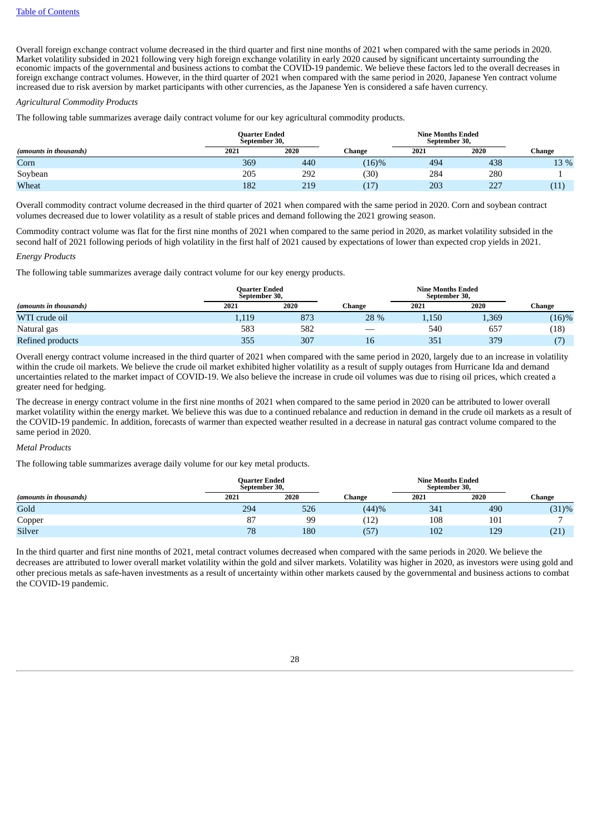Overall foreign exchange contract volume decreased in the third quarter and first nine months of 2021 when compared with the same periods in 2020. Market volatility subsided in 2021 following very high foreign exchange volatility in early 2020 caused by significant uncertainty surrounding the economic impacts of the governmental and business actions to combat the COVID-19 pandemic. We believe these factors led to the overall decreases in foreign exchange contract volumes. However, in the third quarter of 2021 when compared with the same period in 2020, Japanese Yen contract volume increased due to risk aversion by market participants with other currencies, as the Japanese Yen is considered a safe haven currency.

#### *Agricultural Commodity Products*

The following table summarizes average daily contract volume for our key agricultural commodity products.

|                               | <b>Ouarter Ended</b><br>September 30, |      |                | <b>Nine Months Ended</b><br>September 30, |      |        |
|-------------------------------|---------------------------------------|------|----------------|-------------------------------------------|------|--------|
| <i>(amounts in thousands)</i> | 2021                                  | 2020 | Change         | 2021                                      | 2020 | Change |
| Corn                          | 369                                   | 440  | (16)%          | 494                                       | 438  | 13 %   |
| Sovbean                       | 205                                   | 292  | (30)           | 284                                       | 280  |        |
| Wheat                         | 182                                   | 219  | 4.7<br>$\pm 1$ | 203                                       | 227  | (11)   |

Overall commodity contract volume decreased in the third quarter of 2021 when compared with the same period in 2020. Corn and soybean contract volumes decreased due to lower volatility as a result of stable prices and demand following the 2021 growing season.

Commodity contract volume was flat for the first nine months of 2021 when compared to the same period in 2020, as market volatility subsided in the second half of 2021 following periods of high volatility in the first half of 2021 caused by expectations of lower than expected crop yields in 2021.

#### *Energy Products*

The following table summarizes average daily contract volume for our key energy products.

|                               | Quarter Ended<br>September 30, |      |        | <b>Nine Months Ended</b><br>September 30, |       |          |
|-------------------------------|--------------------------------|------|--------|-------------------------------------------|-------|----------|
| <i>(amounts in thousands)</i> | 2021                           | 2020 | Change | 2021                                      | 2020  | Change   |
| WTI crude oil                 | 1,119                          | 873  | 28 %   | 1,150                                     | 1,369 | $(16)\%$ |
| Natural gas                   | 583                            | 582  |        | 540                                       | 657   | (18)     |
| <b>Refined products</b>       | 355                            | 307  | 16     | 351                                       | 379   | (7)      |

Overall energy contract volume increased in the third quarter of 2021 when compared with the same period in 2020, largely due to an increase in volatility within the crude oil markets. We believe the crude oil market exhibited higher volatility as a result of supply outages from Hurricane Ida and demand uncertainties related to the market impact of COVID-19. We also believe the increase in crude oil volumes was due to rising oil prices, which created a greater need for hedging.

The decrease in energy contract volume in the first nine months of 2021 when compared to the same period in 2020 can be attributed to lower overall market volatility within the energy market. We believe this was due to a continued rebalance and reduction in demand in the crude oil markets as a result of the COVID-19 pandemic. In addition, forecasts of warmer than expected weather resulted in a decrease in natural gas contract volume compared to the same period in 2020.

#### *Metal Products*

The following table summarizes average daily volume for our key metal products.

|                        | Quarter Ended<br>September 30, |      |        | <b>Nine Months Ended</b><br>September 30, |      |        |
|------------------------|--------------------------------|------|--------|-------------------------------------------|------|--------|
| (amounts in thousands) | 2021                           | 2020 | Change | 2021                                      | 2020 | Change |
| Gold                   | 294                            | 526  | (44)%  | 341                                       | 490  | (31)%  |
| Copper                 | 87                             | 99   | (12)   | 108                                       | 101  |        |
| <b>Silver</b>          | 78                             | 180  | (57)   | 102                                       | 129  | (21)   |

In the third quarter and first nine months of 2021, metal contract volumes decreased when compared with the same periods in 2020. We believe the decreases are attributed to lower overall market volatility within the gold and silver markets. Volatility was higher in 2020, as investors were using gold and other precious metals as safe-haven investments as a result of uncertainty within other markets caused by the governmental and business actions to combat the COVID-19 pandemic.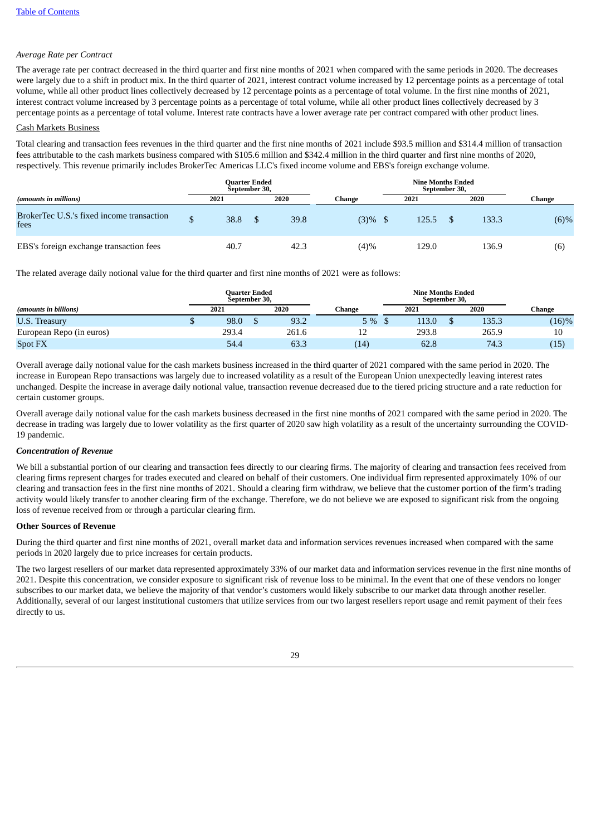#### *Average Rate per Contract*

The average rate per contract decreased in the third quarter and first nine months of 2021 when compared with the same periods in 2020. The decreases were largely due to a shift in product mix. In the third quarter of 2021, interest contract volume increased by 12 percentage points as a percentage of total volume, while all other product lines collectively decreased by 12 percentage points as a percentage of total volume. In the first nine months of 2021, interest contract volume increased by 3 percentage points as a percentage of total volume, while all other product lines collectively decreased by 3 percentage points as a percentage of total volume. Interest rate contracts have a lower average rate per contract compared with other product lines.

#### Cash Markets Business

Total clearing and transaction fees revenues in the third quarter and the first nine months of 2021 include \$93.5 million and \$314.4 million of transaction fees attributable to the cash markets business compared with \$105.6 million and \$342.4 million in the third quarter and first nine months of 2020, respectively. This revenue primarily includes BrokerTec Americas LLC's fixed income volume and EBS's foreign exchange volume.

|                                                   | <b>Quarter Ended</b><br>September 30, |  |        |            |  |       |       |         |      |      |        |
|---------------------------------------------------|---------------------------------------|--|--------|------------|--|-------|-------|---------|------|------|--------|
| (amounts in millions)                             | 2021<br>2020                          |  | Change |            |  |       |       |         | 2021 | 2020 | Change |
| BrokerTec U.S.'s fixed income transaction<br>fees | 38.8                                  |  | 39.8   | $(3)\%$ \$ |  | 125.5 | 133.3 | $(6)\%$ |      |      |        |
| EBS's foreign exchange transaction fees           | 40.7                                  |  | 42.3   | (4)%       |  | 129.0 | 136.9 | (6      |      |      |        |

The related average daily notional value for the third quarter and first nine months of 2021 were as follows:

|                          | Ouarter Ended<br>September 30, |       |        | <b>Nine Months Ended</b><br>September 30, |       |  |       |        |  |  |  |
|--------------------------|--------------------------------|-------|--------|-------------------------------------------|-------|--|-------|--------|--|--|--|
| (amounts in billions)    | 2021                           | 2020  | Change |                                           | 2021  |  | 2020  | Change |  |  |  |
| U.S. Treasury            | 98.0                           | 93.2  | $5\%$  |                                           | 113.0 |  | 135.3 | (16)%  |  |  |  |
| European Repo (in euros) | 293.4                          | 261.6 | 12     |                                           | 293.8 |  | 265.9 | 10     |  |  |  |
| Spot FX                  | 54.4                           | 63.3  | (14)   |                                           | 62.8  |  | 74.3  | (15)   |  |  |  |

Overall average daily notional value for the cash markets business increased in the third quarter of 2021 compared with the same period in 2020. The increase in European Repo transactions was largely due to increased volatility as a result of the European Union unexpectedly leaving interest rates unchanged. Despite the increase in average daily notional value, transaction revenue decreased due to the tiered pricing structure and a rate reduction for certain customer groups.

Overall average daily notional value for the cash markets business decreased in the first nine months of 2021 compared with the same period in 2020. The decrease in trading was largely due to lower volatility as the first quarter of 2020 saw high volatility as a result of the uncertainty surrounding the COVID-19 pandemic.

#### *Concentration of Revenue*

We bill a substantial portion of our clearing and transaction fees directly to our clearing firms. The majority of clearing and transaction fees received from clearing firms represent charges for trades executed and cleared on behalf of their customers. One individual firm represented approximately 10% of our clearing and transaction fees in the first nine months of 2021. Should a clearing firm withdraw, we believe that the customer portion of the firm's trading activity would likely transfer to another clearing firm of the exchange. Therefore, we do not believe we are exposed to significant risk from the ongoing loss of revenue received from or through a particular clearing firm.

#### **Other Sources of Revenue**

During the third quarter and first nine months of 2021, overall market data and information services revenues increased when compared with the same periods in 2020 largely due to price increases for certain products.

The two largest resellers of our market data represented approximately 33% of our market data and information services revenue in the first nine months of 2021. Despite this concentration, we consider exposure to significant risk of revenue loss to be minimal. In the event that one of these vendors no longer subscribes to our market data, we believe the majority of that vendor's customers would likely subscribe to our market data through another reseller. Additionally, several of our largest institutional customers that utilize services from our two largest resellers report usage and remit payment of their fees directly to us.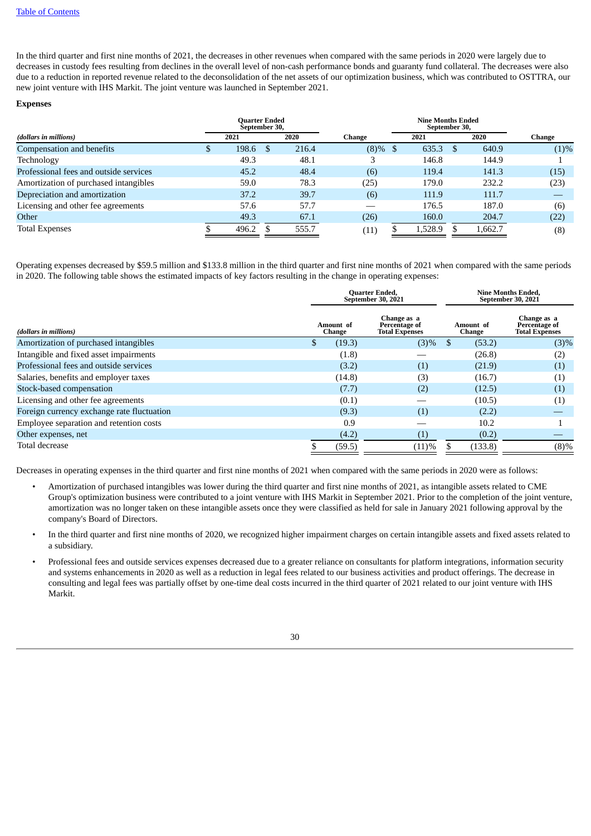In the third quarter and first nine months of 2021, the decreases in other revenues when compared with the same periods in 2020 were largely due to decreases in custody fees resulting from declines in the overall level of non-cash performance bonds and guaranty fund collateral. The decreases were also due to a reduction in reported revenue related to the deconsolidation of the net assets of our optimization business, which was contributed to OSTTRA, our new joint venture with IHS Markit. The joint venture was launched in September 2021.

#### **Expenses**

|                                        | Ouarter Ended<br>September 30, |       |            | <b>Nine Months Ended</b><br>September 30, |         |        |
|----------------------------------------|--------------------------------|-------|------------|-------------------------------------------|---------|--------|
| (dollars in millions)                  | 2021                           | 2020  | Change     | 2021                                      | 2020    | Change |
| Compensation and benefits              | 198.6                          | 216.4 | $(8)\%$ \$ | 635.3                                     | 640.9   | (1)%   |
| Technology                             | 49.3                           | 48.1  |            | 146.8                                     | 144.9   |        |
| Professional fees and outside services | 45.2                           | 48.4  | (6)        | 119.4                                     | 141.3   | (15)   |
| Amortization of purchased intangibles  | 59.0                           | 78.3  | (25)       | 179.0                                     | 232.2   | (23)   |
| Depreciation and amortization          | 37.2                           | 39.7  | (6)        | 111.9                                     | 111.7   |        |
| Licensing and other fee agreements     | 57.6                           | 57.7  |            | 176.5                                     | 187.0   | (6)    |
| Other                                  | 49.3                           | 67.1  | (26)       | 160.0                                     | 204.7   | (22)   |
| <b>Total Expenses</b>                  | 496.2                          | 555.7 | (11)       | 1,528.9                                   | 1,662.7 | (8)    |

Operating expenses decreased by \$59.5 million and \$133.8 million in the third quarter and first nine months of 2021 when compared with the same periods in 2020. The following table shows the estimated impacts of key factors resulting in the change in operating expenses:

|                                            |    |                     | <b>Ouarter Ended.</b><br><b>September 30, 2021</b>           | <b>Nine Months Ended.</b><br>September 30, 2021 |                     |                                                       |  |
|--------------------------------------------|----|---------------------|--------------------------------------------------------------|-------------------------------------------------|---------------------|-------------------------------------------------------|--|
| (dollars in millions)                      |    | Amount of<br>Change | Change as a<br><b>Percentage of</b><br><b>Total Expenses</b> |                                                 | Amount of<br>Change | Change as a<br>Percentage of<br><b>Total Expenses</b> |  |
| Amortization of purchased intangibles      | S. | (19.3)              | $(3)\%$                                                      | <sup>\$</sup>                                   | (53.2)              | (3)%                                                  |  |
| Intangible and fixed asset impairments     |    | (1.8)               |                                                              |                                                 | (26.8)              | (2)                                                   |  |
| Professional fees and outside services     |    | (3.2)               | (1)                                                          |                                                 | (21.9)              | (1)                                                   |  |
| Salaries, benefits and employer taxes      |    | (14.8)              | (3)                                                          |                                                 | (16.7)              | (1)                                                   |  |
| Stock-based compensation                   |    | (7.7)               | (2)                                                          |                                                 | (12.5)              | (1)                                                   |  |
| Licensing and other fee agreements         |    | (0.1)               |                                                              |                                                 | (10.5)              | (1)                                                   |  |
| Foreign currency exchange rate fluctuation |    | (9.3)               | (1)                                                          |                                                 | (2.2)               |                                                       |  |
| Employee separation and retention costs    |    | 0.9                 |                                                              |                                                 | 10.2                |                                                       |  |
| Other expenses, net                        |    | (4.2)               | (1)                                                          |                                                 | (0.2)               |                                                       |  |
| Total decrease                             |    | (59.5)              | (11)%                                                        |                                                 | (133.8)             | (8)%                                                  |  |

Decreases in operating expenses in the third quarter and first nine months of 2021 when compared with the same periods in 2020 were as follows:

- Amortization of purchased intangibles was lower during the third quarter and first nine months of 2021, as intangible assets related to CME Group's optimization business were contributed to a joint venture with IHS Markit in September 2021. Prior to the completion of the joint venture, amortization was no longer taken on these intangible assets once they were classified as held for sale in January 2021 following approval by the company's Board of Directors.
- In the third quarter and first nine months of 2020, we recognized higher impairment charges on certain intangible assets and fixed assets related to a subsidiary.
- Professional fees and outside services expenses decreased due to a greater reliance on consultants for platform integrations, information security and systems enhancements in 2020 as well as a reduction in legal fees related to our business activities and product offerings. The decrease in consulting and legal fees was partially offset by one-time deal costs incurred in the third quarter of 2021 related to our joint venture with IHS Markit.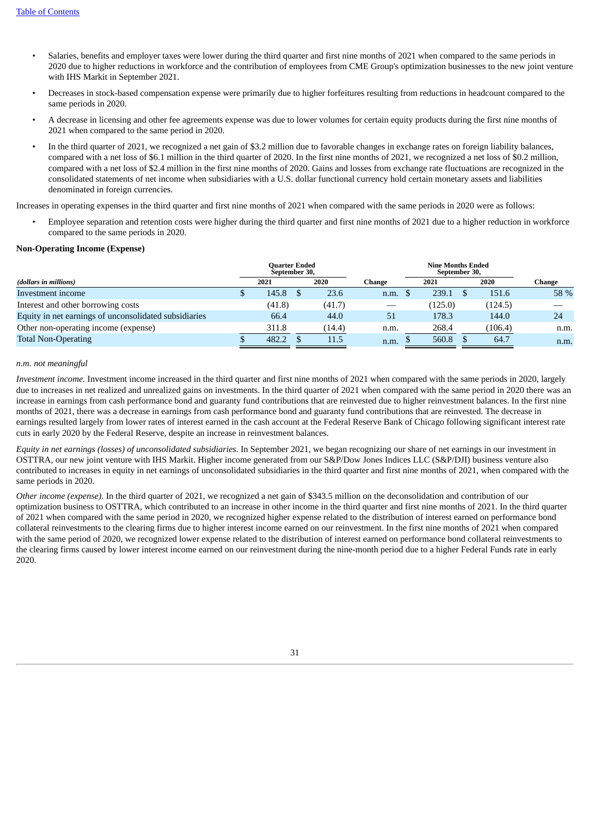- Salaries, benefits and employer taxes were lower during the third quarter and first nine months of 2021 when compared to the same periods in 2020 due to higher reductions in workforce and the contribution of employees from CME Group's optimization businesses to the new joint venture with IHS Markit in September 2021.
- Decreases in stock-based compensation expense were primarily due to higher forfeitures resulting from reductions in headcount compared to the same periods in 2020.
- A decrease in licensing and other fee agreements expense was due to lower volumes for certain equity products during the first nine months of 2021 when compared to the same period in 2020.
- In the third quarter of 2021, we recognized a net gain of \$3.2 million due to favorable changes in exchange rates on foreign liability balances, compared with a net loss of \$6.1 million in the third quarter of 2020. In the first nine months of 2021, we recognized a net loss of \$0.2 million, compared with a net loss of \$2.4 million in the first nine months of 2020. Gains and losses from exchange rate fluctuations are recognized in the consolidated statements of net income when subsidiaries with a U.S. dollar functional currency hold certain monetary assets and liabilities denominated in foreign currencies.

Increases in operating expenses in the third quarter and first nine months of 2021 when compared with the same periods in 2020 were as follows:

• Employee separation and retention costs were higher during the third quarter and first nine months of 2021 due to a higher reduction in workforce compared to the same periods in 2020.

#### **Non-Operating Income (Expense)**

|                                                       | Ouarter Ended<br>September 30, |        |        | <b>Nine Months Ended</b><br>September 30, |         |        |
|-------------------------------------------------------|--------------------------------|--------|--------|-------------------------------------------|---------|--------|
| (dollars in millions)                                 | 2021                           | 2020   | Change | 2021                                      | 2020    | Change |
| Investment income                                     | 145.8                          | 23.6   | n.m.   | 239.1                                     | 151.6   | 58 %   |
| Interest and other borrowing costs                    | (41.8)                         | (41.7) |        | (125.0)                                   | (124.5) |        |
| Equity in net earnings of unconsolidated subsidiaries | 66.4                           | 44.0   | 51     | 178.3                                     | 144.0   | 24     |
| Other non-operating income (expense)                  | 311.8                          | (14.4) | n.m.   | 268.4                                     | (106.4) | n.m.   |
| <b>Total Non-Operating</b>                            | 482.2                          | 11.5   | n.m.   | 560.8                                     | 64.7    | n.m.   |

#### *n.m. not meaningful*

*Investment income.* Investment income increased in the third quarter and first nine months of 2021 when compared with the same periods in 2020, largely due to increases in net realized and unrealized gains on investments. In the third quarter of 2021 when compared with the same period in 2020 there was an increase in earnings from cash performance bond and guaranty fund contributions that are reinvested due to higher reinvestment balances. In the first nine months of 2021, there was a decrease in earnings from cash performance bond and guaranty fund contributions that are reinvested. The decrease in earnings resulted largely from lower rates of interest earned in the cash account at the Federal Reserve Bank of Chicago following significant interest rate cuts in early 2020 by the Federal Reserve, despite an increase in reinvestment balances.

*Equity in net earnings (losses) of unconsolidated subsidiaries.* In September 2021, we began recognizing our share of net earnings in our investment in OSTTRA, our new joint venture with IHS Markit. Higher income generated from our S&P/Dow Jones Indices LLC (S&P/DJI) business venture also contributed to increases in equity in net earnings of unconsolidated subsidiaries in the third quarter and first nine months of 2021, when compared with the same periods in 2020.

*Other income (expense).* In the third quarter of 2021, we recognized a net gain of \$343.5 million on the deconsolidation and contribution of our optimization business to OSTTRA, which contributed to an increase in other income in the third quarter and first nine months of 2021. In the third quarter of 2021 when compared with the same period in 2020, we recognized higher expense related to the distribution of interest earned on performance bond collateral reinvestments to the clearing firms due to higher interest income earned on our reinvestment. In the first nine months of 2021 when compared with the same period of 2020, we recognized lower expense related to the distribution of interest earned on performance bond collateral reinvestments to the clearing firms caused by lower interest income earned on our reinvestment during the nine-month period due to a higher Federal Funds rate in early 2020.

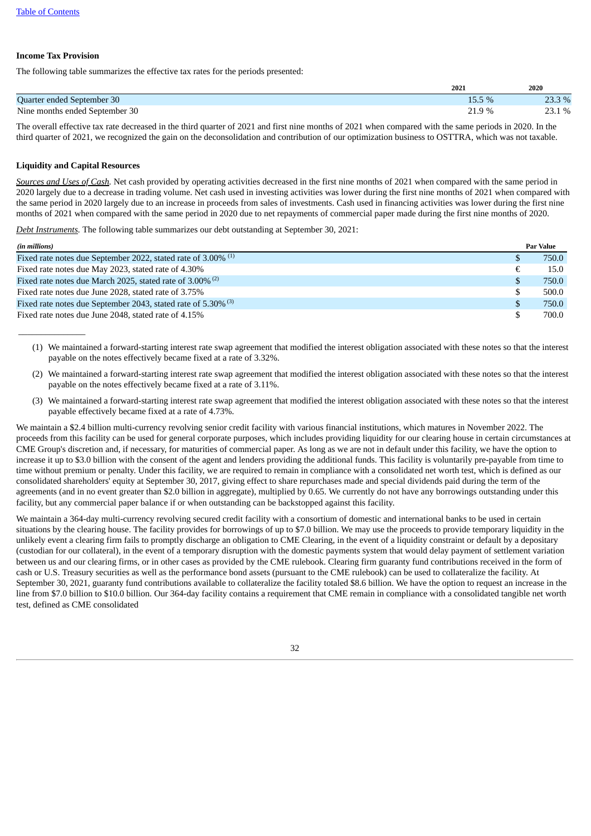#### **Income Tax Provision**

The following table summarizes the effective tax rates for the periods presented:

|                                | 2021   | 2020   |
|--------------------------------|--------|--------|
| Quarter ended September 30     | 15.5 % | 23.3 % |
| Nine months ended September 30 | 21.9%  | 23.1 % |

The overall effective tax rate decreased in the third quarter of 2021 and first nine months of 2021 when compared with the same periods in 2020. In the third quarter of 2021, we recognized the gain on the deconsolidation and contribution of our optimization business to OSTTRA, which was not taxable.

#### **Liquidity and Capital Resources**

\_\_\_\_\_\_\_\_\_\_\_\_\_\_\_

*Sources and Uses of Cash.* Net cash provided by operating activities decreased in the first nine months of 2021 when compared with the same period in 2020 largely due to a decrease in trading volume. Net cash used in investing activities was lower during the first nine months of 2021 when compared with the same period in 2020 largely due to an increase in proceeds from sales of investments. Cash used in financing activities was lower during the first nine months of 2021 when compared with the same period in 2020 due to net repayments of commercial paper made during the first nine months of 2020.

*Debt Instruments.* The following table summarizes our debt outstanding at September 30, 2021:

| (in millions)                                                            |    | <b>Par Value</b> |
|--------------------------------------------------------------------------|----|------------------|
| Fixed rate notes due September 2022, stated rate of 3.00% <sup>(1)</sup> | Φ  | 750.0            |
| Fixed rate notes due May 2023, stated rate of 4.30%                      | €  | 15.0             |
| Fixed rate notes due March 2025, stated rate of $3.00\%$ <sup>(2)</sup>  |    | 750.0            |
| Fixed rate notes due June 2028, stated rate of 3.75%                     | S. | 500.0            |
| Fixed rate notes due September 2043, stated rate of 5.30% (3)            | \$ | 750.0            |
| Fixed rate notes due June 2048, stated rate of 4.15%                     |    | 700.0            |

(1) We maintained a forward-starting interest rate swap agreement that modified the interest obligation associated with these notes so that the interest payable on the notes effectively became fixed at a rate of 3.32%.

- (2) We maintained a forward-starting interest rate swap agreement that modified the interest obligation associated with these notes so that the interest payable on the notes effectively became fixed at a rate of 3.11%.
- (3) We maintained a forward-starting interest rate swap agreement that modified the interest obligation associated with these notes so that the interest payable effectively became fixed at a rate of 4.73%.

We maintain a \$2.4 billion multi-currency revolving senior credit facility with various financial institutions, which matures in November 2022. The proceeds from this facility can be used for general corporate purposes, which includes providing liquidity for our clearing house in certain circumstances at CME Group's discretion and, if necessary, for maturities of commercial paper. As long as we are not in default under this facility, we have the option to increase it up to \$3.0 billion with the consent of the agent and lenders providing the additional funds. This facility is voluntarily pre-payable from time to time without premium or penalty. Under this facility, we are required to remain in compliance with a consolidated net worth test, which is defined as our consolidated shareholders' equity at September 30, 2017, giving effect to share repurchases made and special dividends paid during the term of the agreements (and in no event greater than \$2.0 billion in aggregate), multiplied by 0.65. We currently do not have any borrowings outstanding under this facility, but any commercial paper balance if or when outstanding can be backstopped against this facility.

We maintain a 364-day multi-currency revolving secured credit facility with a consortium of domestic and international banks to be used in certain situations by the clearing house. The facility provides for borrowings of up to \$7.0 billion. We may use the proceeds to provide temporary liquidity in the unlikely event a clearing firm fails to promptly discharge an obligation to CME Clearing, in the event of a liquidity constraint or default by a depositary (custodian for our collateral), in the event of a temporary disruption with the domestic payments system that would delay payment of settlement variation between us and our clearing firms, or in other cases as provided by the CME rulebook. Clearing firm guaranty fund contributions received in the form of cash or U.S. Treasury securities as well as the performance bond assets (pursuant to the CME rulebook) can be used to collateralize the facility. At September 30, 2021, guaranty fund contributions available to collateralize the facility totaled \$8.6 billion. We have the option to request an increase in the line from \$7.0 billion to \$10.0 billion. Our 364-day facility contains a requirement that CME remain in compliance with a consolidated tangible net worth test, defined as CME consolidated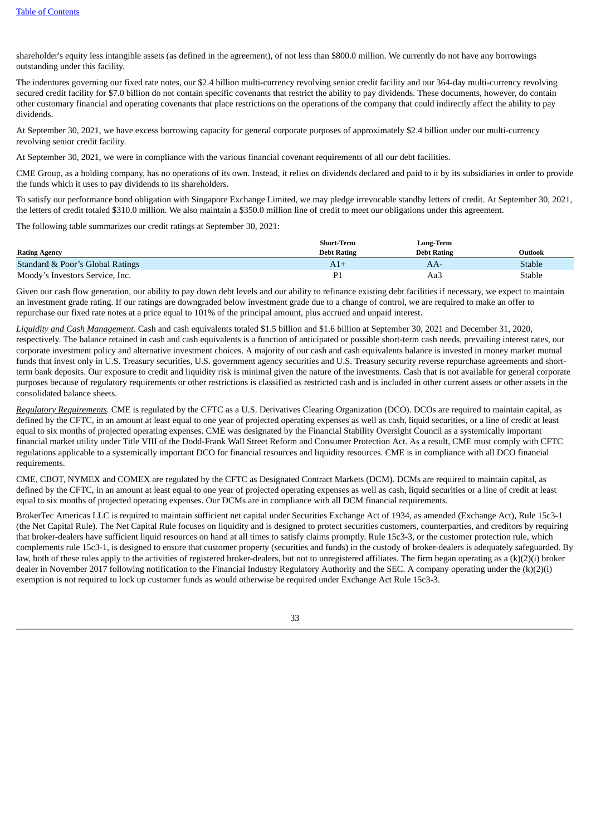shareholder's equity less intangible assets (as defined in the agreement), of not less than \$800.0 million. We currently do not have any borrowings outstanding under this facility.

The indentures governing our fixed rate notes, our \$2.4 billion multi-currency revolving senior credit facility and our 364-day multi-currency revolving secured credit facility for \$7.0 billion do not contain specific covenants that restrict the ability to pay dividends. These documents, however, do contain other customary financial and operating covenants that place restrictions on the operations of the company that could indirectly affect the ability to pay dividends.

At September 30, 2021, we have excess borrowing capacity for general corporate purposes of approximately \$2.4 billion under our multi-currency revolving senior credit facility.

At September 30, 2021, we were in compliance with the various financial covenant requirements of all our debt facilities.

CME Group, as a holding company, has no operations of its own. Instead, it relies on dividends declared and paid to it by its subsidiaries in order to provide the funds which it uses to pay dividends to its shareholders.

To satisfy our performance bond obligation with Singapore Exchange Limited, we may pledge irrevocable standby letters of credit. At September 30, 2021, the letters of credit totaled \$310.0 million. We also maintain a \$350.0 million line of credit to meet our obligations under this agreement.

The following table summarizes our credit ratings at September 30, 2021:

|                                  | <b>Short-Term</b>  | <b>Long-Term</b>   |               |
|----------------------------------|--------------------|--------------------|---------------|
| <b>Rating Agency</b>             | <b>Debt Rating</b> | <b>Debt Rating</b> | Outlook       |
| Standard & Poor's Global Ratings | $A1+$              | AA-                | <b>Stable</b> |
| Moody's Investors Service, Inc.  |                    | Aa3                | Stable        |

Given our cash flow generation, our ability to pay down debt levels and our ability to refinance existing debt facilities if necessary, we expect to maintain an investment grade rating. If our ratings are downgraded below investment grade due to a change of control, we are required to make an offer to repurchase our fixed rate notes at a price equal to 101% of the principal amount, plus accrued and unpaid interest.

*Liquidity and Cash Management*. Cash and cash equivalents totaled \$1.5 billion and \$1.6 billion at September 30, 2021 and December 31, 2020, respectively. The balance retained in cash and cash equivalents is a function of anticipated or possible short-term cash needs, prevailing interest rates, our corporate investment policy and alternative investment choices. A majority of our cash and cash equivalents balance is invested in money market mutual funds that invest only in U.S. Treasury securities, U.S. government agency securities and U.S. Treasury security reverse repurchase agreements and shortterm bank deposits. Our exposure to credit and liquidity risk is minimal given the nature of the investments. Cash that is not available for general corporate purposes because of regulatory requirements or other restrictions is classified as restricted cash and is included in other current assets or other assets in the consolidated balance sheets.

*Regulatory Requirements.* CME is regulated by the CFTC as a U.S. Derivatives Clearing Organization (DCO). DCOs are required to maintain capital, as defined by the CFTC, in an amount at least equal to one year of projected operating expenses as well as cash, liquid securities, or a line of credit at least equal to six months of projected operating expenses. CME was designated by the Financial Stability Oversight Council as a systemically important financial market utility under Title VIII of the Dodd-Frank Wall Street Reform and Consumer Protection Act. As a result, CME must comply with CFTC regulations applicable to a systemically important DCO for financial resources and liquidity resources. CME is in compliance with all DCO financial requirements.

CME, CBOT, NYMEX and COMEX are regulated by the CFTC as Designated Contract Markets (DCM). DCMs are required to maintain capital, as defined by the CFTC, in an amount at least equal to one year of projected operating expenses as well as cash, liquid securities or a line of credit at least equal to six months of projected operating expenses. Our DCMs are in compliance with all DCM financial requirements.

<span id="page-32-0"></span>BrokerTec Americas LLC is required to maintain sufficient net capital under Securities Exchange Act of 1934, as amended (Exchange Act), Rule 15c3-1 (the Net Capital Rule). The Net Capital Rule focuses on liquidity and is designed to protect securities customers, counterparties, and creditors by requiring that broker-dealers have sufficient liquid resources on hand at all times to satisfy claims promptly. Rule 15c3-3, or the customer protection rule, which complements rule 15c3-1, is designed to ensure that customer property (securities and funds) in the custody of broker-dealers is adequately safeguarded. By law, both of these rules apply to the activities of registered broker-dealers, but not to unregistered affiliates. The firm began operating as a  $(k)(2)(i)$  broker dealer in November 2017 following notification to the Financial Industry Regulatory Authority and the SEC. A company operating under the (k)(2)(i) exemption is not required to lock up customer funds as would otherwise be required under Exchange Act Rule 15c3-3.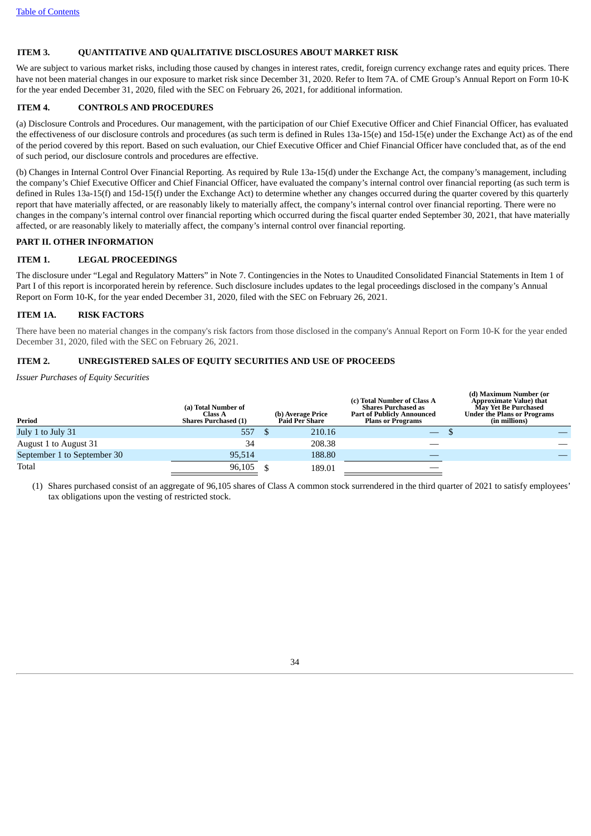#### **ITEM 3. QUANTITATIVE AND QUALITATIVE DISCLOSURES ABOUT MARKET RISK**

We are subject to various market risks, including those caused by changes in interest rates, credit, foreign currency exchange rates and equity prices. There have not been material changes in our exposure to market risk since December 31, 2020. Refer to Item 7A. of CME Group's Annual Report on Form 10-K for the year ended December 31, 2020, filed with the SEC on February 26, 2021, for additional information.

#### <span id="page-33-0"></span>**ITEM 4. CONTROLS AND PROCEDURES**

(a) Disclosure Controls and Procedures. Our management, with the participation of our Chief Executive Officer and Chief Financial Officer, has evaluated the effectiveness of our disclosure controls and procedures (as such term is defined in Rules 13a-15(e) and 15d-15(e) under the Exchange Act) as of the end of the period covered by this report. Based on such evaluation, our Chief Executive Officer and Chief Financial Officer have concluded that, as of the end of such period, our disclosure controls and procedures are effective.

(b) Changes in Internal Control Over Financial Reporting. As required by Rule 13a-15(d) under the Exchange Act, the company's management, including the company's Chief Executive Officer and Chief Financial Officer, have evaluated the company's internal control over financial reporting (as such term is defined in Rules 13a-15(f) and 15d-15(f) under the Exchange Act) to determine whether any changes occurred during the quarter covered by this quarterly report that have materially affected, or are reasonably likely to materially affect, the company's internal control over financial reporting. There were no changes in the company's internal control over financial reporting which occurred during the fiscal quarter ended September 30, 2021, that have materially affected, or are reasonably likely to materially affect, the company's internal control over financial reporting.

#### <span id="page-33-1"></span>**PART II. OTHER INFORMATION**

#### <span id="page-33-2"></span>**ITEM 1. LEGAL PROCEEDINGS**

The disclosure under "Legal and Regulatory Matters" in Note 7. Contingencies in the Notes to Unaudited Consolidated Financial Statements in Item 1 of Part I of this report is incorporated herein by reference. Such disclosure includes updates to the legal proceedings disclosed in the company's Annual Report on Form 10-K, for the year ended December 31, 2020, filed with the SEC on February 26, 2021.

#### <span id="page-33-3"></span>**ITEM 1A. RISK FACTORS**

There have been no material changes in the company's risk factors from those disclosed in the company's Annual Report on Form 10-K for the year ended December 31, 2020, filed with the SEC on February 26, 2021.

#### <span id="page-33-4"></span>**ITEM 2. UNREGISTERED SALES OF EQUITY SECURITIES AND USE OF PROCEEDS**

*Issuer Purchases of Equity Securities*

| Period                      | (a) Total Number of<br>Class A<br><b>Shares Purchased (1)</b> | (b) Average Price<br>Paid Per Share | (c) Total Number of Class A<br><b>Shares Purchased as</b><br><b>Part of Publicly Announced</b><br><b>Plans or Programs</b> | (d) Maximum Number (or<br><b>Approximate Value)</b> that<br><b>May Yet Be Purchased</b><br>Under the Plans or Programs<br>(in millions) |
|-----------------------------|---------------------------------------------------------------|-------------------------------------|----------------------------------------------------------------------------------------------------------------------------|-----------------------------------------------------------------------------------------------------------------------------------------|
| July 1 to July 31           | 557                                                           | 210.16                              |                                                                                                                            |                                                                                                                                         |
| August 1 to August 31       | 34                                                            | 208.38                              |                                                                                                                            |                                                                                                                                         |
| September 1 to September 30 | 95.514                                                        | 188.80                              |                                                                                                                            |                                                                                                                                         |
| Total                       | 96,105                                                        | 189.01                              |                                                                                                                            |                                                                                                                                         |

<span id="page-33-5"></span>(1) Shares purchased consist of an aggregate of 96,105 shares of Class A common stock surrendered in the third quarter of 2021 to satisfy employees' tax obligations upon the vesting of restricted stock.

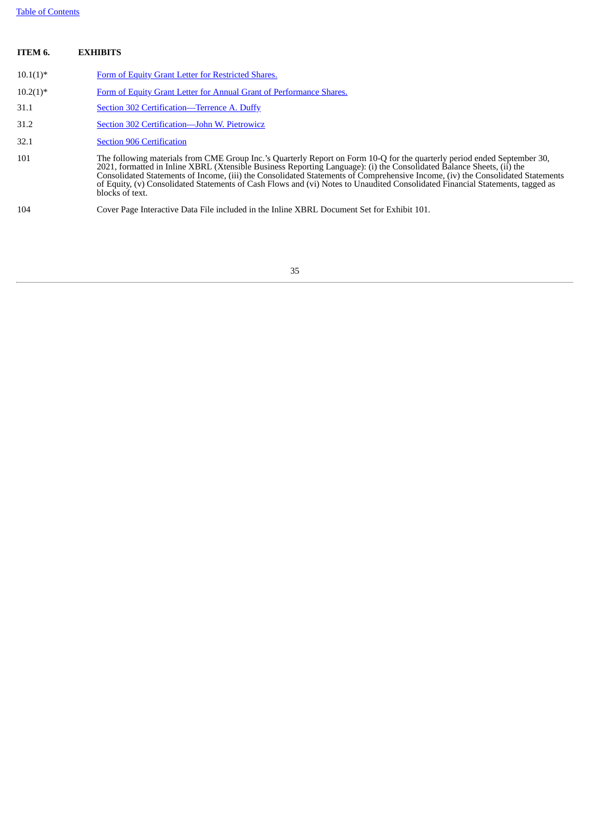# Table of [Contents](#page-0-0)

<span id="page-34-0"></span>

| ITEM 6.                | <b>EXHIBITS</b>                                                                                                                                                                                                                                                                                                                                                                                                                                                                                                                         |
|------------------------|-----------------------------------------------------------------------------------------------------------------------------------------------------------------------------------------------------------------------------------------------------------------------------------------------------------------------------------------------------------------------------------------------------------------------------------------------------------------------------------------------------------------------------------------|
| $10.1(1)$ <sup>*</sup> | <b>Form of Equity Grant Letter for Restricted Shares.</b>                                                                                                                                                                                                                                                                                                                                                                                                                                                                               |
| $10.2(1)$ *            | Form of Equity Grant Letter for Annual Grant of Performance Shares.                                                                                                                                                                                                                                                                                                                                                                                                                                                                     |
| 31.1                   | <b>Section 302 Certification-Terrence A. Duffy</b>                                                                                                                                                                                                                                                                                                                                                                                                                                                                                      |
| 31.2                   | Section 302 Certification-John W. Pietrowicz                                                                                                                                                                                                                                                                                                                                                                                                                                                                                            |
| 32.1                   | <b>Section 906 Certification</b>                                                                                                                                                                                                                                                                                                                                                                                                                                                                                                        |
| 101                    | The following materials from CME Group Inc.'s Quarterly Report on Form 10-Q for the quarterly period ended September 30,<br>2021, formatted in Inline XBRL (Xtensible Business Reporting Language): (i) the Consolidated Balance Sheets, (ii) the<br>Consolidated Statements of Income, (iii) the Consolidated Statements of Comprehensive Income, (iv) the Consolidated Statements<br>of Equity, (v) Consolidated Statements of Cash Flows and (vi) Notes to Unaudited Consolidated Financial Statements, tagged as<br>blocks of text. |
| 104                    | Cover Page Interactive Data File included in the Inline XBRL Document Set for Exhibit 101.                                                                                                                                                                                                                                                                                                                                                                                                                                              |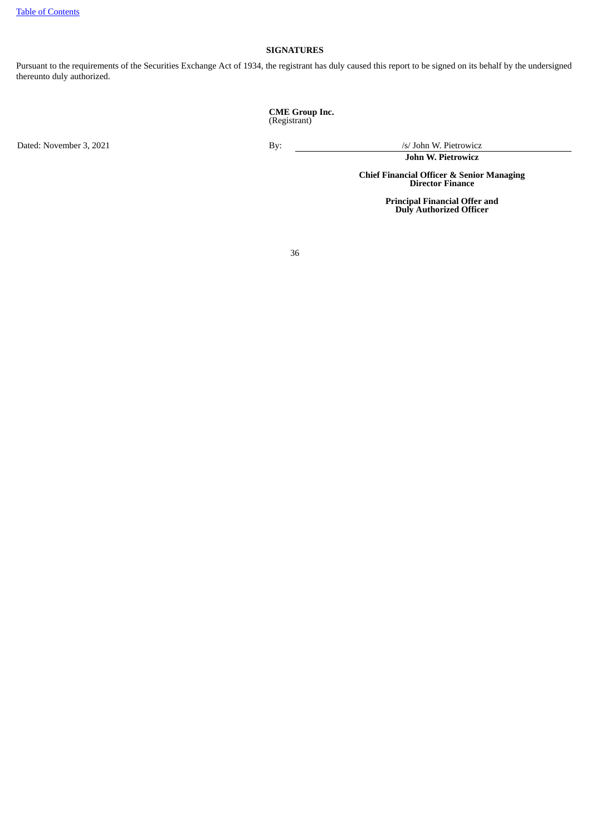#### **SIGNATURES**

Pursuant to the requirements of the Securities Exchange Act of 1934, the registrant has duly caused this report to be signed on its behalf by the undersigned thereunto duly authorized.

#### **CME Group Inc.** (Registrant)

Dated: November 3, 2021 By: By: /s/ John W. Pietrowicz

**John W. Pietrowicz**

**Chief Financial Officer & Senior Managing Director Finance**

> **Principal Financial Offer and Duly Authorized Officer**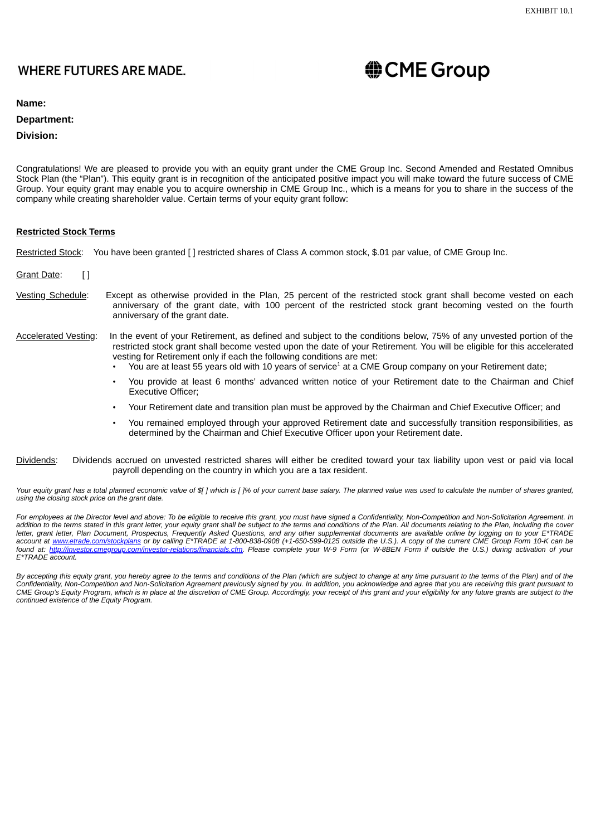# <span id="page-36-0"></span>**WHERE FUTURES ARE MADE.**

# CME Group®

**Name:**

#### **Department:**

#### **Division:**

Congratulations! We are pleased to provide you with an equity grant under the CME Group Inc. Second Amended and Restated Omnibus Stock Plan (the "Plan"). This equity grant is in recognition of the anticipated positive impact you will make toward the future success of CME Group. Your equity grant may enable you to acquire ownership in CME Group Inc., which is a means for you to share in the success of the company while creating shareholder value. Certain terms of your equity grant follow:

#### **Restricted Stock Terms**

Restricted Stock: You have been granted [] restricted shares of Class A common stock, \$.01 par value, of CME Group Inc.

- Grant Date: []
- Vesting Schedule: Except as otherwise provided in the Plan, 25 percent of the restricted stock grant shall become vested on each anniversary of the grant date, with 100 percent of the restricted stock grant becoming vested on the fourth anniversary of the grant date.

#### Accelerated Vesting: In the event of your Retirement, as defined and subject to the conditions below, 75% of any unvested portion of the restricted stock grant shall become vested upon the date of your Retirement. You will be eligible for this accelerated vesting for Retirement only if each the following conditions are met:

- You are at least 55 years old with 10 years of service<sup>1</sup> at a CME Group company on your Retirement date;
- You provide at least 6 months' advanced written notice of your Retirement date to the Chairman and Chief Executive Officer;
- Your Retirement date and transition plan must be approved by the Chairman and Chief Executive Officer; and
- You remained employed through your approved Retirement date and successfully transition responsibilities, as determined by the Chairman and Chief Executive Officer upon your Retirement date.
- Dividends: Dividends accrued on unvested restricted shares will either be credited toward your tax liability upon vest or paid via local payroll depending on the country in which you are a tax resident.

Your equity grant has a total planned economic value of \$[] which is []% of your current base salary. The planned value was used to calculate the number of shares granted, *using the closing stock price on the grant date.*

For employees at the Director level and above: To be eligible to receive this grant, you must have signed a Confidentiality, Non-Competition and Non-Solicitation Agreement. In addition to the terms stated in this grant letter, your equity grant shall be subject to the terms and conditions of the Plan. All documents relating to the Plan, including the cover letter, grant letter, Plan Document, Prospectus, Frequently Asked Questions, and any other supplemental documents are available online by logging on to your E\*TRADE account at www.etrade.com/stockplans or by calling E\*TRADE at 1-800-838-0908 (+1-650-599-0125 outside the U.S.). A copy of the current CME Group Form 10-K can be found at: <u>http://investor.cmegroup.com/investor-relations/financials.cfm</u>. Please complete your W-9 Form (or W-8BEN Form if outside the U.S.) during activation of your *E\*TRADE account.*

By accepting this equity grant, you hereby agree to the terms and conditions of the Plan (which are subject to change at any time pursuant to the terms of the Plan) and of the Confidentiality, Non-Competition and Non-Solicitation Agreement previously signed by you. In addition, you acknowledge and agree that you are receiving this grant pursuant to CME Group's Equity Program, which is in place at the discretion of CME Group. Accordingly, your receipt of this grant and your eligibility for any future grants are subject to the *continued existence of the Equity Program.*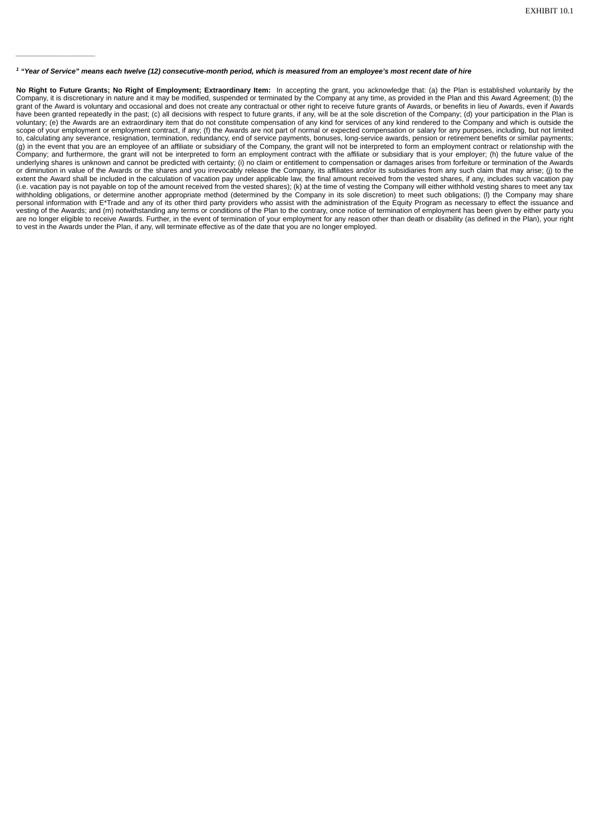#### <sup>1</sup> "Year of Service" means each twelve (12) consecutive-month period, which is measured from an employee's most recent date of hire

*\_\_\_\_\_\_\_\_\_\_\_\_\_\_\_\_\_\_\_\_*

No Right to Future Grants; No Right of Employment; Extraordinary Item: In accepting the grant, you acknowledge that: (a) the Plan is established voluntarily by the Company, it is discretionary in nature and it may be modified, suspended or terminated by the Company at any time, as provided in the Plan and this Award Agreement; (b) the grant of the Award is voluntary and occasional and does not create any contractual or other right to receive future grants of Awards, or benefits in lieu of Awards, even if Awards have been granted repeatedly in the past; (c) all decisions with respect to future grants, if any, will be at the sole discretion of the Company; (d) your participation in the Plan is voluntary; (e) the Awards are an extraordinary item that do not constitute compensation of any kind for services of any kind rendered to the Company and which is outside the scope of your employment or employment contract, if any; (f) the Awards are not part of normal or expected compensation or salary for any purposes, including, but not limited to, calculating any severance, resignation, termination, redundancy, end of service payments, bonuses, long-service awards, pension or retirement benefits or similar payments; (g) in the event that you are an employee of an affiliate or subsidiary of the Company, the grant will not be interpreted to form an employment contract or relationship with the Company; and furthermore, the grant will not be interpreted to form an employment contract with the affiliate or subsidiary that is your employer; (h) the future value of the underlying shares is unknown and cannot be predicted with certainty; (i) no claim or entitlement to compensation or damages arises from forfeiture or termination of the Awards or diminution in value of the Awards or the shares and you irrevocably release the Company, its affiliates and/or its subsidiaries from any such claim that may arise; (j) to the extent the Award shall be included in the calculation of vacation pay under applicable law, the final amount received from the vested shares, if any, includes such vacation pay (i.e. vacation pay is not payable on top of the amount received from the vested shares); (k) at the time of vesting the Company will either withhold vesting shares to meet any tax withholding obligations, or determine another appropriate method (determined by the Company in its sole discretion) to meet such obligations; (l) the Company may share personal information with E\*Trade and any of its other third party providers who assist with the administration of the Equity Program as necessary to effect the issuance and vesting of the Awards; and (m) notwithstanding any terms or conditions of the Plan to the contrary, once notice of termination of employment has been given by either party you are no longer eligible to receive Awards. Further, in the event of termination of your employment for any reason other than death or disability (as defined in the Plan), your right to vest in the Awards under the Plan, if any, will terminate effective as of the date that you are no longer employed.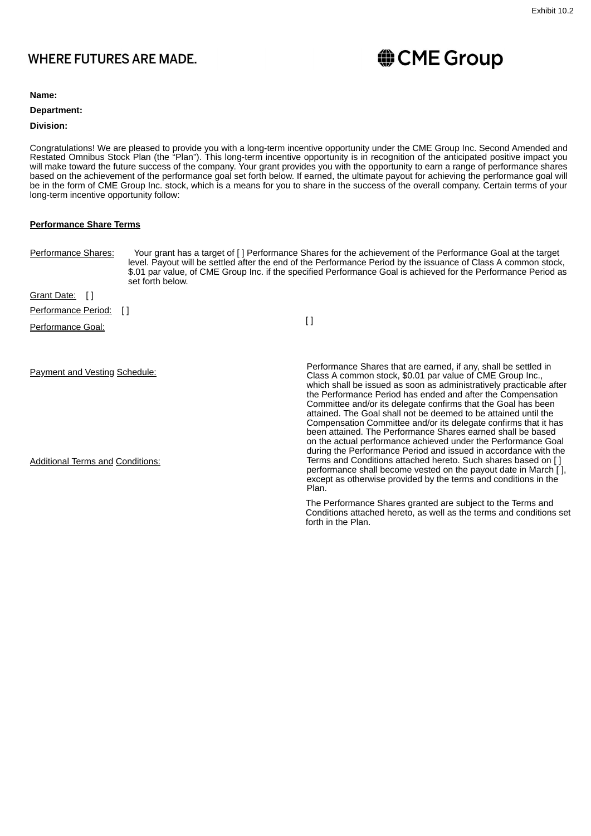# <span id="page-38-0"></span>**WHERE FUTURES ARE MADE.**

# CME Group

**Name:**

#### **Department:**

#### **Division:**

Congratulations! We are pleased to provide you with a long-term incentive opportunity under the CME Group Inc. Second Amended and Restated Omnibus Stock Plan (the "Plan"). This long-term incentive opportunity is in recognition of the anticipated positive impact you will make toward the future success of the company. Your grant provides you with the opportunity to earn a range of performance shares based on the achievement of the performance goal set forth below. If earned, the ultimate payout for achieving the performance goal will be in the form of CME Group Inc. stock, which is a means for you to share in the success of the overall company. Certain terms of your long-term incentive opportunity follow:

#### **Performance Share Terms**

| Performance Shares: | Your grant has a target of [] Performance Shares for the achievement of the Performance Goal at the target<br>level. Payout will be settled after the end of the Performance Period by the issuance of Class A common stock,<br>\$.01 par value, of CME Group Inc. if the specified Performance Goal is achieved for the Performance Period as<br>set forth below. |
|---------------------|--------------------------------------------------------------------------------------------------------------------------------------------------------------------------------------------------------------------------------------------------------------------------------------------------------------------------------------------------------------------|
|                     |                                                                                                                                                                                                                                                                                                                                                                    |

Grant Date: []

Performance Period: []

Performance Goal:

 $[ ]$ 

Payment and Vesting Schedule:

Additional Terms and Conditions:

Performance Shares that are earned, if any, shall be settled in Class A common stock, \$0.01 par value of CME Group Inc., which shall be issued as soon as administratively practicable after the Performance Period has ended and after the Compensation Committee and/or its delegate confirms that the Goal has been attained. The Goal shall not be deemed to be attained until the Compensation Committee and/or its delegate confirms that it has been attained. The Performance Shares earned shall be based on the actual performance achieved under the Performance Goal during the Performance Period and issued in accordance with the Terms and Conditions attached hereto. Such shares based on [ ] performance shall become vested on the payout date in March [ ], except as otherwise provided by the terms and conditions in the Plan.

The Performance Shares granted are subject to the Terms and Conditions attached hereto, as well as the terms and conditions set forth in the Plan.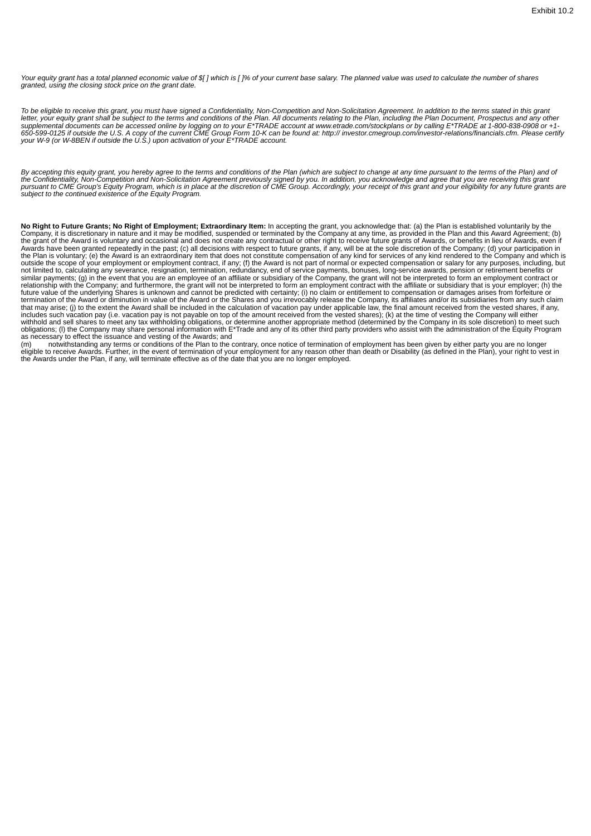Your equity grant has a total planned economic value of \$[] which is []% of your current base salary. The planned value was used to calculate the number of shares *granted, using the closing stock price on the grant date.*

To be eligible to receive this grant, you must have signed a Confidentiality, Non-Competition and Non-Solicitation Agreement. In addition to the terms stated in this grant<br>letter, your equity grant shall be subject to the 650-599-0125 if outside the U.S. A copy of the current CME Group Form 10-K can be found at: http:// investor.cmegroup.com/investor-relations/financials.cfm. Please certify<br>your W-9 (or W-8BEN if outside the U.S.) upon act

By accepting this equity grant, you hereby agree to the terms and conditions of the Plan (which are subject to change at any time pursuant to the terms of the Plan) and of<br>the Confidentiality, Non-Competition and Non-Solic *subject to the continued existence of the Equity Program.*

No Right to Future Grants: No Right of Employment: Extraordinary Item: In accepting the grant, you acknowledge that: (a) the Plan is established voluntarily by the Company, it is discretionary in nature and it may be modified, suspended or terminated by the Company at any time, as provided in the Plan and this Award Agreement; (b) the grant of the Award is voluntary and occasional and does not create any contractual or other right to receive future grants of Awards, or benefits in lieu of Awards, even if<br>Awards have been granted repeatedly in the pa the Plan is voluntary; (e) the Award is an extraordinary item that does not constitute compensation of any kind for services of any kind rendered to the Company and which is outside the scope of your employment or employment contract, if any; (f) the Award is not part of normal or expected compensation or salary for any purposes, including, but<br>not limited to, calculating any severance, resign similar payments; (g) in the event that you are an employee of an affiliate or subsidiary of the Company, the grant will not be interpreted to form an employment contract or relationship with the Company; and furthermore, the grant will not be interpreted to form an employment contract with the affiliate or subsidiary that is your employer; (h) the<br>future value of the underlying Shares is unkn termination of the Award or diminution in value of the Award or the Shares and you irrevocably release the Company, its affiliates and/or its subsidiaries from any such claim<br>that may arise; (j) to the extent the Award sha includes such vacation pay (i.e. vacation pay is not payable on top of the amount received from the vested shares); (k) at the time of vesting the Company will either withhold and sell shares to meet any tax withholding obligations, or determine another appropriate method (determined by the Company in its sole discretion) to meet such<br>obligations; (I) the Company may share personal inf as necessary to effect the issuance and vesting of the Awards; and

(m) notwithstanding any terms or conditions of the Plan to the contrary, once notice of termination of employment has been given by either party you are no longer<br>eligible to receive Awards. Further, in the event of termin the Awards under the Plan, if any, will terminate effective as of the date that you are no longer employed.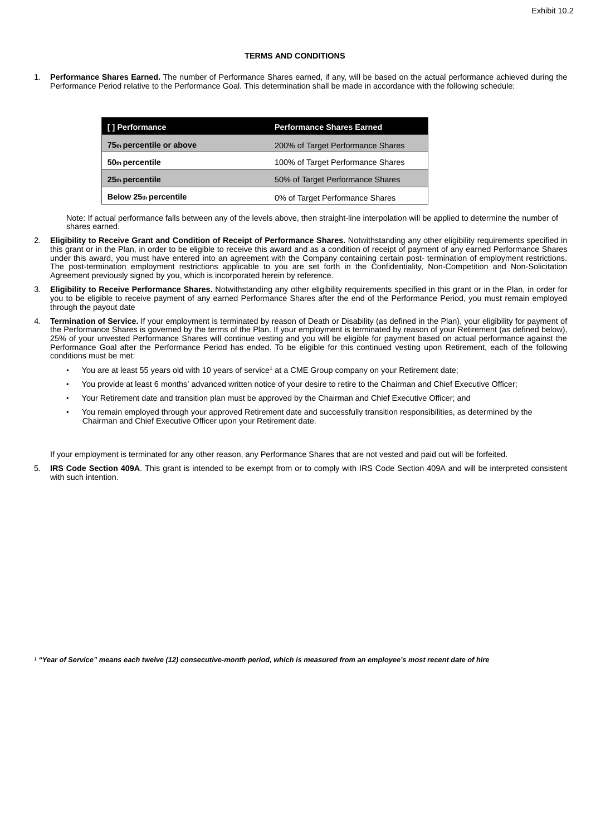#### **TERMS AND CONDITIONS**

1. **Performance Shares Earned.** The number of Performance Shares earned, if any, will be based on the actual performance achieved during the Performance Period relative to the Performance Goal. This determination shall be made in accordance with the following schedule:

| [] Performance           | <b>Performance Shares Earned</b>  |
|--------------------------|-----------------------------------|
| 75th percentile or above | 200% of Target Performance Shares |
| 50th percentile          | 100% of Target Performance Shares |
| 25th percentile          | 50% of Target Performance Shares  |
| Below 25th percentile    | 0% of Target Performance Shares   |

Note: If actual performance falls between any of the levels above, then straight-line interpolation will be applied to determine the number of shares earned.

- 2. **Eligibility to Receive Grant and Condition of Receipt of Performance Shares.** Notwithstanding any other eligibility requirements specified in this grant or in the Plan, in order to be eligible to receive this award and as a condition of receipt of payment of any earned Performance Shares under this award, you must have entered into an agreement with the Company containing certain post- termination of employment restrictions. The post-termination employment restrictions applicable to you are set forth in the Confidentiality, Non-Competition and Non-Solicitation Agreement previously signed by you, which is incorporated herein by reference.
- 3. **Eligibility to Receive Performance Shares.** Notwithstanding any other eligibility requirements specified in this grant or in the Plan, in order for you to be eligible to receive payment of any earned Performance Shares after the end of the Performance Period, you must remain employed through the payout date
- 4. **Termination of Service.** If your employment is terminated by reason of Death or Disability (as defined in the Plan), your eligibility for payment of the Performance Shares is governed by the terms of the Plan. If your employment is terminated by reason of your Retirement (as defined below), 25% of your unvested Performance Shares will continue vesting and you will be eligible for payment based on actual performance against the Performance Goal after the Performance Period has ended. To be eligible for this continued vesting upon Retirement, each of the following conditions must be met:
	- You are at least 55 years old with 10 years of service<sup>1</sup> at a CME Group company on your Retirement date;
	- You provide at least 6 months' advanced written notice of your desire to retire to the Chairman and Chief Executive Officer;
	- Your Retirement date and transition plan must be approved by the Chairman and Chief Executive Officer; and
	- You remain employed through your approved Retirement date and successfully transition responsibilities, as determined by the Chairman and Chief Executive Officer upon your Retirement date.

If your employment is terminated for any other reason, any Performance Shares that are not vested and paid out will be forfeited.

5. **IRS Code Section 409A**. This grant is intended to be exempt from or to comply with IRS Code Section 409A and will be interpreted consistent with such intention.

<sup>1</sup> "Year of Service" means each twelve (12) consecutive-month period, which is measured from an employee's most recent date of hire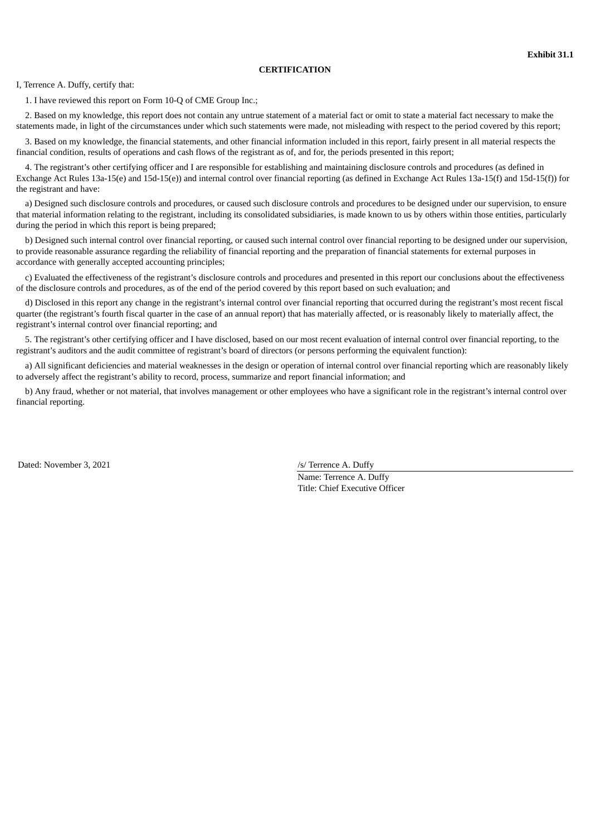#### **CERTIFICATION**

<span id="page-41-0"></span>I, Terrence A. Duffy, certify that:

1. I have reviewed this report on Form 10-Q of CME Group Inc.;

2. Based on my knowledge, this report does not contain any untrue statement of a material fact or omit to state a material fact necessary to make the statements made, in light of the circumstances under which such statements were made, not misleading with respect to the period covered by this report;

3. Based on my knowledge, the financial statements, and other financial information included in this report, fairly present in all material respects the financial condition, results of operations and cash flows of the registrant as of, and for, the periods presented in this report;

4. The registrant's other certifying officer and I are responsible for establishing and maintaining disclosure controls and procedures (as defined in Exchange Act Rules 13a-15(e) and 15d-15(e)) and internal control over financial reporting (as defined in Exchange Act Rules 13a-15(f) and 15d-15(f)) for the registrant and have:

a) Designed such disclosure controls and procedures, or caused such disclosure controls and procedures to be designed under our supervision, to ensure that material information relating to the registrant, including its consolidated subsidiaries, is made known to us by others within those entities, particularly during the period in which this report is being prepared;

b) Designed such internal control over financial reporting, or caused such internal control over financial reporting to be designed under our supervision, to provide reasonable assurance regarding the reliability of financial reporting and the preparation of financial statements for external purposes in accordance with generally accepted accounting principles;

c) Evaluated the effectiveness of the registrant's disclosure controls and procedures and presented in this report our conclusions about the effectiveness of the disclosure controls and procedures, as of the end of the period covered by this report based on such evaluation; and

d) Disclosed in this report any change in the registrant's internal control over financial reporting that occurred during the registrant's most recent fiscal quarter (the registrant's fourth fiscal quarter in the case of an annual report) that has materially affected, or is reasonably likely to materially affect, the registrant's internal control over financial reporting; and

5. The registrant's other certifying officer and I have disclosed, based on our most recent evaluation of internal control over financial reporting, to the registrant's auditors and the audit committee of registrant's board of directors (or persons performing the equivalent function):

a) All significant deficiencies and material weaknesses in the design or operation of internal control over financial reporting which are reasonably likely to adversely affect the registrant's ability to record, process, summarize and report financial information; and

b) Any fraud, whether or not material, that involves management or other employees who have a significant role in the registrant's internal control over financial reporting.

Dated: November 3, 2021 *Dated: November 3, 2021 S S Company <i>S Company <i>S S Company /s Company /s Company /s S Company /s Company /s Company /s Company /s Company /s Company /s Compan* 

Name: Terrence A. Duffy Title: Chief Executive Officer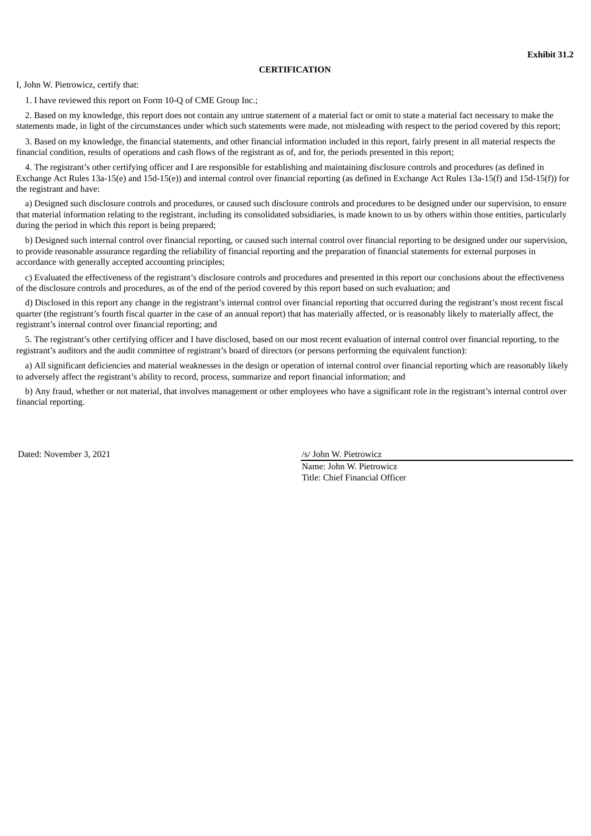#### **CERTIFICATION**

<span id="page-42-0"></span>I, John W. Pietrowicz, certify that:

1. I have reviewed this report on Form 10-Q of CME Group Inc.;

2. Based on my knowledge, this report does not contain any untrue statement of a material fact or omit to state a material fact necessary to make the statements made, in light of the circumstances under which such statements were made, not misleading with respect to the period covered by this report;

3. Based on my knowledge, the financial statements, and other financial information included in this report, fairly present in all material respects the financial condition, results of operations and cash flows of the registrant as of, and for, the periods presented in this report;

4. The registrant's other certifying officer and I are responsible for establishing and maintaining disclosure controls and procedures (as defined in Exchange Act Rules 13a-15(e) and 15d-15(e)) and internal control over financial reporting (as defined in Exchange Act Rules 13a-15(f) and 15d-15(f)) for the registrant and have:

a) Designed such disclosure controls and procedures, or caused such disclosure controls and procedures to be designed under our supervision, to ensure that material information relating to the registrant, including its consolidated subsidiaries, is made known to us by others within those entities, particularly during the period in which this report is being prepared;

b) Designed such internal control over financial reporting, or caused such internal control over financial reporting to be designed under our supervision, to provide reasonable assurance regarding the reliability of financial reporting and the preparation of financial statements for external purposes in accordance with generally accepted accounting principles;

c) Evaluated the effectiveness of the registrant's disclosure controls and procedures and presented in this report our conclusions about the effectiveness of the disclosure controls and procedures, as of the end of the period covered by this report based on such evaluation; and

d) Disclosed in this report any change in the registrant's internal control over financial reporting that occurred during the registrant's most recent fiscal quarter (the registrant's fourth fiscal quarter in the case of an annual report) that has materially affected, or is reasonably likely to materially affect, the registrant's internal control over financial reporting; and

5. The registrant's other certifying officer and I have disclosed, based on our most recent evaluation of internal control over financial reporting, to the registrant's auditors and the audit committee of registrant's board of directors (or persons performing the equivalent function):

a) All significant deficiencies and material weaknesses in the design or operation of internal control over financial reporting which are reasonably likely to adversely affect the registrant's ability to record, process, summarize and report financial information; and

b) Any fraud, whether or not material, that involves management or other employees who have a significant role in the registrant's internal control over financial reporting.

Dated: November 3, 2021 /s/ John W. Pietrowicz

Name: John W. Pietrowicz Title: Chief Financial Officer